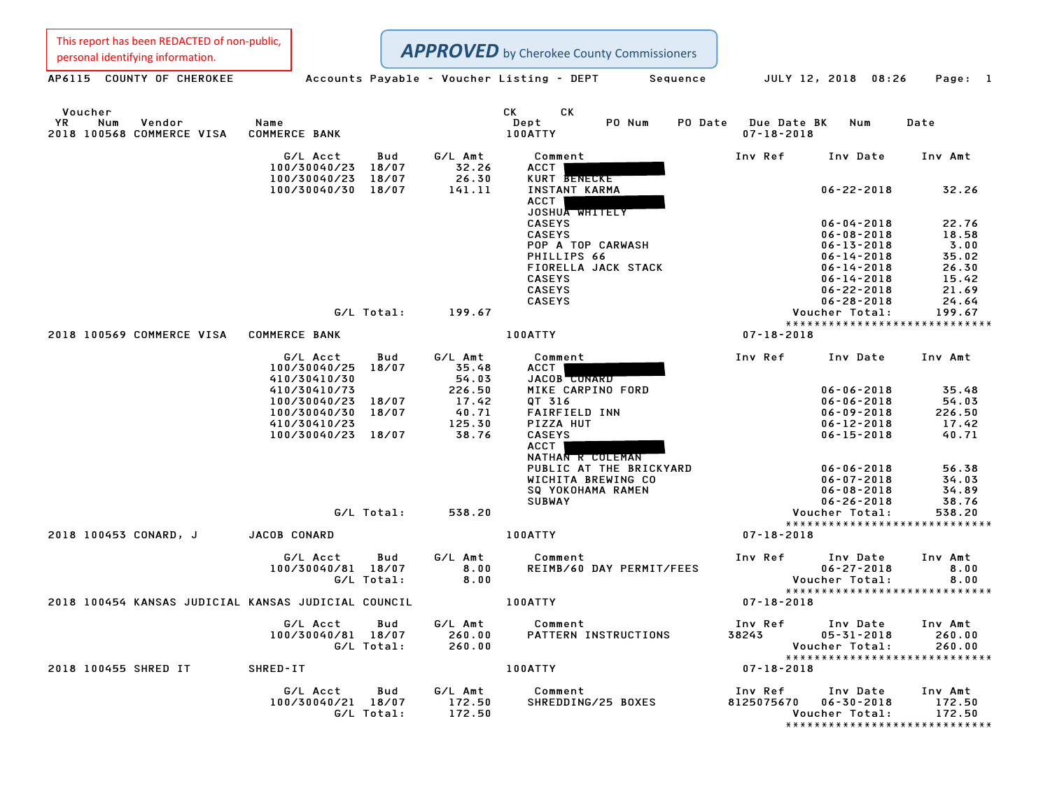This report has been REDACTED of non-public,

| personal identifying information.                                  |                                          |                                | <b>APPROVED</b> by Cherokee County Commissioners                       |                                            |                                      |                               |
|--------------------------------------------------------------------|------------------------------------------|--------------------------------|------------------------------------------------------------------------|--------------------------------------------|--------------------------------------|-------------------------------|
| AP6115 COUNTY OF CHEROKEE                                          |                                          |                                | Accounts Payable – Voucher Listing – DEPT Sequence JULY 12, 2018 08:26 |                                            |                                      | Page: 1                       |
| Voucher<br><b>YR</b><br>Vendor<br>Num<br>2018 100568 COMMERCE VISA | Name<br><b>COMMERCE BANK</b>             |                                | <b>CK</b><br><b>CK</b><br>Dept<br>PO Num<br>100ATTY                    | PO Date<br>Due Date BK<br>$07 - 18 - 2018$ | Num                                  | Date                          |
|                                                                    | G/L Acct                                 | G/L Amt<br>Bud                 | Comment                                                                | Inv Ref                                    | Inv Date                             | Inv Amt                       |
|                                                                    | 100/30040/23 18/07<br>100/30040/23 18/07 | 32.26<br>26.30                 | ACCT<br>KURT BENECKE                                                   |                                            |                                      |                               |
|                                                                    | 100/30040/30 18/07                       | 141.11                         | INSTANT KARMA<br><b>ACCT</b>                                           |                                            | $06 - 22 - 2018$                     | 32.26                         |
|                                                                    |                                          |                                | JOSHUA WHITELY<br><b>CASEYS</b>                                        |                                            | $06 - 04 - 2018$                     | 22.76                         |
|                                                                    |                                          |                                | <b>CASEYS</b>                                                          |                                            | $06 - 08 - 2018$                     | 18.58                         |
|                                                                    |                                          |                                | POP A TOP CARWASH                                                      |                                            | $06 - 13 - 2018$                     | 3.00                          |
|                                                                    |                                          |                                | PHILLIPS 66                                                            |                                            | $06 - 14 - 2018$                     | 35.02                         |
|                                                                    |                                          |                                | FIORELLA JACK STACK<br><b>CASEYS</b>                                   |                                            | $06 - 14 - 2018$<br>$06 - 14 - 2018$ | 26.30<br>15.42                |
|                                                                    |                                          |                                | <b>CASEYS</b>                                                          |                                            | $06 - 22 - 2018$                     | 21.69                         |
|                                                                    |                                          |                                | <b>CASEYS</b>                                                          |                                            | $06 - 28 - 2018$                     | 24.64                         |
|                                                                    | G/L Total:                               | 199.67                         |                                                                        |                                            | Voucher Total:                       | 199.67                        |
| 2018 100569 COMMERCE VISA COMMERCE BANK                            |                                          |                                | <b>100ATTY</b>                                                         | $07 - 18 - 2018$                           |                                      | ***************************** |
|                                                                    |                                          | G/L Amt                        |                                                                        |                                            |                                      |                               |
|                                                                    | G/L Acct<br>100/30040/25<br>410/30410/30 | Bud<br>18/07<br>35.48<br>54.03 | Comment<br>ACCT<br>JACOB CONARD                                        | Inv Ref                                    | Inv Date                             | Inv Amt                       |
|                                                                    | 410/30410/73                             | 226.50                         | MIKE CARPINO FORD                                                      |                                            | $06 - 06 - 2018$                     | 35.48                         |
|                                                                    | 100/30040/23 18/07                       | 17.42                          | QT 316                                                                 |                                            | $06 - 06 - 2018$                     | 54.03                         |
|                                                                    | 100/30040/30 18/07                       | 40.71                          | <b>FAIRFIELD INN</b>                                                   |                                            | $06 - 09 - 2018$                     | 226.50                        |
|                                                                    | 410/30410/23                             | 125.30                         | PIZZA HUT                                                              |                                            | $06 - 12 - 2018$                     | 17.42                         |
|                                                                    | 100/30040/23 18/07                       | 38.76                          | <b>CASEYS</b><br><b>ACCT</b><br>NATHAN R COLEMAN                       |                                            | $06 - 15 - 2018$                     | 40.71                         |
|                                                                    |                                          |                                | PUBLIC AT THE BRICKYARD                                                |                                            | $06 - 06 - 2018$                     | 56.38                         |
|                                                                    |                                          |                                | WICHITA BREWING CO                                                     |                                            | $06 - 07 - 2018$                     | 34.03                         |
|                                                                    |                                          |                                | SQ YOKOHAMA RAMEN                                                      |                                            | $06 - 08 - 2018$                     | 34.89                         |
|                                                                    | G/L Total:                               | 538.20                         | <b>SUBWAY</b>                                                          |                                            | $06 - 26 - 2018$<br>Voucher Total:   | 38.76<br>538.20               |
|                                                                    |                                          |                                |                                                                        |                                            |                                      | ***************************** |
| 2018 100453 CONARD, J                                              | <b>JACOB CONARD</b>                      |                                | 100ATTY                                                                | $07 - 18 - 2018$                           |                                      |                               |
|                                                                    | G/L Acct                                 | G/L Amt<br>Bud                 | Comment                                                                | Inv Ref                                    | Inv Date                             | Inv Amt                       |
|                                                                    | 100/30040/81 18/07                       | 8.00                           | REIMB/60 DAY PERMIT/FEES                                               |                                            | $06 - 27 - 2018$                     | 8.00                          |
|                                                                    | G/L Total:                               | 8.00                           |                                                                        |                                            | Voucher Total:                       | 8.00                          |
| 2018 100454 KANSAS JUDICIAL KANSAS JUDICIAL COUNCIL                |                                          |                                | <b>100ATTY</b>                                                         | $07 - 18 - 2018$                           |                                      | ***************************** |
|                                                                    |                                          |                                |                                                                        |                                            |                                      |                               |
|                                                                    | G/L Acct<br>100/30040/81 18/07           | Bud<br>G/L Amt<br>260.00       | Comment<br>PATTERN INSTRUCTIONS                                        | Inv Ref<br>38243                           | Inv Date<br>$05 - 31 - 2018$         | Inv Amt<br>260.00             |
|                                                                    | G/L Total:                               | 260.00                         |                                                                        |                                            | Voucher Total:                       | 260.00                        |
|                                                                    |                                          |                                |                                                                        |                                            |                                      | ***************************** |
| 2018 100455 SHRED IT                                               | SHRED-IT                                 |                                | 100ATTY                                                                | $07 - 18 - 2018$                           |                                      |                               |
|                                                                    | G/L Acct                                 | G/L Amt<br>Bud                 | Comment                                                                | Inv Ref                                    | Inv Date                             | Inv Amt                       |
|                                                                    | 100/30040/21 18/07                       | 172.50                         | SHREDDING/25 BOXES                                                     | 8125075670                                 | $06 - 30 - 2018$                     | 172.50                        |
|                                                                    | G/L Total:                               | 172.50                         |                                                                        |                                            | Voucher Total:                       | 172.50                        |
|                                                                    |                                          |                                |                                                                        |                                            |                                      | ***************************** |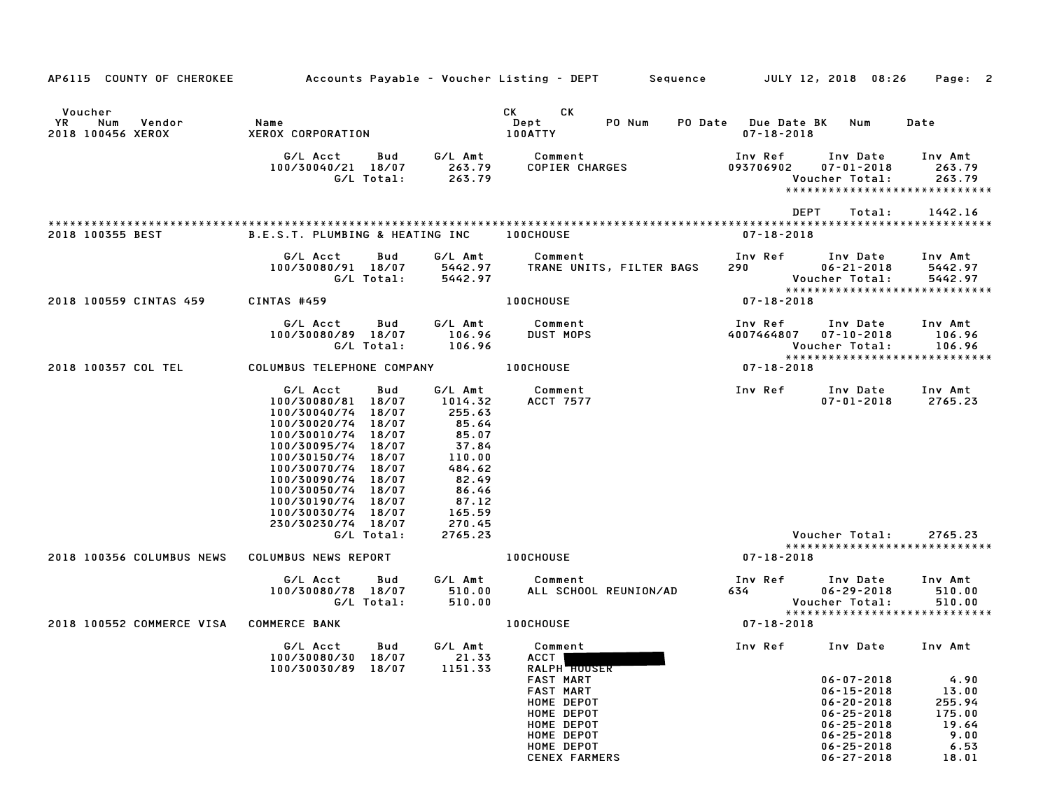| AP6115 COUNTY OF CHEROKEE                           |                                                                                                                                                                                                                                                                                                       |                                                                                                                                       | Accounts Payable – Voucher Listing – DEPT Sequence JULY 12, 2018 08:26                                                                                                                                                                                                    |                                         |                                                                                                                                                              | Page: 2                                                             |
|-----------------------------------------------------|-------------------------------------------------------------------------------------------------------------------------------------------------------------------------------------------------------------------------------------------------------------------------------------------------------|---------------------------------------------------------------------------------------------------------------------------------------|---------------------------------------------------------------------------------------------------------------------------------------------------------------------------------------------------------------------------------------------------------------------------|-----------------------------------------|--------------------------------------------------------------------------------------------------------------------------------------------------------------|---------------------------------------------------------------------|
| Voucher<br>YR<br>Num<br>Vendor<br>2018 100456 XEROX | Name<br>XEROX CORPORATION                                                                                                                                                                                                                                                                             |                                                                                                                                       | CK and the set of the set of the set of the set of the set of the set of the set of the set of the set of the set of the set of the set of the set of the set of the set of the set of the set of the set of the set of the se<br>CK.<br>Dept<br>PO Num<br><b>100ATTY</b> | PO Date Due Date BK<br>$07 - 18 - 2018$ | Num                                                                                                                                                          | Date                                                                |
|                                                     | G/L Acct<br><b>Bud</b><br>100/30040/21 18/07<br>G/L Total:                                                                                                                                                                                                                                            | 263.79<br>263.79                                                                                                                      | G/L Amt Comment<br>COPIER CHARGES                                                                                                                                                                                                                                         | Inv Ref<br>093706902                    | Inv Date Inv Amt<br>$07 - 01 - 2018$<br>Voucher Total:                                                                                                       | 263.79<br>263.79<br>*****************************                   |
| 2018 100355 BEST                                    | B.E.S.T. PLUMBING & HEATING INC 100CHOUSE                                                                                                                                                                                                                                                             |                                                                                                                                       |                                                                                                                                                                                                                                                                           | <b>DEPT</b><br>07-18-2018               | Total:                                                                                                                                                       | 1442.16                                                             |
|                                                     | G/L Acct<br>Bud<br>100/30080/91 18/07<br>G/L Total:                                                                                                                                                                                                                                                   | G/L Amt<br>5442.97<br>5442.97                                                                                                         | Comment<br>TRANE UNITS, FILTER BAGS                                                                                                                                                                                                                                       | Inv Ref<br>290                          | Inv Date<br>$06 - 21 - 2018$<br>Voucher Total:                                                                                                               | Inv Amt<br>5442.97<br>5442.97<br>*****************************      |
| 2018 100559 CINTAS 459                              | CINTAS #459                                                                                                                                                                                                                                                                                           |                                                                                                                                       | <b>100CHOUSE</b>                                                                                                                                                                                                                                                          | 07-18-2018                              |                                                                                                                                                              |                                                                     |
|                                                     | G/L Acct<br>Bud<br>100/30080/89 18/07<br>G/L Total:                                                                                                                                                                                                                                                   | G/L Amt<br>106.96<br>106.96                                                                                                           | Comment<br><b>DUST MOPS</b>                                                                                                                                                                                                                                               | Inv Ref<br>4007464807                   | Inv Date<br>$07 - 10 - 2018$<br>Voucher Total:                                                                                                               | Inv Amt<br>106.96<br>106.96                                         |
| 2018 100357 COL TEL                                 | COLUMBUS TELEPHONE COMPANY 100CHOUSE                                                                                                                                                                                                                                                                  |                                                                                                                                       |                                                                                                                                                                                                                                                                           | 07-18-2018                              |                                                                                                                                                              | *****************************                                       |
|                                                     | G/L Acct<br>Bud<br>100/30080/81 18/07<br>100/30040/74 18/07<br>100/30020/74 18/07<br>100/30010/74 18/07<br>100/30095/74 18/07<br>100/30150/74 18/07<br>100/30070/74 18/07<br>100/30090/74 18/07<br>100/30050/74 18/07<br>100/30190/74 18/07<br>100/30030/74 18/07<br>230/30230/74 18/07<br>G/L Total: | G/L Amt<br>1014.32<br>255.63<br>85.64<br>85.07<br>37.84<br>110.00<br>484.62<br>82.49<br>86.46<br>87.12<br>165.59<br>270.45<br>2765.23 | Comment<br>ACCT 7577                                                                                                                                                                                                                                                      | <b>Inv Ref</b>                          | Inv Date<br>$07 - 01 - 2018$<br>Voucher Total:                                                                                                               | Inv Amt<br>2765.23<br>2765.23                                       |
| 2018 100356 COLUMBUS NEWS                           | COLUMBUS NEWS REPORT                                                                                                                                                                                                                                                                                  |                                                                                                                                       | 100CHOUSE                                                                                                                                                                                                                                                                 | 07-18-2018                              |                                                                                                                                                              | *****************************                                       |
|                                                     | G/L Acct<br>Bud<br>100/30080/78 18/07<br>G/L Total:                                                                                                                                                                                                                                                   | G/L Amt<br>510.00<br>510.00                                                                                                           | Comment<br>ALL SCHOOL REUNION/AD                                                                                                                                                                                                                                          | Inv Ref<br>634 — 1                      | Inv Date<br>$06 - 29 - 2018$<br>Voucher Total:                                                                                                               | Inv Amt<br>510.00<br>510.00<br>******************************       |
| 2018 100552 COMMERCE VISA                           | <b>COMMERCE BANK</b>                                                                                                                                                                                                                                                                                  |                                                                                                                                       | <b>100CHOUSE</b>                                                                                                                                                                                                                                                          | $07 - 18 - 2018$                        |                                                                                                                                                              |                                                                     |
|                                                     | G/L Acct Bud G/L Amt Comment<br>100/30080/30 18/07<br>100/30030/89 18/07                                                                                                                                                                                                                              | 21.33<br>1151.33                                                                                                                      | ACCT  <br>RALPH <b>HOUSER</b><br><b>FAST MART</b><br>FAST MART<br>HOME DEPOT<br>HOME DEPOT<br>HOME DEPOT<br>HOME DEPOT<br>HOME DEPOT<br><b>CENEX FARMERS</b>                                                                                                              | Inv Ref      Inv Date     Inv Amt       | $06 - 07 - 2018$<br>$06 - 15 - 2018$<br>$06 - 20 - 2018$<br>$06 - 25 - 2018$<br>$06 - 25 - 2018$<br>$06 - 25 - 2018$<br>$06 - 25 - 2018$<br>$06 - 27 - 2018$ | 4.90<br>13.00<br>255.94<br>175.00<br>19.64<br>9.00<br>6.53<br>18.01 |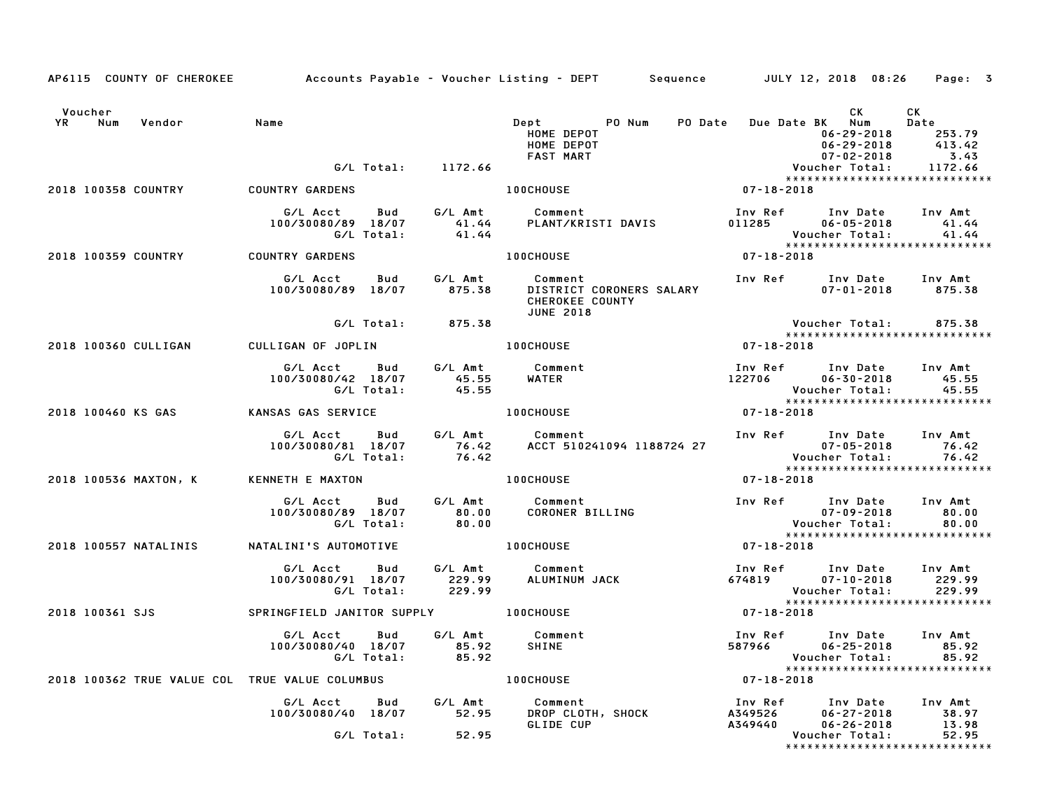|                   | AP6115 COUNTY OF CHEROKEE                            |                                                                                                            |                                        | Accounts Payable – Voucher Listing – DEPT         Sequence         JULY 12, 2018 08:26                                                                            |                                                             |                   |                                                                                                                                        | Page: 3                                           |  |
|-------------------|------------------------------------------------------|------------------------------------------------------------------------------------------------------------|----------------------------------------|-------------------------------------------------------------------------------------------------------------------------------------------------------------------|-------------------------------------------------------------|-------------------|----------------------------------------------------------------------------------------------------------------------------------------|---------------------------------------------------|--|
| Voucher<br>YR Num | Vendor                                               | Name                                                                                                       | G/L Total: 1172.66                     | Dept<br><b>HOME DEPOT</b>                                                                                                                                         | PO Num PO Date Due Date BK Num                              |                   | CK .<br>$06 - 29 - 2018$<br>$06 - 29 - 2018$<br>07-02-2018<br>Voucher Total:                                                           | CK<br>Date<br>253.79<br>413.42<br>3.43<br>1172.66 |  |
|                   | <b>2018 100358 COUNTRY</b>                           | <b>COUNTRY GARDENS</b>                                                                                     |                                        |                                                                                                                                                                   |                                                             |                   | *****************************                                                                                                          |                                                   |  |
|                   |                                                      |                                                                                                            |                                        |                                                                                                                                                                   |                                                             | Inv Ref<br>011285 | Inv Date<br>$06 - 05 - 2018$                                                                                                           | Inv Amt<br>41.44                                  |  |
|                   | 2018 100359 COUNTRY COUNTRY GARDENS                  |                                                                                                            |                                        | <b>100CHOUSE</b>                                                                                                                                                  |                                                             |                   |                                                                                                                                        |                                                   |  |
|                   |                                                      |                                                                                                            |                                        | DISTRICT CORONERS SALARY<br><b>CHEROKEE COUNTY</b><br><b>JUNE 2018</b>                                                                                            |                                                             |                   | Inv Ref Inv Date Inv Amt<br>$07 - 01 - 2018$                                                                                           | 875.38                                            |  |
|                   |                                                      |                                                                                                            | G/L Total: 875.38                      |                                                                                                                                                                   |                                                             |                   | Voucher Total:<br>*****************************                                                                                        | 875.38                                            |  |
|                   | 2018 100360 CULLIGAN                                 | CULLIGAN OF JOPLIN                                                                                         |                                        | 100CHOUSE AND ACCOUNTS                                                                                                                                            |                                                             | $07 - 18 - 2018$  |                                                                                                                                        |                                                   |  |
|                   |                                                      | G/L Acct Bud G/L Amt<br>100/30080/42 18/07                                                                 | 080/42 18/07 45.55<br>G/L Total: 45.55 | Comment<br>WATER                                                                                                                                                  | Inv Ret - Inv Date<br>22706 - 16-30-2018<br>- Yousban Total |                   | Inv Ref      Inv Date     Inv Amt<br>Voucher Total:                                                                                    | 45.55<br>45.55                                    |  |
|                   | 2018 100460 KS GAS                                   | KANSAS GAS SERVICE                                                                                         |                                        | <b>100CHOUSE</b>                                                                                                                                                  |                                                             | $07 - 18 - 2018$  |                                                                                                                                        |                                                   |  |
|                   |                                                      |                                                                                                            |                                        | G/L Acct Bud G/L Amt Comment Inv Ref Inv Date Inv Amt<br>100/30080/81 18/07 76.42 ACCT 510241094 1188724 27 07-05-2018 76.42<br>6/L Total: 76.42 6/L Total: 76.42 |                                                             |                   | *****************************                                                                                                          | 76.42<br>76.42                                    |  |
|                   | 2018 100536 MAXTON, K                                | <b>KENNETH E MAXTON</b>                                                                                    |                                        | <b>100CHOUSE</b>                                                                                                                                                  |                                                             | 07-18-2018        |                                                                                                                                        |                                                   |  |
|                   |                                                      | G/L Acct<br>100/30080/89 18/07 80.00<br>G/L Total:                                                         | 80.00                                  | Bud G/L Amt Comment<br>Comment<br>CORONER BILLING                                                                                                                 |                                                             |                   | Inv Ref Inv Date Inv Amt<br>$07 - 09 - 2018$<br>07-09-2018<br>: Voucher Total<br>***************<br>******************************     | 80.00<br>80.00                                    |  |
|                   | 2018 100557 NATALINIS                                |                                                                                                            |                                        | NATALINI'S AUTOMOTIVE <b>100CHOUSE</b>                                                                                                                            |                                                             | $07 - 18 - 2018$  |                                                                                                                                        |                                                   |  |
|                   |                                                      | G/L Acct Bud G/L Amt Comment<br>100/30080/91 18/07 229.99 ALUMINUM.<br>G/L Total: 229.99                   |                                        | ALUMINUM JACK                                                                                                                                                     |                                                             |                   | Inv Ref Inv Date Inv Amt<br>674819 07-10-2018<br>Voucher Total:<br>****************<br>07-18-2018<br>******************************    | 229.99<br>229.99                                  |  |
|                   | 2018 100361 SJS SPRINGFIELD JANITOR SUPPLY 100CHOUSE |                                                                                                            |                                        |                                                                                                                                                                   |                                                             |                   |                                                                                                                                        |                                                   |  |
|                   |                                                      |                                                                                                            |                                        |                                                                                                                                                                   |                                                             |                   | Voucher Total: 85.92<br>**********************************<br>07-18-2018                                                               | 85.92                                             |  |
|                   | 2018 100362 TRUE VALUE COL TRUE VALUE COLUMBUS       |                                                                                                            |                                        | <b>100CHOUSE</b>                                                                                                                                                  |                                                             |                   |                                                                                                                                        |                                                   |  |
|                   |                                                      | G/L Acct Bud G/L Amt Comment<br>100/30080/40 18/07 52.95 DROP CLOTH<br>100/30080/40 18/07 52.95 PROP CLOTH | G/L Total: 52.95                       | Comment<br>DROP CLOTH, SHOCK<br>GLIDE CUP                                                                                                                         |                                                             |                   | 1nv Ref       Inv Date     Inv Amt<br>A349526       06–27–2018         38.97<br>A349440       06–26–2018       13.98<br>Voucher Total: | 38.97<br>13.98<br>52.95                           |  |
|                   |                                                      |                                                                                                            |                                        |                                                                                                                                                                   |                                                             |                   | *****************************                                                                                                          |                                                   |  |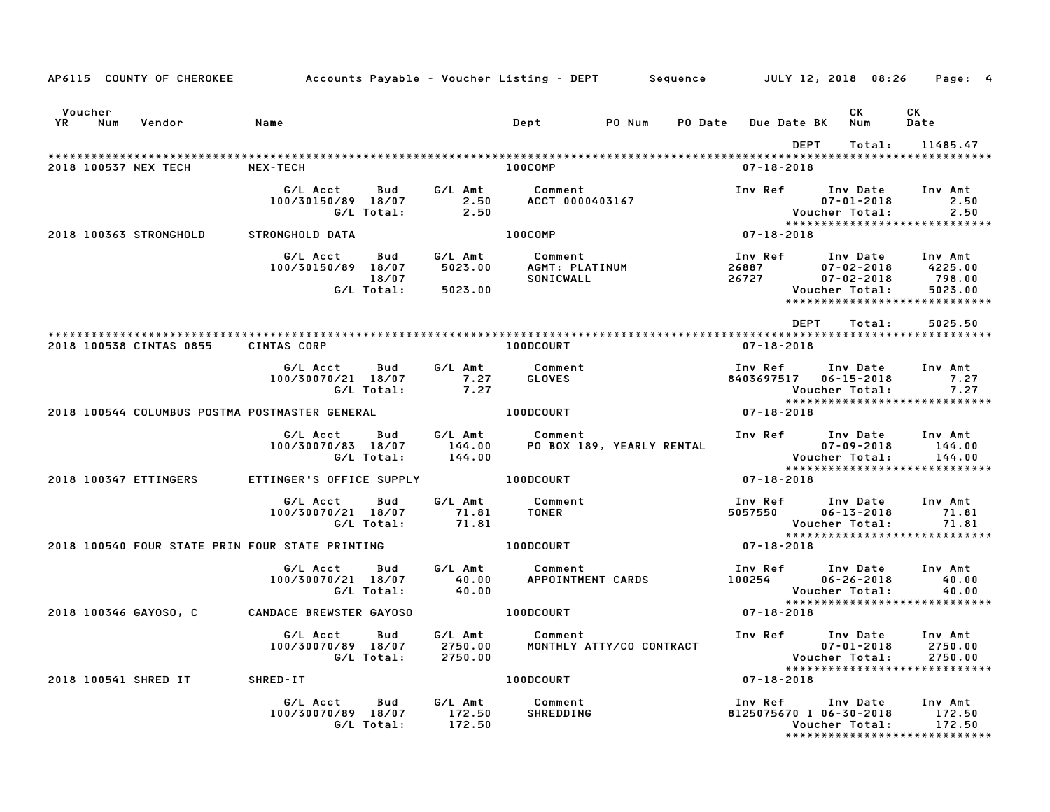|                      |     | AP6115 COUNTY OF CHEROKEE | Accounts Payable – Voucher Listing – DEPT         Sequence |                            |                               |                                        |                           |         |                                             | JULY 12, 2018 08:26                                          | Page: 4                                                                  |
|----------------------|-----|---------------------------|------------------------------------------------------------|----------------------------|-------------------------------|----------------------------------------|---------------------------|---------|---------------------------------------------|--------------------------------------------------------------|--------------------------------------------------------------------------|
| Voucher<br><b>YR</b> | Num | Vendor                    | Name                                                       |                            |                               | Dept                                   | PO Num                    | PO Date | <b>Due Date BK</b>                          | CK<br>Num                                                    | CK<br>Date                                                               |
|                      |     | 2018 100537 NEX TECH      | NEX-TECH                                                   |                            |                               | 100COMP                                |                           |         | $07 - 18 - 2018$                            | <b>DEPT</b><br>Total:                                        | 11485.47                                                                 |
|                      |     |                           | G/L Acct<br>100/30150/89 18/07                             | Bud<br>G/L Total:          | G/L Amt<br>2.50<br>2.50       | Comment<br>ACCT 0000403167             |                           |         | Inv Ref                                     | Inv Date<br>$07 - 01 - 2018$<br>Voucher Total:               | Inv Amt<br>2.50<br>2.50                                                  |
|                      |     | 2018 100363 STRONGHOLD    | STRONGHOLD DATA                                            |                            |                               | 100COMP                                |                           |         | $07 - 18 - 2018$                            |                                                              | *****************************                                            |
|                      |     |                           | G/L Acct<br>100/30150/89 18/07                             | Bud<br>18/07<br>G/L Total: | G/L Amt<br>5023.00<br>5023.00 | Comment<br>AGMT: PLATINUM<br>SONICWALL |                           |         | Inv Ref<br>26887<br>26727                   | Inv Date<br>$07 - 02 - 2018$<br>07-02-2018<br>Voucher Total: | Inv Amt<br>4225.00<br>798.00<br>5023.00<br>***************************** |
|                      |     |                           |                                                            |                            |                               |                                        |                           |         |                                             | <b>DEPT</b><br>Total:                                        | 5025.50                                                                  |
|                      |     | 2018 100538 CINTAS 0855   | CINTAS CORP                                                |                            |                               | <b>100DCOURT</b>                       |                           |         | $07 - 18 - 2018$                            |                                                              |                                                                          |
|                      |     |                           | G/L Acct<br>100/30070/21 18/07                             | Bud<br>G/L Total:          | G/L Amt<br>7.27<br>7.27       | Comment<br>GLOVES                      |                           |         | Inv Ref<br>8403697517 06-15-2018            | Inv Date<br>Voucher Total:                                   | Inv Amt<br>7.27<br>7.27                                                  |
|                      |     |                           | 2018 100544 COLUMBUS POSTMA POSTMASTER GENERAL             |                            |                               | 100DCOURT                              |                           |         | $07 - 18 - 2018$                            |                                                              | *****************************                                            |
|                      |     |                           | G/L Acct<br>100/30070/83 18/07                             | Bud<br>G/L Total:          | G/L Amt<br>144.00<br>144.00   | Comment                                | PO BOX 189, YEARLY RENTAL |         | Inv Ref                                     | Inv Date<br>$07 - 09 - 2018$<br>Voucher Total:               | Inv Amt<br>144.00<br>144.00                                              |
|                      |     | 2018 100347 ETTINGERS     | ETTINGER'S OFFICE SUPPLY                                   |                            |                               | <b>100DCOURT</b>                       |                           |         | $07 - 18 - 2018$                            |                                                              | *****************************                                            |
|                      |     |                           | G/L Acct<br>100/30070/21 18/07                             | Bud<br>G/L Total:          | G/L Amt<br>71.81<br>71.81     | Comment<br><b>TONER</b>                |                           |         | Inv Ref<br>5057550                          | Inv Date<br>$06 - 13 - 2018$<br>Voucher Total:               | Inv Amt<br>71.81<br>71.81                                                |
|                      |     |                           | 2018 100540 FOUR STATE PRIN FOUR STATE PRINTING            |                            |                               | <b>100DCOURT</b>                       |                           |         | $07 - 18 - 2018$                            |                                                              | *****************************                                            |
|                      |     |                           | G/L Acct<br>100/30070/21 18/07                             | Bud<br>G/L Total:          | G/L Amt<br>40.00<br>40.00     | Comment<br>APPOINTMENT CARDS           |                           |         | Inv Ref      Inv Date<br>100254             | $06 - 26 - 2018$<br>Voucher Total:                           | Inv Amt<br>40.00<br>40.00                                                |
|                      |     | 2018 100346 GAYOSO, C     | CANDACE BREWSTER GAYOSO                                    |                            |                               | 100DCOURT                              |                           |         | $07 - 18 - 2018$                            |                                                              | *****************************                                            |
|                      |     |                           | G/L Acct<br>100/30070/89 18/07                             | Bud<br>G/L Total:          | G/L Amt<br>2750.00<br>2750.00 | Comment                                | MONTHLY ATTY/CO CONTRACT  |         | Inv Ref                                     | Inv Date<br>$07 - 01 - 2018$<br>Voucher Total:               | Inv Amt<br>2750.00<br>2750.00<br>*****************************           |
|                      |     | 2018 100541 SHRED IT      | SHRED-IT                                                   |                            |                               | 100DCOURT                              |                           |         | $07 - 18 - 2018$                            |                                                              |                                                                          |
|                      |     |                           | G/L Acct<br>100/30070/89 18/07                             | Bud<br>G/L Total:          | G/L Amt<br>172.50<br>172.50   | Comment<br><b>SHREDDING</b>            |                           |         | Inv Ref Inv Date<br>8125075670 1 06-30-2018 | Voucher Total:                                               | Inv Amt<br>172.50<br>172.50<br>*******************************           |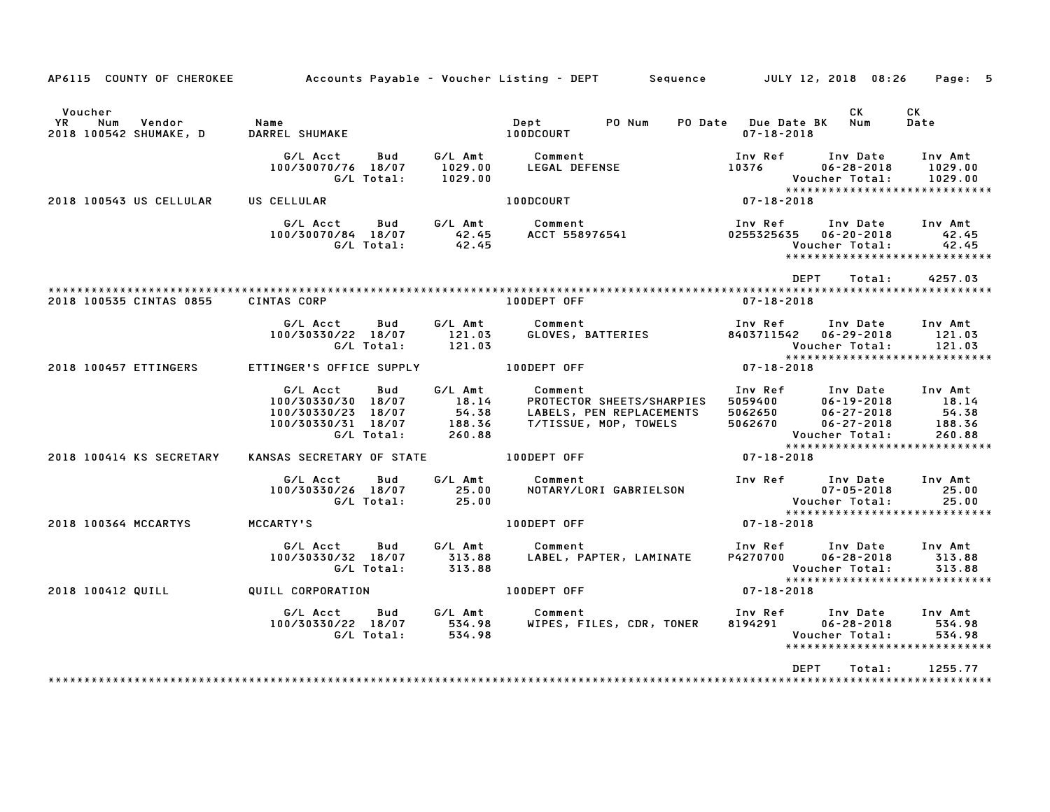| AP6115 COUNTY OF CHEROKEE                                |                                                                                                    |                                               | Accounts Payable – Voucher Listing – DEPT         Sequence         JULY 12, 2018  08:26   |                                          | Page: 5                                                                                                                                                                   |
|----------------------------------------------------------|----------------------------------------------------------------------------------------------------|-----------------------------------------------|-------------------------------------------------------------------------------------------|------------------------------------------|---------------------------------------------------------------------------------------------------------------------------------------------------------------------------|
| Voucher<br>YR<br>Num<br>Vendor<br>2018 100542 SHUMAKE, D | Name<br>DARREL SHUMAKE                                                                             |                                               | PO Num<br>Dept<br>100DCOURT                                                               | PO Date Due Date BK<br>$07 - 18 - 2018$  | CK<br>CK<br>Num<br>Date                                                                                                                                                   |
|                                                          | G/L Acct<br>Bud<br>100/30070/76 18/07<br>G/L Total:                                                | G/L Amt<br>1029.00<br>1029.00                 | Comment<br>LEGAL DEFENSE                                                                  | Inv Ref<br>10376                         | Inv Date<br>Inv Amt<br>$06 - 28 - 2018$<br>1029.00<br>Voucher Total:<br>1029.00<br>*****************************                                                          |
| 2018 100543 US CELLULAR                                  | US CELLULAR                                                                                        |                                               | 100DCOURT                                                                                 | $07 - 18 - 2018$                         |                                                                                                                                                                           |
|                                                          | G/L Acct<br>Bud<br>100/30070/84 18/07<br>G/L Total:                                                | G/L Amt<br>42.45<br>42.45                     | Comment<br>ACCT 558976541                                                                 | Inv Ref<br>0255325635                    | Inv Date<br>Inv Amt<br>$06 - 20 - 2018$<br>42.45<br>Voucher Total:<br>42.45<br>*****************************                                                              |
|                                                          |                                                                                                    |                                               |                                                                                           | <b>DEPT</b>                              | 4257.03<br>Total:                                                                                                                                                         |
| 2018 100535 CINTAS 0855                                  | CINTAS CORP                                                                                        |                                               | 100DEPT OFF                                                                               | $07 - 18 - 2018$                         |                                                                                                                                                                           |
|                                                          | G/L Acct<br>Bud<br>100/30330/22 18/07<br>G/L Total:                                                | G/L Amt<br>121.03<br>121.03                   | Comment<br>GLOVES, BATTERIES                                                              | Inv Ref<br>8403711542                    | Inv Date<br>Inv Amt<br>$06 - 29 - 2018$<br>121.03<br>Voucher Total:<br>121.03                                                                                             |
| 2018 100457 ETTINGERS                                    | ETTINGER'S OFFICE SUPPLY                                                                           |                                               | 100DEPT OFF                                                                               | 07-18-2018                               | *****************************                                                                                                                                             |
|                                                          | G/L Acct<br>Bud<br>100/30330/30 18/07<br>100/30330/23<br>18/07<br>100/30330/31 18/07<br>G/L Total: | G/L Amt<br>18.14<br>54.38<br>188.36<br>260.88 | Comment<br>PROTECTOR SHEETS/SHARPIES<br>LABELS, PEN REPLACEMENTS<br>T/TISSUE, MOP, TOWELS | Inv Ref<br>5059400<br>5062650<br>5062670 | Inv Date<br>Inv Amt<br>18.14<br>$06 - 19 - 2018$<br>54.38<br>$06 - 27 - 2018$<br>188.36<br>$06 - 27 - 2018$<br>Voucher Total:<br>260.88<br>****************************** |
| 2018 100414 KS SECRETARY                                 | KANSAS SECRETARY OF STATE                                                                          |                                               | 100DEPT OFF                                                                               | 07-18-2018                               |                                                                                                                                                                           |
|                                                          | G/L Acct<br>Bud<br>100/30330/26 18/07<br>G/L Total:                                                | G/L Amt<br>25.00<br>25.00                     | Comment<br>NOTARY/LORI GABRIELSON                                                         | Inv Ref<br>Voucher Total:                | Inv Date<br>Inv Amt<br>$07 - 05 - 2018$<br>25.00<br>25.00<br>*****************************                                                                                |
| 2018 100364 MCCARTYS                                     | MCCARTY'S                                                                                          |                                               | 100DEPT OFF                                                                               | 07-18-2018                               |                                                                                                                                                                           |
|                                                          | G/L Acct<br>Bud<br>100/30330/32 18/07<br>G/L Total:                                                | G/L Amt<br>313.88<br>313.88                   | Comment<br>LABEL, PAPTER, LAMINATE                                                        | Inv Ref<br>P4270700                      | Inv Date<br>Inv Amt<br>$06 - 28 - 2018$<br>313.88<br>Voucher Total:<br>313.88<br>*****************************                                                            |
| 2018 100412 QUILL                                        | QUILL CORPORATION                                                                                  |                                               | 100DEPT OFF                                                                               | $07 - 18 - 2018$                         |                                                                                                                                                                           |
|                                                          | G/L Acct<br>Bud<br>100/30330/22 18/07<br>G/L Total:                                                | G/L Amt<br>534.98<br>534.98                   | Comment<br>WIPES, FILES, CDR, TONER                                                       | Inv Ref<br>8194291                       | Inv Date<br>Inv Amt<br>$06 - 28 - 2018$<br>534.98<br>Voucher Total:<br>534.98<br>*****************************                                                            |
|                                                          |                                                                                                    |                                               |                                                                                           | <b>DEPT</b>                              | Total:<br>1255.77                                                                                                                                                         |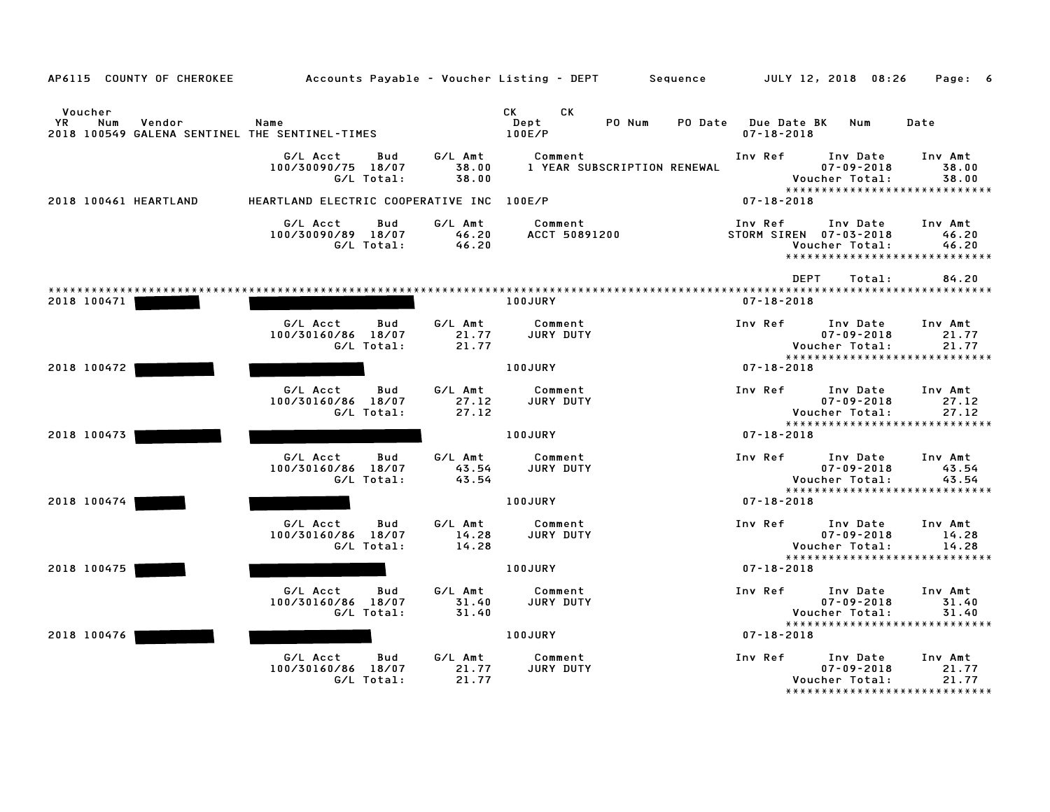| AP6115 COUNTY OF CHEROKEE                                                         |                                                        |                           | Accounts Payable – Voucher Listing – DEPT Sequence | JULY 12, 2018 08:26                                 | Page: 6                                                                                      |
|-----------------------------------------------------------------------------------|--------------------------------------------------------|---------------------------|----------------------------------------------------|-----------------------------------------------------|----------------------------------------------------------------------------------------------|
| Voucher<br>Vendor<br>YR.<br>Num<br>2018 100549 GALENA SENTINEL THE SENTINEL-TIMES | Name                                                   |                           | CK<br>СK<br>Dept<br>PO Num<br>PO Date<br>100E/P    | Due Date BK<br>$07 - 18 - 2018$                     | Num<br>Date                                                                                  |
|                                                                                   | G/L Acct<br>Bud<br>100/30090/75 18/07<br>G/L Total:    | G/L Amt<br>38.00<br>38.00 | Comment<br>1 YEAR SUBSCRIPTION RENEWAL             | Inv Ref<br>Voucher Total:                           | Inv Date<br>Inv Amt<br>$07 - 09 - 2018$<br>38.00<br>38.00<br>*****************************   |
| 2018 100461 HEARTLAND                                                             | HEARTLAND ELECTRIC COOPERATIVE INC                     |                           | 100E/P                                             | $07 - 18 - 2018$                                    |                                                                                              |
|                                                                                   | G/L Acct<br>Bud<br>100/30090/89 18/07<br>G/L Total:    | G/L Amt<br>46.20<br>46.20 | Comment<br>ACCT 50891200                           | Inv Ref<br>STORM SIREN 07-03-2018<br>Voucher Total: | Inv Date<br>Inv Amt<br>46.20<br>46.20<br>*****************************                       |
|                                                                                   |                                                        |                           |                                                    | <b>DEPT</b>                                         | 84.20<br>Total:                                                                              |
| 2018 100471                                                                       |                                                        |                           | <b>100JURY</b>                                     | $07 - 18 - 2018$                                    |                                                                                              |
|                                                                                   | G/L Acct<br>Bud<br>100/30160/86<br>18/07<br>G/L Total: | G/L Amt<br>21.77<br>21.77 | Comment<br>JURY DUTY                               | Inv Ref<br>Voucher Total:                           | Inv Date<br>Inv Amt<br>$07 - 09 - 2018$<br>21.77<br>21.77                                    |
| 2018 100472                                                                       |                                                        |                           | 100JURY                                            | $07 - 18 - 2018$                                    | *****************************                                                                |
|                                                                                   |                                                        |                           |                                                    |                                                     |                                                                                              |
|                                                                                   | G/L Acct<br>Bud<br>100/30160/86 18/07<br>G/L Total:    | G/L Amt<br>27.12<br>27.12 | Comment<br>JURY DUTY                               | Inv Ref<br>Voucher Total:                           | Inv Date<br>Inv Amt<br>$07 - 09 - 2018$<br>27.12<br>27.12                                    |
| 2018 100473                                                                       |                                                        |                           | 100JURY                                            | $07 - 18 - 2018$                                    | *****************************                                                                |
|                                                                                   | G/L Acct<br>Bud<br>100/30160/86 18/07                  | G/L Amt<br>43.54          | Comment<br><b>JURY DUTY</b>                        | Inv Ref                                             | Inv Date<br>Inv Amt<br>$07 - 09 - 2018$<br>43.54                                             |
|                                                                                   | G/L Total:                                             | 43.54                     |                                                    | Voucher Total:                                      | 43.54<br>*****************************                                                       |
| 2018 100474                                                                       |                                                        |                           | 100JURY                                            | $07 - 18 - 2018$                                    |                                                                                              |
|                                                                                   | G/L Acct<br>Bud<br>100/30160/86 18/07<br>G/L Total:    | G/L Amt<br>14.28<br>14.28 | Comment<br><b>JURY DUTY</b>                        | Inv Ref<br>Voucher Total:                           | Inv Date<br>Inv Amt<br>$07 - 09 - 2018$<br>14.28<br>14.28                                    |
| 2018 100475                                                                       |                                                        |                           | 100JURY                                            | $07 - 18 - 2018$                                    | *****************************                                                                |
|                                                                                   |                                                        |                           |                                                    |                                                     |                                                                                              |
|                                                                                   | G/L Acct<br>Bud<br>100/30160/86 18/07<br>G/L Total:    | G/L Amt<br>31.40<br>31.40 | Comment<br>JURY DUTY                               | Inv Ref<br>Voucher Total:                           | Inv Date<br>Inv Amt<br>$07 - 09 - 2018$<br>31.40<br>31.40                                    |
| 2018 100476                                                                       |                                                        |                           | 100JURY                                            | $07 - 18 - 2018$                                    | *****************************                                                                |
|                                                                                   | G/L Acct<br>Bud<br>100/30160/86<br>18/07<br>G/L Total: | G/L Amt<br>21.77<br>21.77 | Comment<br>JURY DUTY                               | Inv Ref<br>Voucher Total:                           | Inv Date<br>Inv Amt<br>$07 - 09 - 2018$<br>21.77<br>21.77<br>******************************* |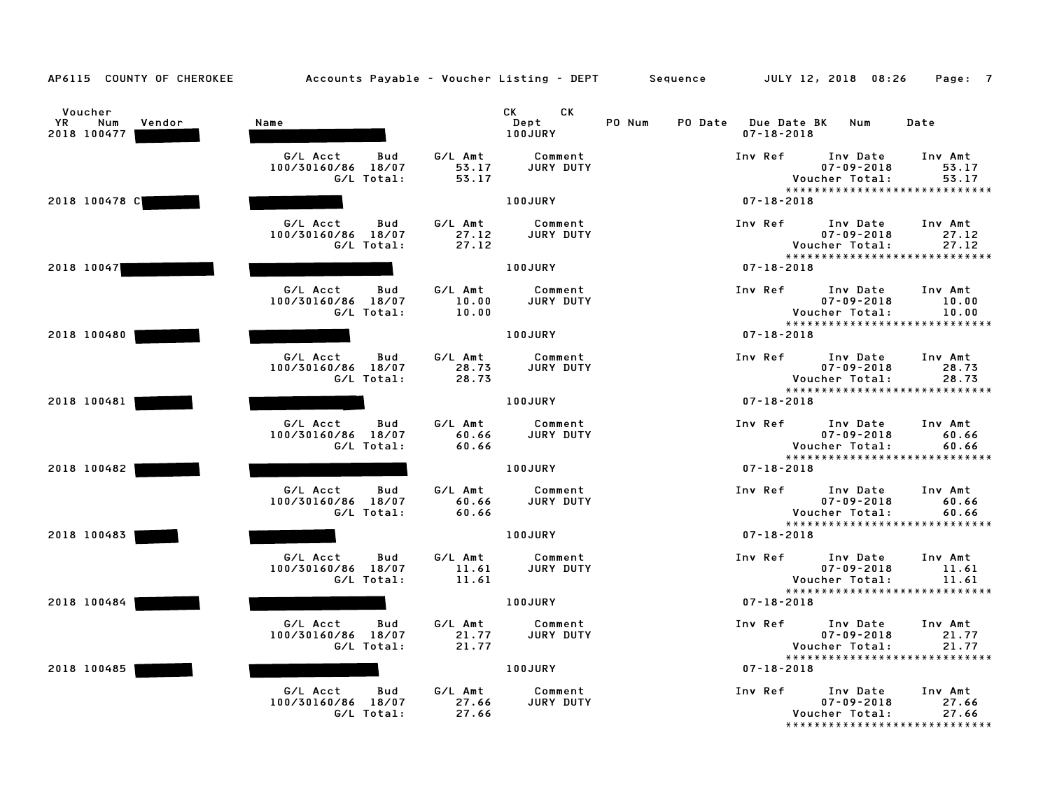| AP6115 COUNTY OF CHEROKEE                     | Accounts Payable – Voucher Listing – DEPT Sequence  |                           |                                                                                                                                                                                                                                                         |        |                                             | JULY 12, 2018 08:26                            | Page: 7                                                     |
|-----------------------------------------------|-----------------------------------------------------|---------------------------|---------------------------------------------------------------------------------------------------------------------------------------------------------------------------------------------------------------------------------------------------------|--------|---------------------------------------------|------------------------------------------------|-------------------------------------------------------------|
| Voucher<br>YR<br>Num<br>Vendor<br>2018 100477 | Name                                                |                           | CK the control of the control of the control of the control of the control of the control of the control of the control of the control of the control of the control of the control of the control of the control of the contr<br>CK<br>Dept<br>100JURY | PO Num | PO Date Due Date BK Num<br>$07 - 18 - 2018$ |                                                | Date                                                        |
|                                               | G/L Acct<br>Bud<br>100/30160/86 18/07<br>G/L Total: | G/L Amt<br>53.17<br>53.17 | Comment<br>JURY DUTY                                                                                                                                                                                                                                    |        | Inv Ref                                     | Inv Date<br>$07 - 09 - 2018$<br>Voucher Total: | Inv Amt<br>53.17<br>53.17<br>*****************************  |
| 2018 100478 C                                 |                                                     |                           | 100JURY                                                                                                                                                                                                                                                 |        | $07 - 18 - 2018$                            |                                                |                                                             |
|                                               | G/L Acct<br>Bud<br>100/30160/86 18/07<br>G/L Total: | G/L Amt<br>27.12<br>27.12 | Comment<br>JURY DUTY                                                                                                                                                                                                                                    |        | Inv Ref                                     | Inv Date<br>$07 - 09 - 2018$<br>Voucher Total: | Inv Amt<br>27.12<br>27.12<br>*****************************  |
| 2018 10047                                    |                                                     |                           | 100JURY                                                                                                                                                                                                                                                 |        | $07 - 18 - 2018$                            |                                                |                                                             |
|                                               | G/L Acct<br>Bud<br>100/30160/86 18/07<br>G/L Total: | G/L Amt<br>10.00<br>10.00 | Comment<br>JURY DUTY                                                                                                                                                                                                                                    |        | Inv Ref                                     | Inv Date<br>$07 - 09 - 2018$<br>Voucher Total: | Inv Amt<br>10.00<br>10.00<br>*****************************  |
| 2018 100480                                   |                                                     |                           | 100JURY                                                                                                                                                                                                                                                 |        | $07 - 18 - 2018$                            |                                                |                                                             |
|                                               | G/L Acct<br>Bud<br>100/30160/86 18/07<br>G/L Total: | G/L Amt<br>28.73<br>28.73 | Comment<br>JURY DUTY                                                                                                                                                                                                                                    |        | Inv Ref                                     | Inv Date<br>$07 - 09 - 2018$<br>Voucher Total: | Inv Amt<br>28.73<br>28.73<br>*****************************  |
| 2018 100481                                   |                                                     |                           | 100JURY                                                                                                                                                                                                                                                 |        | $07 - 18 - 2018$                            |                                                |                                                             |
|                                               | G/L Acct<br>Bud<br>100/30160/86 18/07<br>G/L Total: | G/L Amt<br>60.66<br>60.66 | Comment<br>JURY DUTY                                                                                                                                                                                                                                    |        | Inv Ref                                     | Inv Date<br>$07 - 09 - 2018$<br>Voucher Total: | Inv Amt<br>60.66<br>60.66<br>*****************************  |
| 2018 100482                                   |                                                     |                           | 100JURY                                                                                                                                                                                                                                                 |        | $07 - 18 - 2018$                            |                                                |                                                             |
|                                               | G/L Acct<br>Bud<br>100/30160/86 18/07<br>G/L Total: | G/L Amt<br>60.66<br>60.66 | Comment<br>JURY DUTY                                                                                                                                                                                                                                    |        | Inv Ref Inv Date                            | $07 - 09 - 2018$<br>Voucher Total:             | Inv Amt<br>60.66<br>60.66<br>****************************** |
| 2018 100483                                   |                                                     |                           | 100JURY                                                                                                                                                                                                                                                 |        | $07 - 18 - 2018$                            |                                                |                                                             |
|                                               | G/L Acct<br>Bud<br>100/30160/86 18/07<br>G/L Total: | G/L Amt<br>11.61<br>11.61 | Comment<br>JURY DUTY                                                                                                                                                                                                                                    |        | Inv Ref                                     | Inv Date<br>$07 - 09 - 2018$<br>Voucher Total: | Inv Amt<br>11.61<br>11.61                                   |
| 2018 100484                                   |                                                     |                           | <b>100JURY</b>                                                                                                                                                                                                                                          |        | $07 - 18 - 2018$                            |                                                | *****************************                               |
|                                               | G/L Acct<br>Bud<br>100/30160/86 18/07<br>G/L Total: | G/L Amt<br>21.77<br>21.77 | Comment<br>JURY DUTY                                                                                                                                                                                                                                    |        | Inv Ref                                     | Inv Date<br>$07 - 09 - 2018$<br>Voucher Total: | Inv Amt<br>21.77<br>21.77                                   |
| 2018 100485                                   |                                                     |                           | 100JURY                                                                                                                                                                                                                                                 |        | 07-18-2018                                  |                                                | *****************************                               |
|                                               | G/L Acct<br>Bud<br>100/30160/86 18/07<br>G/L Total: | G/L Amt<br>27.66<br>27.66 | Comment<br>JURY DUTY                                                                                                                                                                                                                                    |        | Inv Ref                                     | Inv Date<br>$07 - 09 - 2018$<br>Voucher Total: | Inv Amt<br>27.66<br>27.66<br>*****************************  |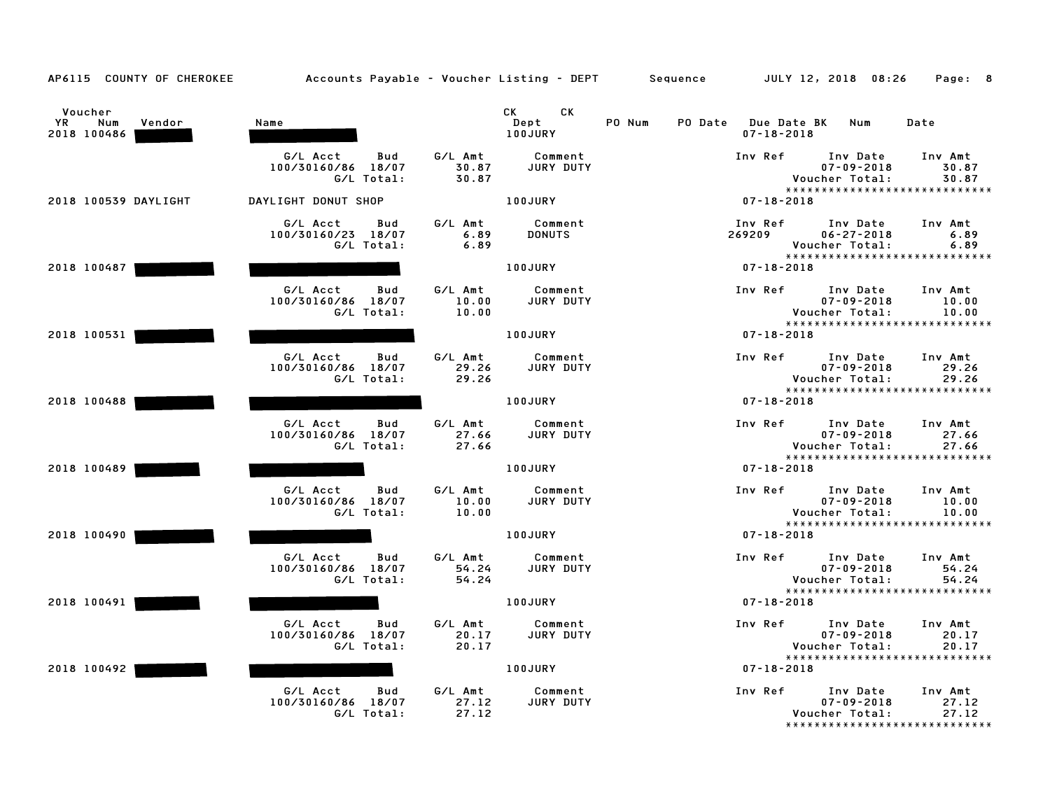| AP6115 COUNTY OF CHEROKEE                            | Accounts Payable – Voucher Listing – DEPT         Sequence |                           |                              |        |                                         | JULY 12, 2018 08:26                                                              | Page: 8                   |
|------------------------------------------------------|------------------------------------------------------------|---------------------------|------------------------------|--------|-----------------------------------------|----------------------------------------------------------------------------------|---------------------------|
| Voucher<br><b>YR</b><br>Num<br>Vendor<br>2018 100486 | Name                                                       |                           | CK<br>CK.<br>Dept<br>100JURY | PO Num | PO Date Due Date BK<br>$07 - 18 - 2018$ | Num                                                                              | Date                      |
|                                                      | G/L Acct<br>Bud<br>100/30160/86 18/07<br>G/L Total:        | G/L Amt<br>30.87<br>30.87 | Comment<br>JURY DUTY         |        | Inv Ref                                 | Inv Date<br>$07 - 09 - 2018$<br>Voucher Total:<br>*****************************  | Inv Amt<br>30.87<br>30.87 |
| 2018 100539 DAYLIGHT                                 | DAYLIGHT DONUT SHOP                                        |                           | 100JURY                      |        | $07 - 18 - 2018$                        |                                                                                  |                           |
|                                                      | G/L Acct<br>Bud<br>100/30160/23 18/07<br>G/L Total:        | G/L Amt<br>6.89<br>6.89   | Comment<br><b>DONUTS</b>     |        | Inv Ref<br>269209                       | Inv Date<br>$06 - 27 - 2018$<br>Voucher Total:<br>*****************************  | Inv Amt<br>6.89<br>6.89   |
| 2018 100487                                          |                                                            |                           | 100JURY                      |        | $07 - 18 - 2018$                        |                                                                                  |                           |
|                                                      | G/L Acct<br>Bud<br>100/30160/86 18/07<br>G/L Total:        | G/L Amt<br>10.00<br>10.00 | Comment<br>JURY DUTY         |        | Inv Ref                                 | Inv Date<br>$07 - 09 - 2018$<br>Voucher Total:<br>*****************************  | Inv Amt<br>10.00<br>10.00 |
| 2018 100531                                          |                                                            |                           | <b>100JURY</b>               |        | $07 - 18 - 2018$                        |                                                                                  |                           |
|                                                      | G/L Acct<br>Bud<br>100/30160/86 18/07<br>G/L Total:        | G/L Amt<br>29.26<br>29.26 | Comment<br>JURY DUTY         |        | Inv Ref                                 | Inv Date<br>$07 - 09 - 2018$<br>Voucher Total:<br>*****************************  | Inv Amt<br>29.26<br>29.26 |
| 2018 100488                                          |                                                            |                           | 100JURY                      |        | $07 - 18 - 2018$                        |                                                                                  |                           |
|                                                      | G/L Acct<br>Bud<br>100/30160/86 18/07<br>G/L Total:        | G/L Amt<br>27.66<br>27.66 | Comment<br>JURY DUTY         |        | Inv Ref                                 | Inv Date<br>$07 - 09 - 2018$<br>Voucher Total:<br>*****************************  | Inv Amt<br>27.66<br>27.66 |
| 2018 100489                                          |                                                            |                           | 100JURY                      |        | $07 - 18 - 2018$                        |                                                                                  |                           |
|                                                      | G/L Acct<br>Bud<br>100/30160/86 18/07<br>G/L Total:        | G/L Amt<br>10.00<br>10.00 | Comment<br>JURY DUTY         |        | Inv Ref                                 | Inv Date<br>$07 - 09 - 2018$<br>Voucher Total:<br>****************************** | Inv Amt<br>10.00<br>10.00 |
| 2018 100490                                          |                                                            |                           | 100JURY                      |        | $07 - 18 - 2018$                        |                                                                                  |                           |
|                                                      | G/L Acct<br>Bud<br>100/30160/86 18/07<br>G/L Total:        | G/L Amt<br>54.24<br>54.24 | Comment<br><b>JURY DUTY</b>  |        | Inv Ref                                 | Inv Date<br>$07 - 09 - 2018$<br>Voucher Total:                                   | Inv Amt<br>54.24<br>54.24 |
| 2018 100491                                          |                                                            |                           | 100JURY                      |        | $07 - 18 - 2018$                        | *****************************                                                    |                           |
|                                                      | G/L Acct<br>Bud<br>100/30160/86 18/07<br>G/L Total:        | G/L Amt<br>20.17<br>20.17 | Comment<br>JURY DUTY         |        | Inv Ref                                 | Inv Date<br>$07 - 09 - 2018$<br>Voucher Total:                                   | Inv Amt<br>20.17<br>20.17 |
| 2018 100492                                          |                                                            |                           | <b>100JURY</b>               |        | $07 - 18 - 2018$                        | *****************************                                                    |                           |
|                                                      | G/L Acct<br>Bud<br>100/30160/86 18/07<br>G/L Total:        | G/L Amt<br>27.12<br>27.12 | Comment<br>JURY DUTY         |        | Inv Ref                                 | Inv Date<br>$07 - 09 - 2018$<br>Voucher Total:<br>*****************************  | Inv Amt<br>27.12<br>27.12 |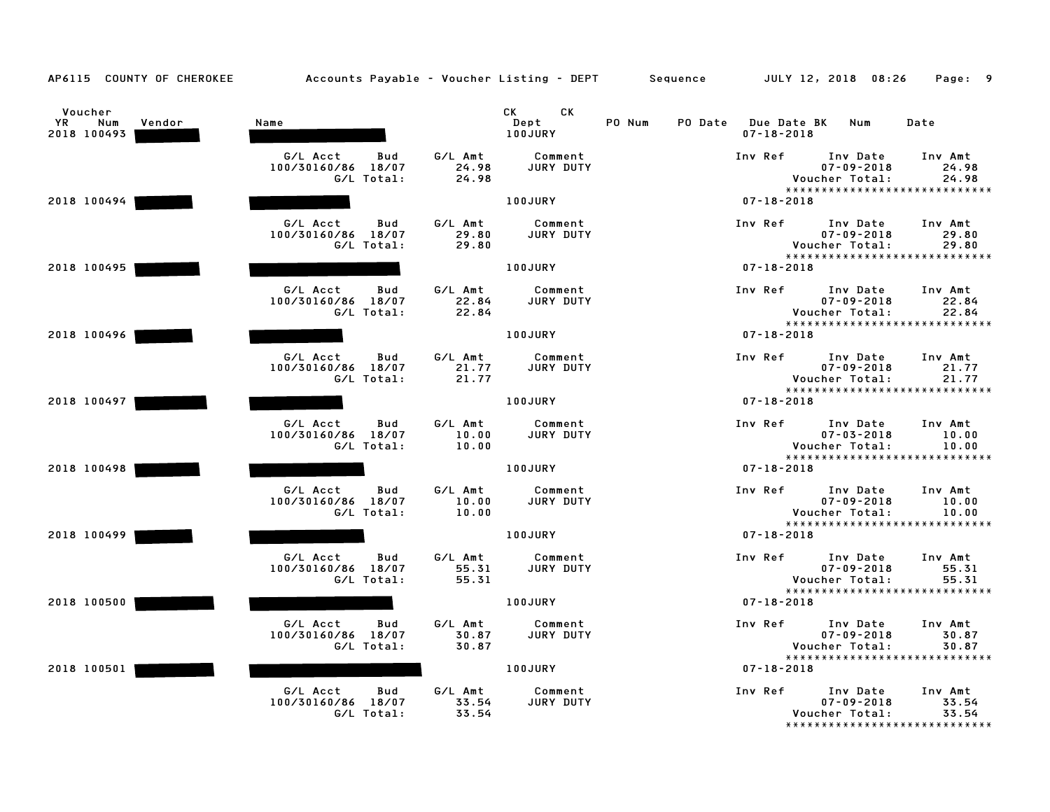| AP6115 COUNTY OF CHEROKEE                     | Accounts Payable - Voucher Listing - DEPT Sequence  |                           |                               |        |                                         | JULY 12, 2018 08:26                            | Page: 9                                                     |
|-----------------------------------------------|-----------------------------------------------------|---------------------------|-------------------------------|--------|-----------------------------------------|------------------------------------------------|-------------------------------------------------------------|
| Voucher<br>YR<br>Num<br>Vendor<br>2018 100493 | Name                                                |                           | CK<br>CK .<br>Dept<br>100JURY | PO Num | PO Date Due Date BK<br>$07 - 18 - 2018$ | Num                                            | Date                                                        |
|                                               | G/L Acct<br>Bud<br>100/30160/86 18/07<br>G/L Total: | G/L Amt<br>24.98<br>24.98 | Comment<br>JURY DUTY          |        | Inv Ref                                 | Inv Date<br>$07 - 09 - 2018$<br>Voucher Total: | Inv Amt<br>24.98<br>24.98<br>*****************************  |
| 2018 100494                                   |                                                     |                           | 100JURY                       |        | $07 - 18 - 2018$                        |                                                |                                                             |
|                                               | G/L Acct<br>Bud<br>100/30160/86 18/07<br>G/L Total: | G/L Amt<br>29.80<br>29.80 | Comment<br><b>JURY DUTY</b>   |        | Inv Ref                                 | Inv Date<br>$07 - 09 - 2018$<br>Voucher Total: | Inv Amt<br>29.80<br>29.80<br>*****************************  |
| 2018 100495                                   |                                                     |                           | 100JURY                       |        | $07 - 18 - 2018$                        |                                                |                                                             |
|                                               | G/L Acct<br>Bud<br>100/30160/86 18/07<br>G/L Total: | G/L Amt<br>22.84<br>22.84 | Comment<br>JURY DUTY          |        | Inv Ref                                 | Inv Date<br>$07 - 09 - 2018$<br>Voucher Total: | Inv Amt<br>22.84<br>22.84<br>*****************************  |
| 2018 100496                                   |                                                     |                           | 100JURY                       |        | $07 - 18 - 2018$                        |                                                |                                                             |
|                                               | G/L Acct<br>Bud<br>100/30160/86 18/07<br>G/L Total: | G/L Amt<br>21.77<br>21.77 | Comment<br>JURY DUTY          |        | Inv Ref                                 | Inv Date<br>$07 - 09 - 2018$<br>Voucher Total: | Inv Amt<br>21.77<br>21.77<br>*****************************  |
| 2018 100497                                   |                                                     |                           | 100JURY                       |        | $07 - 18 - 2018$                        |                                                |                                                             |
|                                               | G/L Acct<br>Bud<br>100/30160/86 18/07<br>G/L Total: | G/L Amt<br>10.00<br>10.00 | Comment<br>JURY DUTY          |        | Inv Ref                                 | Inv Date<br>$07 - 03 - 2018$<br>Voucher Total: | Inv Amt<br>10.00<br>10.00<br>*****************************  |
| 2018 100498                                   |                                                     |                           | <b>100JURY</b>                |        | $07 - 18 - 2018$                        |                                                |                                                             |
|                                               | G/L Acct<br>Bud<br>100/30160/86 18/07<br>G/L Total: | G/L Amt<br>10.00<br>10.00 | Comment<br>JURY DUTY          |        | Inv Ref                                 | Inv Date<br>$07 - 09 - 2018$<br>Voucher Total: | Inv Amt<br>10.00<br>10.00<br>****************************** |
| 2018 100499                                   |                                                     |                           | 100JURY                       |        | $07 - 18 - 2018$                        |                                                |                                                             |
|                                               | G/L Acct<br>Bud<br>100/30160/86 18/07<br>G/L Total: | G/L Amt<br>55.31<br>55.31 | Comment<br><b>JURY DUTY</b>   |        | Inv Ref                                 | Inv Date<br>$07 - 09 - 2018$<br>Voucher Total: | Inv Amt<br>55.31<br>55.31                                   |
| 2018 100500                                   |                                                     |                           | <b>100JURY</b>                |        | $07 - 18 - 2018$                        |                                                | *****************************                               |
|                                               | G/L Acct<br>Bud<br>100/30160/86 18/07<br>G/L Total: | G/L Amt<br>30.87<br>30.87 | Comment<br>JURY DUTY          |        | Inv Ref                                 | Inv Date<br>$07 - 09 - 2018$<br>Voucher Total: | Inv Amt<br>30.87<br>30.87<br>*****************************  |
| 2018 100501                                   |                                                     |                           | 100JURY                       |        | $07 - 18 - 2018$                        |                                                |                                                             |
|                                               | G/L Acct<br>Bud<br>100/30160/86 18/07<br>G/L Total: | G/L Amt<br>33.54<br>33.54 | Comment<br>JURY DUTY          |        | Inv Ref                                 | Inv Date<br>$07 - 09 - 2018$<br>Voucher Total: | Inv Amt<br>33.54<br>33.54<br>*****************************  |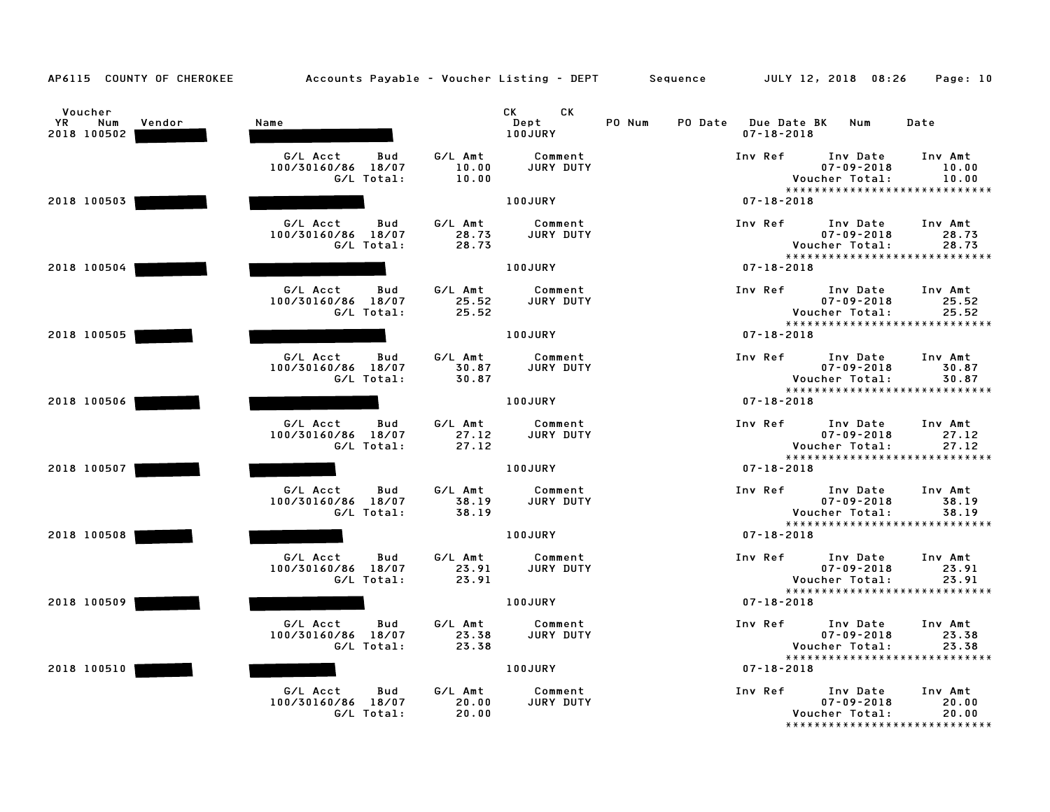| AP6115 COUNTY OF CHEROKEE                     | Accounts Payable – Voucher Listing – DEPT         Sequence |                           |                             |        |                  | JULY 12, 2018 08:26                                                             | Page: 10                  |
|-----------------------------------------------|------------------------------------------------------------|---------------------------|-----------------------------|--------|------------------|---------------------------------------------------------------------------------|---------------------------|
| Voucher<br>YR<br>Num<br>Vendor<br>2018 100502 | Name                                                       |                           | CK<br>CK<br>Dept<br>100JURY | PO Num | $07 - 18 - 2018$ | PO Date Due Date BK Num                                                         | Date                      |
|                                               | G/L Acct<br>Bud<br>100/30160/86 18/07<br>G/L Total:        | G/L Amt<br>10.00<br>10.00 | Comment<br>JURY DUTY        |        | Inv Ref          | Inv Date<br>$07 - 09 - 2018$<br>Voucher Total:<br>***************************** | Inv Amt<br>10.00<br>10.00 |
| 2018 100503                                   |                                                            |                           | 100JURY                     |        | $07 - 18 - 2018$ |                                                                                 |                           |
|                                               | G/L Acct<br>Bud<br>100/30160/86 18/07<br>G/L Total:        | G/L Amt<br>28.73<br>28.73 | Comment<br>JURY DUTY        |        | Inv Ref          | Inv Date<br>$07 - 09 - 2018$<br>Voucher Total:<br>***************************** | Inv Amt<br>28.73<br>28.73 |
| 2018 100504                                   |                                                            |                           | 100JURY                     |        | $07 - 18 - 2018$ |                                                                                 |                           |
|                                               | G/L Acct<br>Bud<br>100/30160/86 18/07<br>G/L Total:        | G/L Amt<br>25.52<br>25.52 | Comment<br>JURY DUTY        |        | Inv Ref          | Inv Date<br>$07 - 09 - 2018$<br>Voucher Total:<br>***************************** | Inv Amt<br>25.52<br>25.52 |
| 2018 100505                                   |                                                            |                           | <b>100JURY</b>              |        | $07 - 18 - 2018$ |                                                                                 |                           |
|                                               | G/L Acct<br>Bud<br>100/30160/86 18/07<br>G/L Total:        | G/L Amt<br>30.87<br>30.87 | Comment<br>JURY DUTY        |        | Inv Ref          | Inv Date<br>$07 - 09 - 2018$<br>Voucher Total:<br>***************************** | Inv Amt<br>30.87<br>30.87 |
| 2018 100506                                   |                                                            |                           | 100JURY                     |        | $07 - 18 - 2018$ |                                                                                 |                           |
|                                               | G/L Acct<br>Bud<br>100/30160/86 18/07<br>G/L Total:        | G/L Amt<br>27.12<br>27.12 | Comment<br>JURY DUTY        |        | Inv Ref          | Inv Date<br>$07 - 09 - 2018$<br>Voucher Total:<br>***************************** | Inv Amt<br>27.12<br>27.12 |
| 2018 100507                                   |                                                            |                           | 100JURY                     |        | $07 - 18 - 2018$ |                                                                                 |                           |
|                                               | G/L Acct<br>Bud<br>100/30160/86 18/07<br>G/L Total:        | G/L Amt<br>38.19<br>38.19 | Comment<br><b>JURY DUTY</b> |        | Inv Ref          | Inv Date<br>$07 - 09 - 2018$<br>Voucher Total:<br>***************************** | Inv Amt<br>38.19<br>38.19 |
| 2018 100508                                   |                                                            |                           | 100JURY                     |        | $07 - 18 - 2018$ |                                                                                 |                           |
|                                               | G/L Acct<br>Bud<br>100/30160/86 18/07<br>G/L Total:        | G/L Amt<br>23.91<br>23.91 | Comment<br><b>JURY DUTY</b> |        | Inv Ref          | Inv Date<br>$07 - 09 - 2018$<br>Voucher Total:                                  | Inv Amt<br>23.91<br>23.91 |
| 2018 100509                                   |                                                            |                           | 100JURY                     |        | $07 - 18 - 2018$ | *****************************                                                   |                           |
|                                               | G/L Acct<br>Bud<br>100/30160/86 18/07<br>G/L Total:        | G/L Amt<br>23.38<br>23.38 | Comment<br>JURY DUTY        |        | Inv Ref          | Inv Date<br>$07 - 09 - 2018$<br>Voucher Total:<br>***************************** | Inv Amt<br>23.38<br>23.38 |
| 2018 100510                                   |                                                            |                           | 100JURY                     |        | $07 - 18 - 2018$ |                                                                                 |                           |
|                                               | G/L Acct<br>Bud<br>100/30160/86 18/07<br>G/L Total:        | G/L Amt<br>20.00<br>20.00 | Comment<br>JURY DUTY        |        | Inv Ref          | Inv Date<br>$07 - 09 - 2018$<br>Voucher Total:<br>***************************** | Inv Amt<br>20.00<br>20.00 |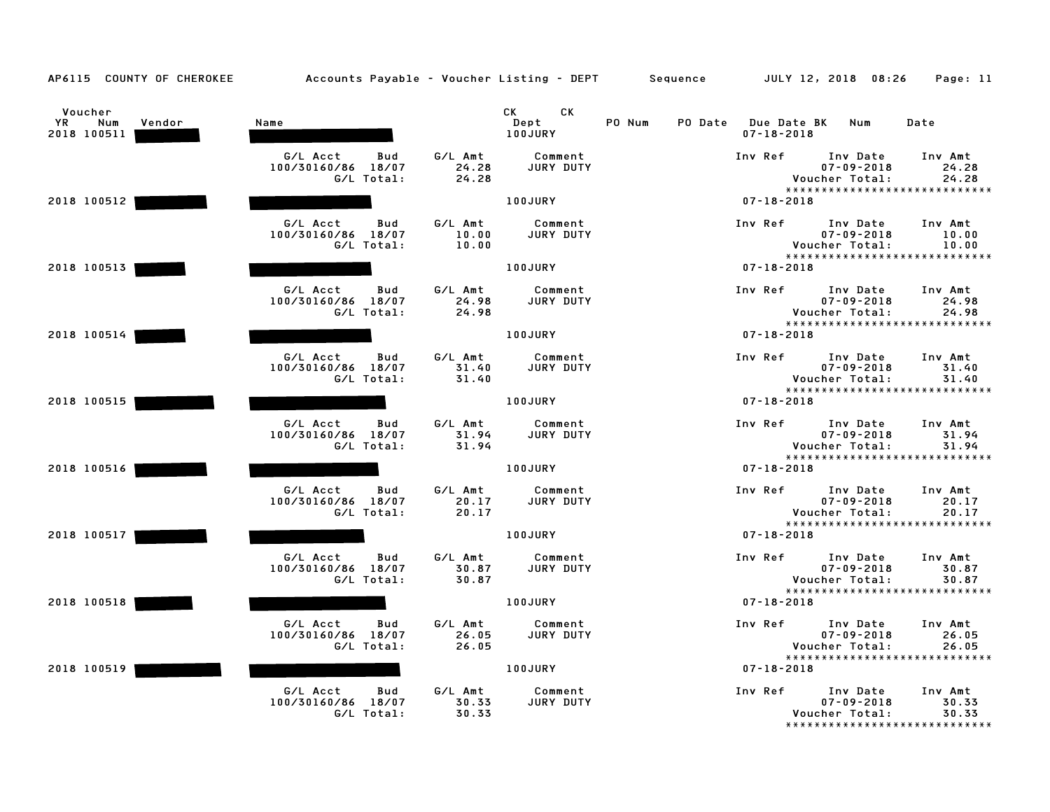| AP6115 COUNTY OF CHEROKEE                     | Accounts Payable - Voucher Listing - DEPT Sequence  |                           |                              |        |         |                                        | JULY 12, 2018 08:26                            | Page: 11                                                   |
|-----------------------------------------------|-----------------------------------------------------|---------------------------|------------------------------|--------|---------|----------------------------------------|------------------------------------------------|------------------------------------------------------------|
| Voucher<br>YR<br>Num<br>Vendor<br>2018 100511 | Name                                                |                           | CK.<br>CK<br>Dept<br>100JURY | PO Num | PO Date | <b>Due Date BK</b><br>$07 - 18 - 2018$ | Num                                            | Date                                                       |
|                                               | G/L Acct<br>Bud<br>100/30160/86 18/07<br>G/L Total: | G/L Amt<br>24.28<br>24.28 | Comment<br>JURY DUTY         |        |         | Inv Ref                                | Inv Date<br>$07 - 09 - 2018$<br>Voucher Total: | Inv Amt<br>24.28<br>24.28<br>***************************** |
| 2018 100512                                   |                                                     |                           | 100JURY                      |        |         | $07 - 18 - 2018$                       |                                                |                                                            |
|                                               | G/L Acct<br>Bud<br>100/30160/86 18/07<br>G/L Total: | G/L Amt<br>10.00<br>10.00 | Comment<br><b>JURY DUTY</b>  |        |         | Inv Ref                                | Inv Date<br>$07 - 09 - 2018$<br>Voucher Total: | Inv Amt<br>10.00<br>10.00<br>***************************** |
| 2018 100513                                   |                                                     |                           | 100JURY                      |        |         | $07 - 18 - 2018$                       |                                                |                                                            |
|                                               | G/L Acct<br>Bud<br>100/30160/86 18/07<br>G/L Total: | G/L Amt<br>24.98<br>24.98 | Comment<br>JURY DUTY         |        |         | Inv Ref                                | Inv Date<br>$07 - 09 - 2018$<br>Voucher Total: | Inv Amt<br>24.98<br>24.98<br>***************************** |
| 2018 100514                                   |                                                     |                           | <b>100JURY</b>               |        |         | $07 - 18 - 2018$                       |                                                |                                                            |
|                                               | G/L Acct<br>Bud<br>100/30160/86 18/07<br>G/L Total: | G/L Amt<br>31.40<br>31.40 | Comment<br><b>JURY DUTY</b>  |        |         | Inv Ref                                | Inv Date<br>$07 - 09 - 2018$<br>Voucher Total: | Inv Amt<br>31.40<br>31.40<br>***************************** |
| 2018 100515                                   |                                                     |                           | 100JURY                      |        |         | $07 - 18 - 2018$                       |                                                |                                                            |
|                                               | G/L Acct<br>Bud<br>100/30160/86 18/07<br>G/L Total: | G/L Amt<br>31.94<br>31.94 | Comment<br>JURY DUTY         |        |         | Inv Ref                                | Inv Date<br>$07 - 09 - 2018$<br>Voucher Total: | Inv Amt<br>31.94<br>31.94<br>***************************** |
| 2018 100516                                   |                                                     |                           | 100JURY                      |        |         | $07 - 18 - 2018$                       |                                                |                                                            |
|                                               | G/L Acct<br>Bud<br>100/30160/86 18/07<br>G/L Total: | G/L Amt<br>20.17<br>20.17 | Comment<br>JURY DUTY         |        |         | Inv Ref                                | Inv Date<br>$07 - 09 - 2018$<br>Voucher Total: | Inv Amt<br>20.17<br>20.17<br>***************************** |
| 2018 100517                                   |                                                     |                           | 100JURY                      |        |         | $07 - 18 - 2018$                       |                                                |                                                            |
|                                               | G/L Acct<br>Bud<br>100/30160/86 18/07<br>G/L Total: | G/L Amt<br>30.87<br>30.87 | Comment<br><b>JURY DUTY</b>  |        |         | Inv Ref                                | Inv Date<br>$07 - 09 - 2018$<br>Voucher Total: | Inv Amt<br>30.87<br>30.87                                  |
| 2018 100518                                   |                                                     |                           | <b>100JURY</b>               |        |         | $07 - 18 - 2018$                       |                                                | *****************************                              |
|                                               | G/L Acct<br>Bud<br>100/30160/86 18/07<br>G/L Total: | G/L Amt<br>26.05<br>26.05 | Comment<br>JURY DUTY         |        |         | Inv Ref                                | Inv Date<br>$07 - 09 - 2018$<br>Voucher Total: | Inv Amt<br>26.05<br>26.05<br>***************************** |
| 2018 100519                                   |                                                     |                           | 100JURY                      |        |         | $07 - 18 - 2018$                       |                                                |                                                            |
|                                               | G/L Acct<br>Bud<br>100/30160/86 18/07<br>G/L Total: | G/L Amt<br>30.33<br>30.33 | Comment<br>JURY DUTY         |        |         | Inv Ref                                | Inv Date<br>$07 - 09 - 2018$<br>Voucher Total: | Inv Amt<br>30.33<br>30.33<br>***************************** |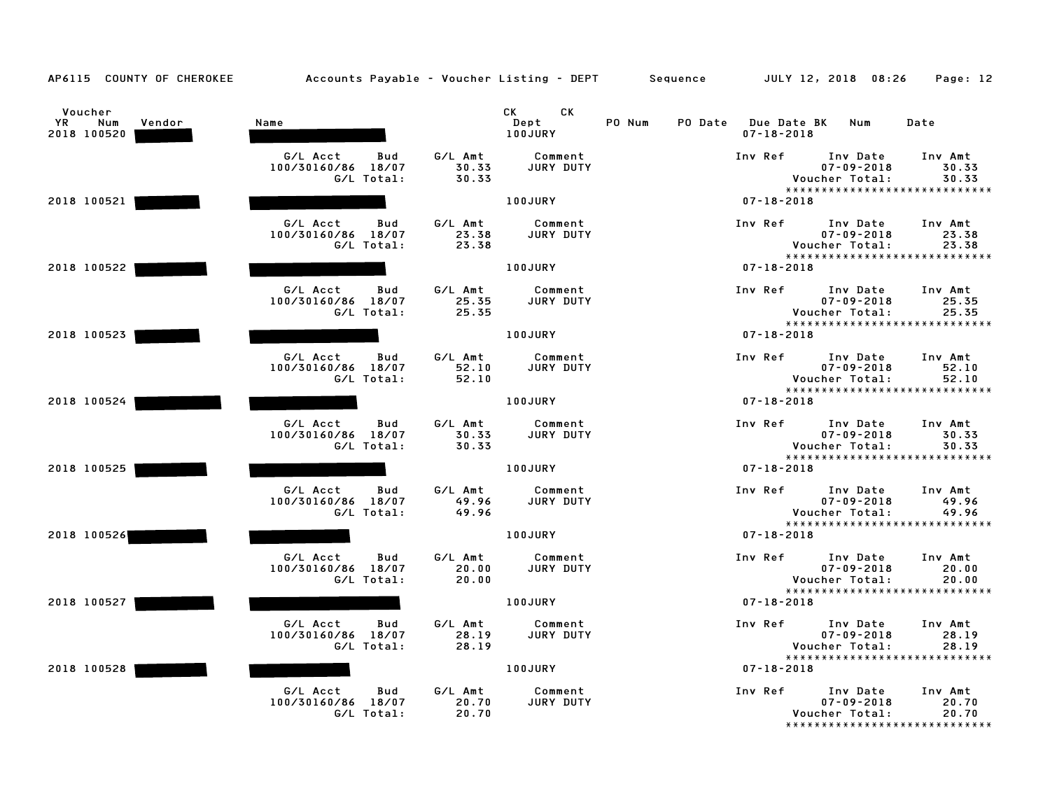| AP6115 COUNTY OF CHEROKEE                     | Accounts Payable - Voucher Listing - DEPT Sequence  |                           |                             |        |                                                   | JULY 12, 2018 08:26                                                              | Page: 12                  |
|-----------------------------------------------|-----------------------------------------------------|---------------------------|-----------------------------|--------|---------------------------------------------------|----------------------------------------------------------------------------------|---------------------------|
| Voucher<br>YR<br>Num<br>Vendor<br>2018 100520 | Name                                                | CK                        | CK.<br>Dept<br>100JURY      | PO Num | PO Date<br><b>Due Date BK</b><br>$07 - 18 - 2018$ | Num                                                                              | Date                      |
|                                               | G/L Acct<br>Bud<br>100/30160/86 18/07<br>G/L Total: | G/L Amt<br>30.33<br>30.33 | Comment<br>JURY DUTY        |        | Inv Ref                                           | Inv Date<br>$07 - 09 - 2018$<br>Voucher Total:<br>*****************************  | Inv Amt<br>30.33<br>30.33 |
| 2018 100521                                   |                                                     |                           | 100JURY                     |        | $07 - 18 - 2018$                                  |                                                                                  |                           |
|                                               | G/L Acct<br>Bud<br>100/30160/86 18/07<br>G/L Total: | G/L Amt<br>23.38<br>23.38 | Comment<br>JURY DUTY        |        | Inv Ref                                           | Inv Date<br>$07 - 09 - 2018$<br>Voucher Total:<br>*****************************  | Inv Amt<br>23.38<br>23.38 |
| 2018 100522                                   |                                                     |                           | 100JURY                     |        | $07 - 18 - 2018$                                  |                                                                                  |                           |
|                                               | G/L Acct<br>Bud<br>100/30160/86 18/07<br>G/L Total: | G/L Amt<br>25.35<br>25.35 | Comment<br>JURY DUTY        |        | Inv Ref                                           | Inv Date<br>$07 - 09 - 2018$<br>Voucher Total:<br>*****************************  | Inv Amt<br>25.35<br>25.35 |
| 2018 100523                                   |                                                     |                           | 100JURY                     |        | $07 - 18 - 2018$                                  |                                                                                  |                           |
|                                               | G/L Acct<br>Bud<br>100/30160/86 18/07<br>G/L Total: | G/L Amt<br>52.10<br>52.10 | Comment<br><b>JURY DUTY</b> |        | Inv Ref                                           | Inv Date<br>$07 - 09 - 2018$<br>Voucher Total:<br>*****************************  | Inv Amt<br>52.10<br>52.10 |
| 2018 100524                                   |                                                     |                           | 100JURY                     |        | $07 - 18 - 2018$                                  |                                                                                  |                           |
|                                               | G/L Acct<br>Bud<br>100/30160/86 18/07<br>G/L Total: | G/L Amt<br>30.33<br>30.33 | Comment<br>JURY DUTY        |        | Inv Ref                                           | Inv Date<br>$07 - 09 - 2018$<br>Voucher Total:<br>*****************************  | Inv Amt<br>30.33<br>30.33 |
| 2018 100525                                   |                                                     |                           | <b>100JURY</b>              |        | $07 - 18 - 2018$                                  |                                                                                  |                           |
|                                               | G/L Acct<br>Bud<br>100/30160/86 18/07<br>G/L Total: | G/L Amt<br>49.96<br>49.96 | Comment<br><b>JURY DUTY</b> |        | Inv Ref                                           | Inv Date<br>$07 - 09 - 2018$<br>Voucher Total:<br>****************************** | Inv Amt<br>49.96<br>49.96 |
| 2018 100526                                   |                                                     |                           | 100JURY                     |        | $07 - 18 - 2018$                                  |                                                                                  |                           |
|                                               | G/L Acct<br>Bud<br>100/30160/86 18/07<br>G/L Total: | G/L Amt<br>20.00<br>20.00 | Comment<br><b>JURY DUTY</b> |        | Inv Ref                                           | Inv Date<br>$07 - 09 - 2018$<br>Voucher Total:                                   | Inv Amt<br>20.00<br>20.00 |
| 2018 100527                                   |                                                     |                           | <b>100JURY</b>              |        | $07 - 18 - 2018$                                  | *****************************                                                    |                           |
|                                               | G/L Acct<br>Bud<br>100/30160/86 18/07<br>G/L Total: | G/L Amt<br>28.19<br>28.19 | Comment<br>JURY DUTY        |        | Inv Ref                                           | Inv Date<br>$07 - 09 - 2018$<br>Voucher Total:<br>*****************************  | Inv Amt<br>28.19<br>28.19 |
| 2018 100528                                   |                                                     |                           | 100JURY                     |        | $07 - 18 - 2018$                                  |                                                                                  |                           |
|                                               | G/L Acct<br>Bud<br>100/30160/86 18/07<br>G/L Total: | G/L Amt<br>20.70<br>20.70 | Comment<br>JURY DUTY        |        | Inv Ref                                           | Inv Date<br>$07 - 09 - 2018$<br>Voucher Total:<br>*****************************  | Inv Amt<br>20.70<br>20.70 |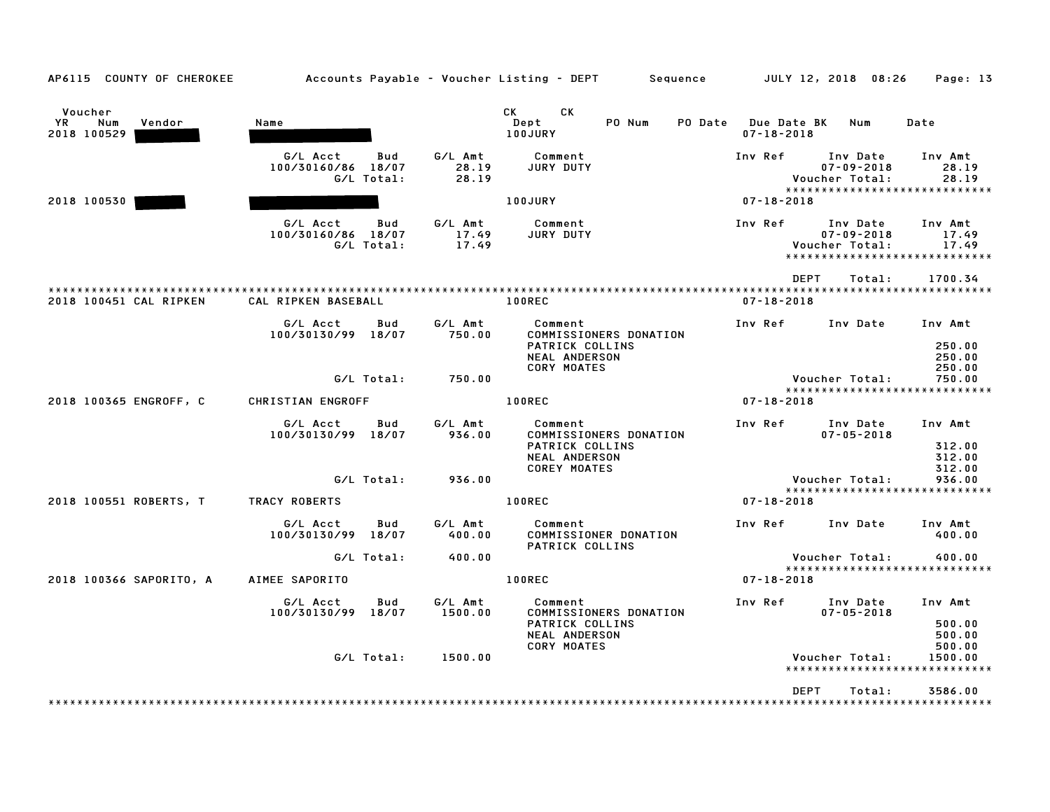| AP6115 COUNTY OF CHEROKEE                     |                                              |            |                           | Accounts Payable – Voucher Listing – DEPT         Sequence         JULY 12, 2018  08:26                                                                                                                                                                           |                                         |                                                                                 | Page: 13                              |
|-----------------------------------------------|----------------------------------------------|------------|---------------------------|-------------------------------------------------------------------------------------------------------------------------------------------------------------------------------------------------------------------------------------------------------------------|-----------------------------------------|---------------------------------------------------------------------------------|---------------------------------------|
| Voucher<br>YR<br>Num<br>Vendor<br>2018 100529 | Name                                         |            |                           | CK<br>CK the control of the control of the control of the control of the control of the control of the control of the control of the control of the control of the control of the control of the control of the control of the contr<br>Dept<br>PO Num<br>100JURY | PO Date Due Date BK<br>$07 - 18 - 2018$ | Num                                                                             | Date                                  |
|                                               | G/L Acct<br>100/30160/86 18/07<br>G/L Total: | Bud        | G/L Amt<br>28.19<br>28.19 | Comment<br>JURY DUTY                                                                                                                                                                                                                                              | Inv Ref                                 | Inv Date<br>$07 - 09 - 2018$<br>Voucher Total:<br>***************************** | Inv Amt<br>28.19<br>28.19             |
| 2018 100530                                   |                                              |            |                           | 100JURY                                                                                                                                                                                                                                                           | $07 - 18 - 2018$                        |                                                                                 |                                       |
|                                               | G/L Acct<br>100/30160/86 18/07<br>G/L Total: | Bud        | G/L Amt<br>17.49<br>17.49 | Comment<br>JURY DUTY                                                                                                                                                                                                                                              | Inv Ref                                 | Inv Date<br>$07 - 09 - 2018$<br>Voucher Total:<br>***************************** | Inv Amt<br>17.49<br>17.49             |
|                                               |                                              |            |                           |                                                                                                                                                                                                                                                                   | <b>DEPT</b>                             | Total:                                                                          | 1700.34                               |
| 2018 100451 CAL RIPKEN                        | CAL RIPKEN BASEBALL                          |            |                           | <b>100REC</b>                                                                                                                                                                                                                                                     | $07 - 18 - 2018$                        |                                                                                 |                                       |
|                                               | G/L Acct<br>100/30130/99 18/07               | Bud        | G/L Amt<br>750.00         | Comment<br>COMMISSIONERS DONATION<br>PATRICK COLLINS                                                                                                                                                                                                              | Inv Ref                                 | Inv Date                                                                        | Inv Amt<br>250.00                     |
|                                               |                                              | G/L Total: | 750.00                    | <b>NEAL ANDERSON</b><br><b>CORY MOATES</b>                                                                                                                                                                                                                        |                                         | Voucher Total:<br>*****************************                                 | 250.00<br>250.00<br>750.00            |
| 2018 100365 ENGROFF, C                        | CHRISTIAN ENGROFF                            |            |                           | <b>100REC</b>                                                                                                                                                                                                                                                     | $07 - 18 - 2018$                        |                                                                                 |                                       |
|                                               | G/L Acct<br>100/30130/99 18/07               | Bud        | G/L Amt<br>936.00         | Comment<br>COMMISSIONERS DONATION<br>PATRICK COLLINS<br><b>NEAL ANDERSON</b><br><b>COREY MOATES</b>                                                                                                                                                               | Inv Ref                                 | Inv Date<br>$07 - 05 - 2018$                                                    | Inv Amt<br>312.00<br>312.00<br>312.00 |
|                                               |                                              | G/L Total: | 936.00                    |                                                                                                                                                                                                                                                                   |                                         | Voucher Total:<br>*****************************                                 | 936.00                                |
| 2018 100551 ROBERTS, T                        | <b>TRACY ROBERTS</b>                         |            |                           | 100REC                                                                                                                                                                                                                                                            | $07 - 18 - 2018$                        |                                                                                 |                                       |
|                                               | G/L Acct<br>100/30130/99 18/07               | Bud        | G/L Amt<br>400.00         | Comment<br>COMMISSIONER DONATION<br>PATRICK COLLINS                                                                                                                                                                                                               |                                         | Inv Ref Inv Date                                                                | Inv Amt<br>400.00                     |
|                                               |                                              | G/L Total: | 400.00                    |                                                                                                                                                                                                                                                                   |                                         | Voucher Total:<br>*****************************                                 | 400.00                                |
| 2018 100366 SAPORITO, A                       | AIMEE SAPORITO                               |            |                           | <b>100REC</b>                                                                                                                                                                                                                                                     | $07 - 18 - 2018$                        |                                                                                 |                                       |
|                                               | G/L Acct<br>100/30130/99 18/07               | Bud        | G/L Amt<br>1500.00        | Comment<br>COMMISSIONERS DONATION<br>PATRICK COLLINS<br><b>NEAL ANDERSON</b><br><b>CORY MOATES</b>                                                                                                                                                                | Inv Ref                                 | Inv Date<br>$07 - 05 - 2018$                                                    | Inv Amt<br>500.00<br>500.00<br>500.00 |
|                                               |                                              | G/L Total: | 1500.00                   |                                                                                                                                                                                                                                                                   |                                         | Voucher Total:                                                                  | 1500.00                               |
|                                               |                                              |            |                           |                                                                                                                                                                                                                                                                   |                                         |                                                                                 |                                       |
|                                               |                                              |            |                           |                                                                                                                                                                                                                                                                   | <b>DEPT</b>                             | Total:                                                                          | 3586.00                               |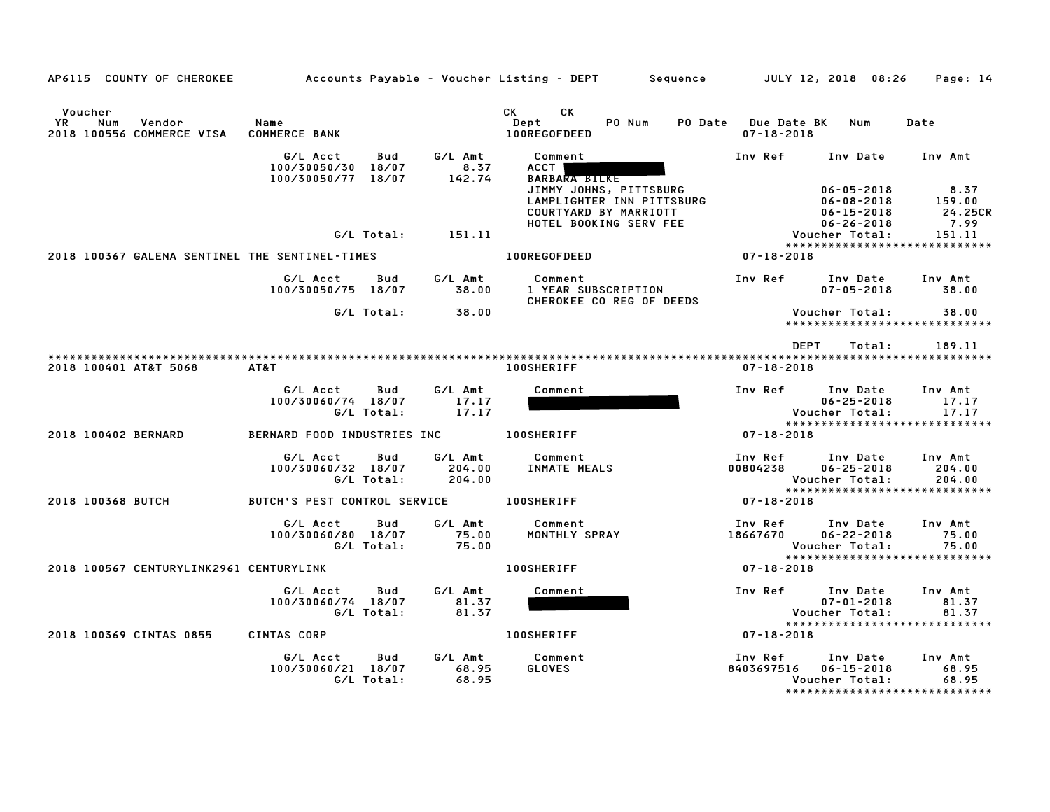|                | AP6115 COUNTY OF CHEROKEE                      |                                                             |                             | Accounts Payable – Voucher Listing – DEPT         Sequence                                                                                               |                                         | JULY 12, 2018 08:26                                            | Page: 14                                                     |
|----------------|------------------------------------------------|-------------------------------------------------------------|-----------------------------|----------------------------------------------------------------------------------------------------------------------------------------------------------|-----------------------------------------|----------------------------------------------------------------|--------------------------------------------------------------|
| Voucher<br>YR. | Vendor<br>Num<br>2018 100556 COMMERCE VISA     | Name<br><b>COMMERCE BANK</b>                                |                             | CK<br>CK<br>Dept<br>PO Num<br>100REGOFDEED                                                                                                               | PO Date Due Date BK<br>$07 - 18 - 2018$ | Num                                                            | Date                                                         |
|                |                                                | G/L Acct<br>Bud<br>100/30050/30 18/07<br>100/30050/77 18/07 | G/L Amt<br>8.37<br>142.74   | Comment<br><b>ACCT</b><br><b>BARBARA BILKE</b><br>JIMMY JOHNS, PITTSBURG<br>LAMPLIGHTER INN PITTSBURG<br>COURTYARD BY MARRIOTT<br>HOTEL BOOKING SERV FEE | Inv Ref                                 | Inv Date<br>$06 - 05 - 2018$<br>$06 - 08 - 2018$<br>06-15-2018 | Inv Amt<br>8.37<br>159.00<br>24.25CR                         |
|                |                                                | G/L Total:                                                  | 151.11                      |                                                                                                                                                          |                                         | $06 - 26 - 2018$<br>Voucher Total:                             | 7.99<br>151.11<br>*****************************              |
|                | 2018 100367 GALENA SENTINEL THE SENTINEL-TIMES |                                                             |                             | 100REGOFDEED                                                                                                                                             | $07 - 18 - 2018$                        |                                                                |                                                              |
|                |                                                | G/L Acct<br>Bud<br>100/30050/75 18/07                       | G/L Amt<br>38.00            | Comment<br>1 YEAR SUBSCRIPTION<br>CHEROKEE CO REG OF DEEDS                                                                                               | Inv Ref                                 | Inv Date<br>$07 - 05 - 2018$                                   | Inv Amt<br>38.00                                             |
|                |                                                | G/L Total:                                                  | 38.00                       |                                                                                                                                                          |                                         | Voucher Total:                                                 | 38.00<br>*****************************                       |
|                |                                                |                                                             |                             |                                                                                                                                                          | <b>DEPT</b>                             | Total:                                                         | 189.11                                                       |
|                | 2018 100401 AT&T 5068                          | AT&T                                                        |                             | <b>100SHERIFF</b>                                                                                                                                        | $07 - 18 - 2018$                        |                                                                |                                                              |
|                |                                                | G/L Acct<br>Bud<br>100/30060/74 18/07<br>G/L Total:         | G/L Amt<br>17.17<br>17.17   | Comment                                                                                                                                                  | Inv Ref                                 | Inv Date<br>$06 - 25 - 2018$<br>Voucher Total:                 | Inv Amt<br>17.17<br>17.17                                    |
|                | 2018 100402 BERNARD                            | BERNARD FOOD INDUSTRIES INC                                 |                             | <b>100SHERIFF</b>                                                                                                                                        | $07 - 18 - 2018$                        |                                                                | *****************************                                |
|                |                                                | G/L Acct<br>Bud<br>100/30060/32 18/07<br>G/L Total:         | G/L Amt<br>204.00<br>204.00 | Comment<br>INMATE MEALS                                                                                                                                  | Inv Ref<br>00804238                     | Inv Date<br>$06 - 25 - 2018$<br>Voucher Total:                 | Inv Amt<br>204.00<br>204.00<br>***************************** |
|                | 2018 100368 BUTCH                              | BUTCH'S PEST CONTROL SERVICE                                |                             | <b>100SHERIFF</b>                                                                                                                                        | 07-18-2018                              |                                                                |                                                              |
|                |                                                | G/L Acct<br>Bud<br>100/30060/80 18/07<br>G/L Total:         | G/L Amt<br>75.00<br>75.00   | Comment<br>MONTHLY SPRAY                                                                                                                                 | Inv Ref<br>18667670                     | Inv Date<br>$06 - 22 - 2018$<br>Voucher Total:                 | Inv Amt<br>75.00<br>75.00<br>*****************************   |
|                | 2018 100567 CENTURYLINK2961 CENTURYLINK        |                                                             |                             | <b>100SHERIFF</b>                                                                                                                                        | $07 - 18 - 2018$                        |                                                                |                                                              |
|                |                                                | G/L Acct<br>Bud<br>100/30060/74 18/07<br>G/L Total:         | G/L Amt<br>81.37<br>81.37   | Comment                                                                                                                                                  | Inv Ref                                 | Inv Date<br>$07 - 01 - 2018$<br>Voucher Total:                 | Inv Amt<br>81.37<br>81.37<br>*****************************   |
|                | 2018 100369 CINTAS 0855                        | CINTAS CORP                                                 |                             | <b>100SHERIFF</b>                                                                                                                                        | $07 - 18 - 2018$                        |                                                                |                                                              |
|                |                                                | G/L Acct<br>Bud<br>100/30060/21 18/07<br>G/L Total:         | G/L Amt<br>68.95<br>68.95   | Comment<br><b>GLOVES</b>                                                                                                                                 | Inv Ref<br>8403697516                   | Inv Date<br>$06 - 15 - 2018$<br>Voucher Total:                 | Inv Amt<br>68.95<br>68.95<br>******************************  |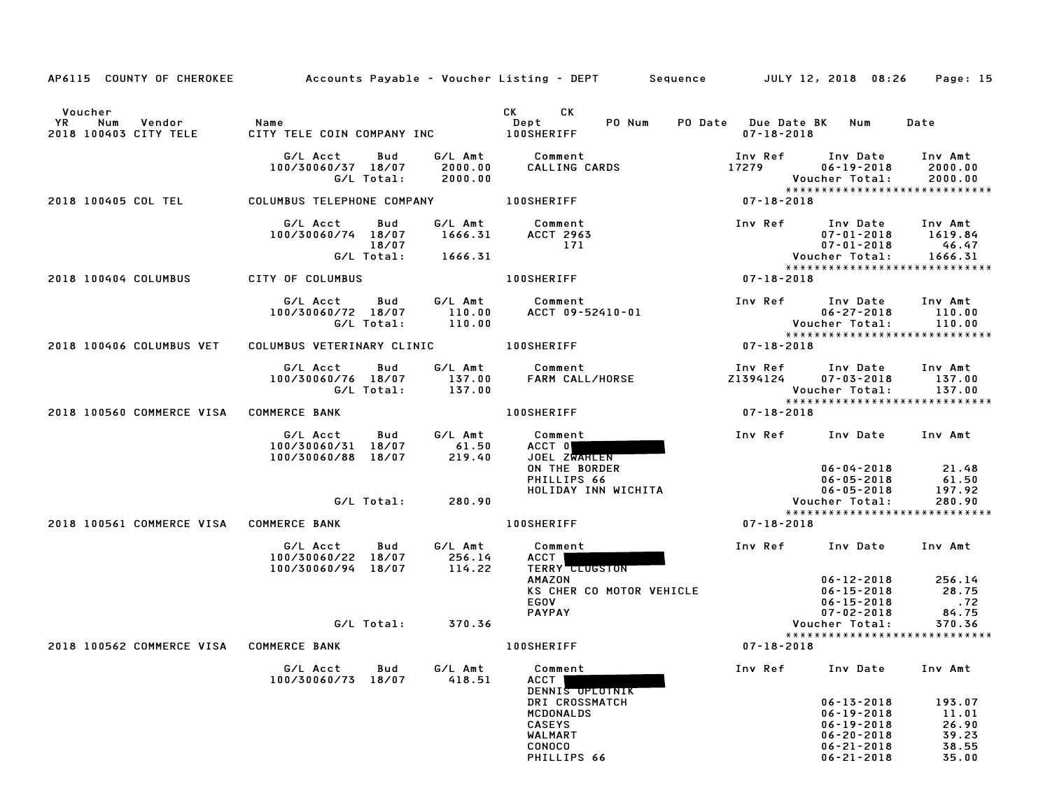| AP6115 COUNTY OF CHEROKEE                               | Accounts Payable – Voucher Listing – DEPT         Sequence   |                             |                                                                                                                                                                                                                                                        |                                             | JULY 12, 2018 08:26                                                                        | Page: 15                                   |
|---------------------------------------------------------|--------------------------------------------------------------|-----------------------------|--------------------------------------------------------------------------------------------------------------------------------------------------------------------------------------------------------------------------------------------------------|---------------------------------------------|--------------------------------------------------------------------------------------------|--------------------------------------------|
| Voucher<br>Num<br>Vendor<br>YR<br>2018 100403 CITY TELE | <b>Name</b><br>CITY TELE COIN COMPANY INC 100SHERIFF         |                             | CK the control of the control of the control of the control of the control of the control of the control of the control of the control of the control of the control of the control of the control of the control of the contr<br>СK<br>Dept<br>PO Num | PO Date Due Date BK Num<br>$07 - 18 - 2018$ |                                                                                            | Date                                       |
|                                                         | G/L Acct<br>Bud<br>100/30060/37 18/07<br>G/L Total:          | 2000.00<br>2000.00          | G/L Amt Comment<br>CALLING CARDS                                                                                                                                                                                                                       | Inv Ref<br>17279                            | Inv Date Inv Amt<br>$06 - 19 - 2018$<br>Voucher Total:<br>*****************************    | 2000.00<br>2000.00                         |
| 2018 100405 COL TEL                                     | COLUMBUS TELEPHONE COMPANY 100SHERIFF                        |                             |                                                                                                                                                                                                                                                        | $07 - 18 - 2018$                            |                                                                                            |                                            |
|                                                         | G/L Acct<br>Bud<br>100/30060/74 18/07<br>18/07<br>G/L Total: | 1666.31<br>1666.31          | G/L Amt Comment<br>ACCT 2963<br>171                                                                                                                                                                                                                    |                                             | Inv Ref Inv Date<br>07-01-2018<br>07-01-2018<br>Voucher Total:                             | Inv Amt<br>1619.84<br>46.47<br>1666.31     |
|                                                         |                                                              |                             |                                                                                                                                                                                                                                                        |                                             | *****************************                                                              |                                            |
| 2018 100404 COLUMBUS                                    | CITY OF COLUMBUS                                             |                             | <b>100SHERIFF</b>                                                                                                                                                                                                                                      | $07 - 18 - 2018$                            |                                                                                            |                                            |
|                                                         | G/L Acct<br><b>Bud</b><br>100/30060/72 18/07<br>G/L Total:   | G/L Amt<br>110.00<br>110.00 | Comment<br>ACCT 09-52410-01                                                                                                                                                                                                                            |                                             | Inv Ref Inv Date<br>$06 - 27 - 2018$<br>Voucher Total:<br>*****************************    | Inv Amt<br>110.00<br>110.00                |
| 2018 100406 COLUMBUS VET                                | COLUMBUS VETERINARY CLINIC <b>100SHERIFF</b>                 |                             |                                                                                                                                                                                                                                                        | $07 - 18 - 2018$                            |                                                                                            |                                            |
|                                                         | G/L Acct<br>Bud<br>100/30060/76 18/07<br>G/L Total: 137.00   | 137.00                      | G/L Amt Comment<br>FARM CALL/HORSE                                                                                                                                                                                                                     | Inv Ref<br>Z1394124                         | Inv Date<br>$07 - 03 - 2018$<br>Voucher Total:                                             | Inv Amt<br>137.00<br>137.00                |
| 2018 100560 COMMERCE VISA COMMERCE BANK                 |                                                              |                             | <b>100SHERIFF</b>                                                                                                                                                                                                                                      | $07 - 18 - 2018$                            | ******************************                                                             |                                            |
|                                                         | G/L Acct<br>Bud<br>100/30060/31 18/07<br>100/30060/88 18/07  | 61.50<br>219.40             | G/L Amt Comment<br>ACCT 0<br>JOEL ZWAHLEN<br>ON THE BORDER<br>PHILLIPS 66                                                                                                                                                                              | Inv Ref                                     | Inv Date<br>06-04-2018<br>$06 - 05 - 2018$                                                 | Inv Amt<br>21.48<br>61.50                  |
|                                                         | G/L Total: 280.90                                            |                             | HOLIDAY INN WICHITA                                                                                                                                                                                                                                    |                                             | $06 - 05 - 2018$<br>Voucher Total:                                                         | 197.92<br>280.90                           |
| 2018 100561 COMMERCE VISA COMMERCE BANK                 |                                                              |                             | <b>100SHERIFF</b>                                                                                                                                                                                                                                      | $07 - 18 - 2018$                            | *****************************                                                              |                                            |
|                                                         |                                                              |                             |                                                                                                                                                                                                                                                        |                                             |                                                                                            |                                            |
|                                                         | G/L Acct<br>Bud<br>100/30060/22 18/07<br>100/30060/94 18/07  | G/L Amt<br>256.14<br>114.22 | Comment<br>ACCT  <br><b>TERRY CLUGSTON</b>                                                                                                                                                                                                             | Inv Ref                                     | Inv Date                                                                                   | Inv Amt                                    |
|                                                         |                                                              |                             | AMAZON<br>KS CHER CO MOTOR VEHICLE<br><b>EGOV</b><br><b>PAYPAY</b>                                                                                                                                                                                     |                                             | $06 - 12 - 2018$<br>06-15-2018<br>$06 - 15 - 2018$<br>$07 - 02 - 2018$                     | 256.14<br>28.75<br>.72<br>84.75            |
|                                                         | G/L Total:                                                   | 370.36                      |                                                                                                                                                                                                                                                        |                                             | Voucher Total:<br>*****************************                                            | 370.36                                     |
| 2018 100562 COMMERCE VISA COMMERCE BANK                 |                                                              |                             | <b>100SHERIFF</b>                                                                                                                                                                                                                                      | $07 - 18 - 2018$                            |                                                                                            |                                            |
|                                                         | G/L Acct<br>Bud<br>100/30060/73<br>18/07                     | G/L Amt<br>418.51           | Comment<br>ACCT<br>DENNIS OPLOTNIK                                                                                                                                                                                                                     | Inv Ref                                     | Inv Date                                                                                   | Inv Amt                                    |
|                                                         |                                                              |                             | DRI CROSSMATCH<br>MCDONALDS<br><b>CASEYS</b><br>WALMART<br>CONOCO                                                                                                                                                                                      |                                             | $06 - 13 - 2018$<br>$06 - 19 - 2018$<br>06-19-2018<br>$06 - 20 - 2018$<br>$06 - 21 - 2018$ | 193.07<br>11.01<br>26.90<br>39.23<br>38.55 |
|                                                         |                                                              |                             | PHILLIPS 66                                                                                                                                                                                                                                            |                                             | $06 - 21 - 2018$                                                                           | 35.00                                      |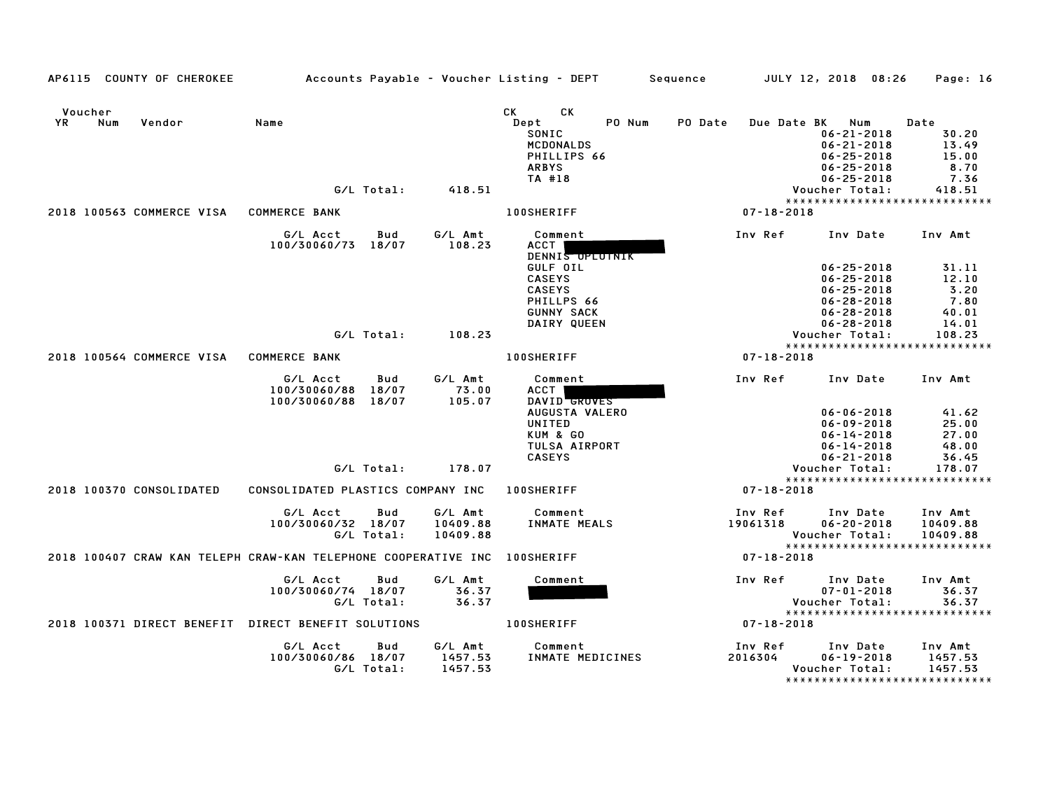|         |     | AP6115 COUNTY OF CHEROKEE               |                                                                           |            |          | Accounts Payable – Voucher Listing – DEPT | Sequence         | JULY 12, 2018 08:26                  | Page: 16       |
|---------|-----|-----------------------------------------|---------------------------------------------------------------------------|------------|----------|-------------------------------------------|------------------|--------------------------------------|----------------|
|         |     |                                         |                                                                           |            |          |                                           |                  |                                      |                |
| Voucher |     |                                         |                                                                           |            |          | CK<br>CK.                                 |                  |                                      |                |
| YR      | Num | Vendor                                  | Name                                                                      |            |          | Dept<br>PO Num                            | PO Date          | Due Date BK Num                      | Date           |
|         |     |                                         |                                                                           |            |          | SONIC                                     |                  | $06 - 21 - 2018$                     | 30.20          |
|         |     |                                         |                                                                           |            |          | <b>MCDONALDS</b>                          |                  | $06 - 21 - 2018$                     | 13.49<br>15.00 |
|         |     |                                         |                                                                           |            |          | PHILLIPS 66<br><b>ARBYS</b>               |                  | $06 - 25 - 2018$<br>$06 - 25 - 2018$ | 8.70           |
|         |     |                                         |                                                                           |            |          | TA #18                                    |                  | $06 - 25 - 2018$                     | 7.36           |
|         |     |                                         |                                                                           | G/L Total: | 418.51   |                                           |                  | Voucher Total:                       | 418.51         |
|         |     |                                         |                                                                           |            |          |                                           |                  | *****************************        |                |
|         |     | 2018 100563 COMMERCE VISA COMMERCE BANK |                                                                           |            |          | <b>100SHERIFF</b>                         | $07 - 18 - 2018$ |                                      |                |
|         |     |                                         | G/L Acct                                                                  | Bud        | G/L Amt  | Comment                                   | Inv Ref          | Inv Date                             | Inv Amt        |
|         |     |                                         | 100/30060/73 18/07                                                        |            | 108.23   | ACCT                                      |                  |                                      |                |
|         |     |                                         |                                                                           |            |          | DENNIS OPLOTNIK                           |                  |                                      |                |
|         |     |                                         |                                                                           |            |          | GULF OIL                                  |                  | $06 - 25 - 2018$                     | 31.11          |
|         |     |                                         |                                                                           |            |          | <b>CASEYS</b>                             |                  | $06 - 25 - 2018$                     | 12.10          |
|         |     |                                         |                                                                           |            |          | <b>CASEYS</b>                             |                  | $06 - 25 - 2018$                     | 3.20           |
|         |     |                                         |                                                                           |            |          | PHILLPS 66                                |                  | $06 - 28 - 2018$                     | 7.80<br>40.01  |
|         |     |                                         |                                                                           |            |          | <b>GUNNY SACK</b><br>DAIRY QUEEN          |                  | $06 - 28 - 2018$<br>$06 - 28 - 2018$ | 14.01          |
|         |     |                                         |                                                                           | G/L Total: | 108.23   |                                           |                  | Voucher Total:                       | 108.23         |
|         |     |                                         |                                                                           |            |          |                                           |                  | *****************************        |                |
|         |     | 2018 100564 COMMERCE VISA               | <b>COMMERCE BANK</b>                                                      |            |          | <b>100SHERIFF</b>                         | $07 - 18 - 2018$ |                                      |                |
|         |     |                                         |                                                                           |            |          |                                           |                  |                                      |                |
|         |     |                                         | G/L Acct                                                                  | Bud        | G/L Amt  | Comment                                   | Inv Ref          | Inv Date                             | Inv Amt        |
|         |     |                                         | 100/30060/88                                                              | 18/07      | 73.00    | ACCT                                      |                  |                                      |                |
|         |     |                                         | 100/30060/88                                                              | 18/07      | 105.07   | DAVID GROVES                              |                  |                                      |                |
|         |     |                                         |                                                                           |            |          | AUGUSTA VALERO                            |                  | $06 - 06 - 2018$                     | 41.62          |
|         |     |                                         |                                                                           |            |          | UNITED                                    |                  | $06 - 09 - 2018$                     | 25.00          |
|         |     |                                         |                                                                           |            |          | KUM & GO<br>TULSA AIRPORT                 |                  | $06 - 14 - 2018$                     | 27.00<br>48.00 |
|         |     |                                         |                                                                           |            |          | <b>CASEYS</b>                             |                  | $06 - 14 - 2018$<br>$06 - 21 - 2018$ | 36.45          |
|         |     |                                         |                                                                           | G/L Total: | 178.07   |                                           |                  | Voucher Total:                       | 178.07         |
|         |     |                                         |                                                                           |            |          |                                           |                  | *****************************        |                |
|         |     | 2018 100370 CONSOLIDATED                | CONSOLIDATED PLASTICS COMPANY INC                                         |            |          | <b>100SHERIFF</b>                         | $07 - 18 - 2018$ |                                      |                |
|         |     |                                         | G/L Acct                                                                  | Bud        | G/L Amt  | Comment                                   | Inv Ref          | Inv Date                             | Inv Amt        |
|         |     |                                         | 100/30060/32 18/07                                                        |            | 10409.88 | <b>INMATE MEALS</b>                       | 19061318         | $06 - 20 - 2018$                     | 10409.88       |
|         |     |                                         |                                                                           | G/L Total: | 10409.88 |                                           |                  | Voucher Total:                       | 10409.88       |
|         |     |                                         |                                                                           |            |          |                                           |                  | *****************************        |                |
|         |     |                                         | 2018 100407 CRAW KAN TELEPH CRAW-KAN TELEPHONE COOPERATIVE INC 100SHERIFF |            |          |                                           | 07-18-2018       |                                      |                |
|         |     |                                         | G/L Acct                                                                  | Bud        | G/L Amt  | Comment                                   | Inv Ref          | Inv Date                             | Inv Amt        |
|         |     |                                         | 100/30060/74 18/07                                                        |            | 36.37    |                                           |                  | $07 - 01 - 2018$                     | 36.37          |
|         |     |                                         |                                                                           | G/L Total: | 36.37    |                                           |                  | Voucher Total:                       | 36.37          |
|         |     |                                         |                                                                           |            |          |                                           |                  | *****************************        |                |
|         |     |                                         | 2018 100371 DIRECT BENEFIT DIRECT BENEFIT SOLUTIONS                       |            |          | <b>100SHERIFF</b>                         | 07-18-2018       |                                      |                |
|         |     |                                         | G/L Acct                                                                  | Bud        | G/L Amt  | Comment                                   | Inv Ref          | Inv Date                             | Inv Amt        |
|         |     |                                         | 100/30060/86 18/07                                                        |            | 1457.53  | INMATE MEDICINES                          | 2016304          | $06 - 19 - 2018$                     | 1457.53        |
|         |     |                                         |                                                                           | G/L Total: | 1457.53  |                                           |                  | Voucher Total:                       | 1457.53        |
|         |     |                                         |                                                                           |            |          |                                           |                  | *******************************      |                |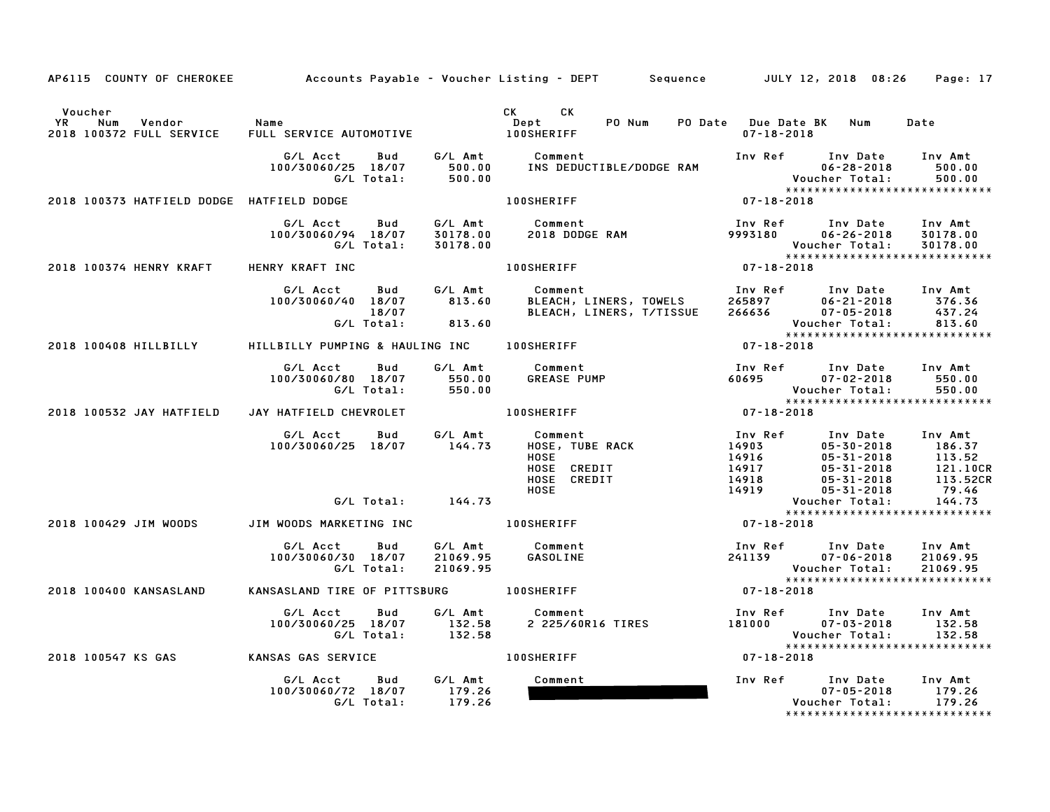| AP6115 COUNTY OF CHEROKEE                                  |                                                              |                                 | Accounts Payable – Voucher Listing – DEPT         Sequence         JULY 12, 2018  08:26                                                                                                                                                                                      |                                                                                                  |                                                                                  | Page: 17                                                     |
|------------------------------------------------------------|--------------------------------------------------------------|---------------------------------|------------------------------------------------------------------------------------------------------------------------------------------------------------------------------------------------------------------------------------------------------------------------------|--------------------------------------------------------------------------------------------------|----------------------------------------------------------------------------------|--------------------------------------------------------------|
| Voucher<br>YR<br>Num<br>Vendor<br>2018 100372 FULL SERVICE | Name<br>FULL SERVICE AUTOMOTIVE                              |                                 | CK the control of the control of the control of the control of the control of the control of the control of the control of the control of the control of the control of the control of the control of the control of the contr<br>CK.<br>PO Num<br>Dept<br><b>100SHERIFF</b> | PO Date Due Date BK Num<br>$07 - 18 - 2018$                                                      |                                                                                  | Date                                                         |
|                                                            | G/L Acct<br>Bud<br>100/30060/25 18/07<br>G/L Total:          | G/L Amt<br>500.00<br>500.00     | Comment<br>INS DEDUCTIBLE/DODGE RAM                                                                                                                                                                                                                                          | Inv Ref                                                                                          | Inv Date<br>$06 - 28 - 2018$<br>Voucher Total:<br>****************************** | Inv Amt<br>500.00<br>500.00                                  |
| 2018 100373 HATFIELD DODGE HATFIELD DODGE                  |                                                              |                                 | <b>100SHERIFF</b>                                                                                                                                                                                                                                                            | $07 - 18 - 2018$                                                                                 |                                                                                  |                                                              |
|                                                            | G/L Acct<br>Bud<br>100/30060/94 18/07<br>G/L Total:          | G/L Amt<br>30178.00<br>30178.00 | Comment<br>2018 DODGE RAM                                                                                                                                                                                                                                                    | Inv Ref<br>9993180                                                                               | Inv Date<br>$06 - 26 - 2018$<br>Voucher Total:<br>*****************************  | Inv Amt<br>30178.00<br>30178.00                              |
| 2018 100374 HENRY KRAFT                                    | HENRY KRAFT INC                                              |                                 | <b>100SHERIFF</b>                                                                                                                                                                                                                                                            | $07 - 18 - 2018$                                                                                 |                                                                                  |                                                              |
|                                                            | G/L Acct<br>Bud<br>100/30060/40 18/07<br>18/07<br>G/L Total: | G/L Amt<br>813.60<br>813.60     | Comment<br>Comment<br>BLEACH, LINERS, TOWELS<br>BLEACH, LINERS, T/TISSUE                                                                                                                                                                                                     | Inv Ref      Inv Date     Inv Amt<br>265897 06-21-2018<br>266636 07-05-2018                      | $06 - 21 - 2018$ 376.36<br>Voucher Total:                                        | 437.24<br>813.60                                             |
| 2018 100408 HILLBILLY                                      | HILLBILLY PUMPING & HAULING INC 100SHERIFF                   |                                 |                                                                                                                                                                                                                                                                              | $07 - 18 - 2018$                                                                                 |                                                                                  |                                                              |
|                                                            | G/L Acct<br>Bud<br>100/30060/80 18/07<br>G/L Total:          | G/L Amt<br>550.00<br>550.00     | Comment<br><b>GREASE PUMP</b>                                                                                                                                                                                                                                                | Inv Ref<br>60695                                                                                 | Inv Date<br>$07 - 02 - 2018$<br>Voucher Total:                                   | Inv Amt<br>550.00<br>550.00                                  |
| 2018 100532 JAY HATFIELD                                   | JAY HATFIELD CHEVROLET                                       |                                 | <b>100SHERIFF</b>                                                                                                                                                                                                                                                            | $07 - 18 - 2018$                                                                                 | *****************************                                                    |                                                              |
|                                                            | G/L Acct<br>Bud<br>100/30060/25 18/07                        | G/L Amt<br>144.73               | Comment<br><b>HOSE, TUBE RACK</b><br><b>HOSE</b><br>HOSE CREDIT<br>HOSE CREDIT<br><b>HOSE</b>                                                                                                                                                                                | Inv Ref<br>14903<br>14916 05-30-2018<br>14917 05-31-2018<br>14918 05-31-2018<br>14919 05-31-2018 | Inv Date Inv Amt                                                                 | 186.37<br>113.52<br>113.32<br>121.10CR<br>113.52CR<br>79.46  |
|                                                            | $G/L$ Total: $144.73$                                        |                                 |                                                                                                                                                                                                                                                                              |                                                                                                  | Voucher Total:<br>*****************************                                  | 144.73                                                       |
| 2018 100429 JIM WOODS                                      | JIM WOODS MARKETING INC                                      |                                 | <b>100SHERIFF</b>                                                                                                                                                                                                                                                            | 07-18-2018                                                                                       |                                                                                  |                                                              |
|                                                            | G/L Acct<br>Bud<br>100/30060/30 18/07<br>G/L Total:          | G/L Amt<br>21069.95<br>21069.95 | Comment<br>GASOLINE                                                                                                                                                                                                                                                          | Inv Ref<br>241139                                                                                | Inv Date<br>$07 - 06 - 2018$<br>Voucher Total:<br>*****************************  | Inv Amt<br>21069.95<br>21069.95                              |
| 2018 100400 KANSASLAND                                     | KANSASLAND TIRE OF PITTSBURG                                 |                                 | <b>100SHERIFF</b>                                                                                                                                                                                                                                                            | 07-18-2018                                                                                       |                                                                                  |                                                              |
|                                                            | G/L Acct<br>Bud<br>100/30060/25 18/07<br>G/L Total:          | G/L Amt<br>132.58<br>132.58     | Comment<br>2 225/60R16 TIRES                                                                                                                                                                                                                                                 | Inv Ref<br>181000                                                                                | Inv Date<br>$07 - 03 - 2018$<br>Voucher Total:<br>*****************************  | Inv Amt<br>132.58<br>132.58                                  |
| 2018 100547 KS GAS                                         | KANSAS GAS SERVICE                                           |                                 | <b>100SHERIFF</b>                                                                                                                                                                                                                                                            | $07 - 18 - 2018$                                                                                 |                                                                                  |                                                              |
|                                                            | G/L Acct<br>Bud<br>100/30060/72 18/07<br>G/L Total:          | G/L Amt<br>179.26<br>179.26     | Comment                                                                                                                                                                                                                                                                      | Inv Ref                                                                                          | Inv Date<br>$07 - 05 - 2018$<br>Voucher Total:                                   | Inv Amt<br>179.26<br>179.26<br>***************************** |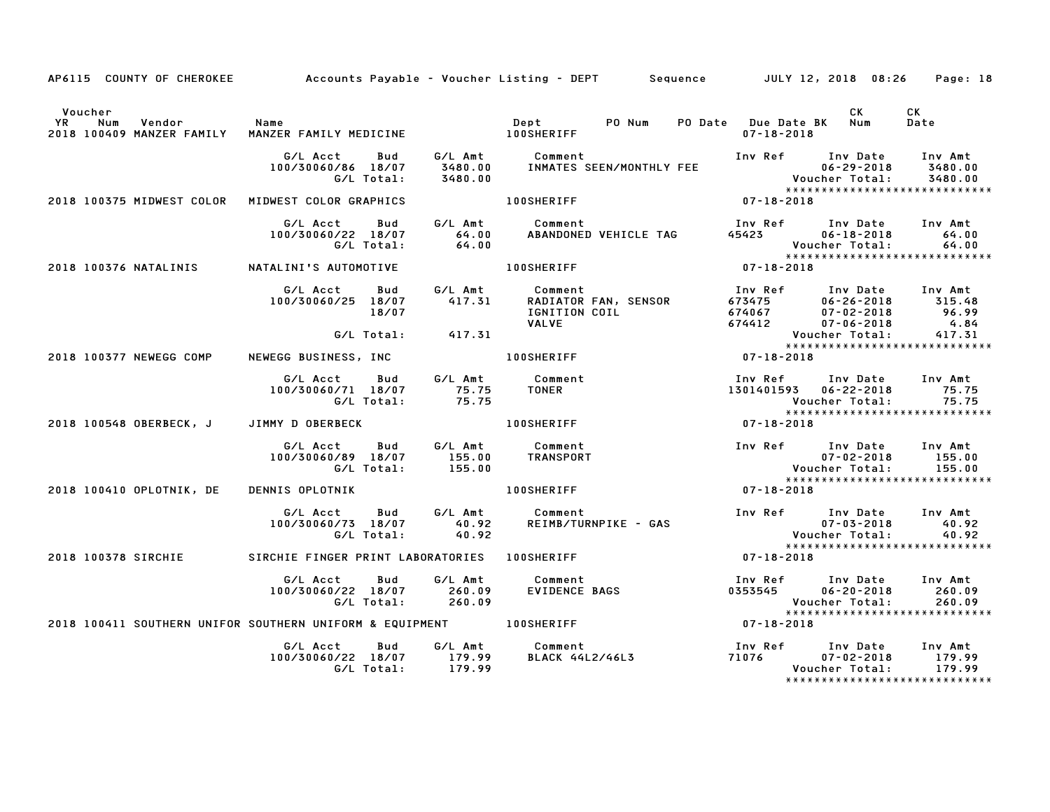| AP6115 COUNTY OF CHEROKEE Accounts Payable – Voucher Listing – DEPT Sequence JULY 12, 2018 08:26                       |                                                                |                   |                                                                                                                                                                             |                                       |                                                                                                                               | Page: 18           |
|------------------------------------------------------------------------------------------------------------------------|----------------------------------------------------------------|-------------------|-----------------------------------------------------------------------------------------------------------------------------------------------------------------------------|---------------------------------------|-------------------------------------------------------------------------------------------------------------------------------|--------------------|
| Voucher<br>YR Num Vendor – Name – Name – Dept – PO.<br>2018–100409–MANZER-FAMILY MANZER-FAMILY-MEDICINE – – 100SHERIFF |                                                                |                   |                                                                                                                                                                             | PO Date Due Date BK Num<br>07-18-2018 | CK                                                                                                                            | CK<br>Date         |
|                                                                                                                        | G/L Total:                                                     | 3480.00           |                                                                                                                                                                             | Inv Ref Inv Date Inv Amt              | 06-29-2018<br>$06 - 29 - 2018$<br>Voucher Total:<br>*********************<br>*****************************                    | 3480.00<br>3480.00 |
| 2018 100375 MIDWEST COLOR MIDWEST COLOR GRAPHICS                                                                       |                                                                |                   | 100SHERIFF                                                                                                                                                                  | $07 - 18 - 2018$                      |                                                                                                                               |                    |
|                                                                                                                        | G/L Acct Bud<br>100/30060/22 18/07 64.00<br>G/L Total:         | 64.00             | G/L Amt Comment<br>التاسيسين المستورج المستورج المستورج المستورج المستورج المستورج المستورج المستورج المستورج المستورج المستورج ا<br>ABANDONED VEHICLE TAG 45423 06-18-2018 |                                       | 45423 06-18-2018 64.00                                                                                                        |                    |
| 2018 100376 NATALINIS                                                                                                  | NATALINI'S AUTOMOTIVE 100SHERIFF                               |                   |                                                                                                                                                                             |                                       |                                                                                                                               |                    |
|                                                                                                                        | G/L Acct Bud<br>$100/30060/25$ $18/07$ 417.31<br>18/07         |                   | G/L Amt Comment                                                                                                                                                             |                                       |                                                                                                                               |                    |
|                                                                                                                        |                                                                | G/L Total: 417.31 |                                                                                                                                                                             |                                       | Voucher Total:<br>Youcher Total:<br>******************************                                                            |                    |
| 2018 100377 NEWEGG COMP NEWEGG BUSINESS, INC                                                                           |                                                                |                   | 100SHERIFF                                                                                                                                                                  | $07 - 18 - 2018$                      |                                                                                                                               |                    |
|                                                                                                                        | G/L Acct<br>100/30060/71 18/07 75.75<br>G/L Total:             | 75.75             | Bud G/L Amt Comment<br><b>TONER</b>                                                                                                                                         |                                       | Inv Ref      Inv Date    Inv Amt<br>1301401593    06-22-2018         75.75<br>Voucher Total:<br>***************************** | 75.75              |
| 2018 100548 OBERBECK, J JIMMY D OBERBECK                                                                               |                                                                |                   | <b>100SHERIFF</b>                                                                                                                                                           | 07-18-2018                            |                                                                                                                               |                    |
|                                                                                                                        | G/L Acct<br>100/30060/89 18/07<br>G/L Total:                   | 155.00<br>155.00  | Bud G/L Amt Comment<br>TRANSPORT                                                                                                                                            | Inv Ref Inv Date Inv Amt              | $07 - 02 - 2018$<br>Voucher Total:                                                                                            | 155.00<br>155.00   |
| 2018 100410 OPLOTNIK, DE                                                                                               | DENNIS OPLOTNIK                                                |                   | <b>100SHERIFF</b>                                                                                                                                                           | $07 - 18 - 2018$                      | ******************************                                                                                                |                    |
|                                                                                                                        | G/L Acct<br>G/L Total:                                         | 40.92             | Bud G/L Amt Comment<br>100/30060/73 18/07 $\frac{3.707}{40.92}$ REIMB/TURNPIKE - GAS                                                                                        |                                       | Inv Ref Inv Date Inv Amt<br>07-03-2018<br>Voucher Total:                                                                      | 40.92<br>40.92     |
| 2018 100378 SIRCHIE                                                                                                    | SIRCHIE FINGER PRINT LABORATORIES 100SHERIFF                   |                   |                                                                                                                                                                             | $07 - 18 - 2018$                      | *****************************                                                                                                 |                    |
|                                                                                                                        | G/L Acct Bud<br>100/30060/22 18/07 260.09<br>G/L Total: 260.09 |                   | G/L Amt Comment<br>Comment<br>EVIDENCE BAGS                                                                                                                                 |                                       | Inv Ref Inv Date Inv Amt<br>$0353545$ $06-20-2018$<br>Voucher Total:<br>*****************************                         | 260.09<br>260.09   |
| 2018 100411 SOUTHERN UNIFOR SOUTHERN UNIFORM & EQUIPMENT 100SHERIFF                                                    |                                                                |                   |                                                                                                                                                                             | $07 - 18 - 2018$                      |                                                                                                                               |                    |
|                                                                                                                        |                                                                |                   |                                                                                                                                                                             |                                       | Inv Ref      Inv Date     Inv Amt<br>$71076$ $07 - 02 - 2018$<br>Voucher Total:<br>*****************************              | 179.99<br>179.99   |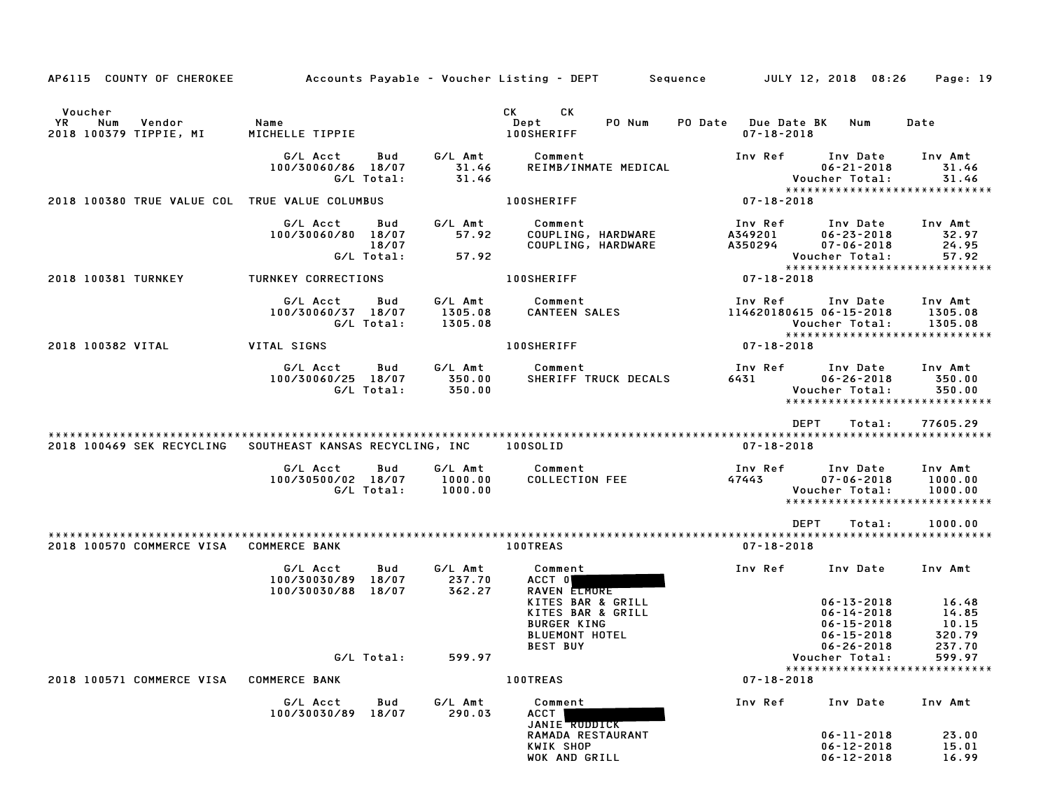| AP6115 COUNTY OF CHEROKEE                      |                                                      |                   |                               | Accounts Payable – Voucher Listing – DEPT        Sequence                                                                                                                                                                             | JULY 12, 2018 08:26                     |                                                                              | Page: 19                                                       |
|------------------------------------------------|------------------------------------------------------|-------------------|-------------------------------|---------------------------------------------------------------------------------------------------------------------------------------------------------------------------------------------------------------------------------------|-----------------------------------------|------------------------------------------------------------------------------|----------------------------------------------------------------|
| Voucher                                        |                                                      |                   |                               | CK.<br>CK and the set of the set of the set of the set of the set of the set of the set of the set of the set of the set of the set of the set of the set of the set of the set of the set of the set of the set of the set of the se |                                         |                                                                              |                                                                |
| YR<br>Num<br>Vendor<br>2018 100379 TIPPIE, MI  | Name<br>MICHELLE TIPPIE                              |                   |                               | Dept<br>PO Num<br><b>100SHERIFF</b>                                                                                                                                                                                                   | PO Date Due Date BK<br>$07 - 18 - 2018$ | Num                                                                          | Date                                                           |
|                                                | G/L Acct<br>100/30060/86 18/07                       | Bud<br>G/L Total: | G/L Amt<br>31.46<br>31.46     | Comment<br>REIMB/INMATE MEDICAL                                                                                                                                                                                                       | Inv Ref                                 | Inv Date<br>$06 - 21 - 2018$<br>Voucher Total:                               | Inv Amt<br>31.46<br>31.46                                      |
|                                                |                                                      |                   |                               |                                                                                                                                                                                                                                       |                                         |                                                                              | ******************************                                 |
| 2018 100380 TRUE VALUE COL TRUE VALUE COLUMBUS |                                                      |                   |                               | 100SHERIFF                                                                                                                                                                                                                            | 07-18-2018                              |                                                                              |                                                                |
|                                                | G/L Acct<br>100/30060/80 18/07                       | Bud<br>18/07      | G/L Amt<br>57.92              | Comment<br>COUPLING, HARDWARE<br>COUPLING, HARDWARE                                                                                                                                                                                   | Inv Ref<br>A349201<br>A350294           | Inv Date<br>$06 - 23 - 2018$<br>$07 - 06 - 2018$                             | Inv Amt<br>32.97<br>24.95                                      |
|                                                |                                                      | G/L Total:        | 57.92                         |                                                                                                                                                                                                                                       |                                         | Voucher Total:                                                               | 57.92<br>*****************************                         |
| 2018 100381 TURNKEY                            | TURNKEY CORRECTIONS                                  |                   |                               | <b>100SHERIFF</b>                                                                                                                                                                                                                     | 07-18-2018                              |                                                                              |                                                                |
|                                                | G/L Acct<br>100/30060/37 18/07                       | Bud<br>G/L Total: | G/L Amt<br>1305.08<br>1305.08 | Comment<br><b>CANTEEN SALES</b>                                                                                                                                                                                                       | Inv Ref<br>114620180615 06-15-2018      | Inv Date<br>Voucher Total:                                                   | Inv Amt<br>1305.08<br>1305.08                                  |
| 2018 100382 VITAL                              | VITAL SIGNS                                          |                   |                               | <b>100SHERIFF</b>                                                                                                                                                                                                                     | 07-18-2018                              |                                                                              | *****************************                                  |
|                                                | G/L Acct                                             | Bud               | G/L Amt                       | Comment                                                                                                                                                                                                                               | Inv Ref                                 | Inv Date                                                                     | Inv Amt                                                        |
|                                                | 100/30060/25 18/07                                   | G/L Total:        | 350.00<br>350.00              | SHERIFF TRUCK DECALS                                                                                                                                                                                                                  | 6431                                    | $06 - 26 - 2018$<br>Voucher Total:                                           | 350.00<br>350.00<br>*****************************              |
|                                                |                                                      |                   |                               |                                                                                                                                                                                                                                       | <b>DEPT</b>                             | Total:                                                                       | 77605.29                                                       |
| 2018 100469 SEK RECYCLING                      | SOUTHEAST KANSAS RECYCLING, INC                      |                   |                               | 100SOLID                                                                                                                                                                                                                              | $07 - 18 - 2018$                        |                                                                              |                                                                |
|                                                | G/L Acct<br>100/30500/02 18/07                       | Bud<br>G/L Total: | G/L Amt<br>1000.00<br>1000.00 | Comment<br><b>COLLECTION FEE</b>                                                                                                                                                                                                      | Inv Ref<br>47443                        | Inv Date<br>$07 - 06 - 2018$<br>Voucher Total:                               | Inv Amt<br>1000.00<br>1000.00<br>***************************** |
|                                                |                                                      |                   |                               |                                                                                                                                                                                                                                       | <b>DEPT</b>                             | Total:                                                                       | 1000.00                                                        |
| 2018 100570 COMMERCE VISA COMMERCE BANK        |                                                      |                   |                               | <b>100TREAS</b>                                                                                                                                                                                                                       | $07 - 18 - 2018$                        |                                                                              |                                                                |
|                                                | G/L Acct<br>100/30030/89 18/07<br>100/30030/88 18/07 | Bud               | G/L Amt<br>237.70<br>362.27   | Comment<br>ACCT 0<br>RAVEN ELMORE                                                                                                                                                                                                     | Inv Ref                                 | Inv Date                                                                     | Inv Amt                                                        |
|                                                |                                                      |                   |                               | KITES BAR & GRILL<br>KITES BAR & GRILL<br><b>BURGER KING</b><br><b>BLUEMONT HOTEL</b>                                                                                                                                                 |                                         | $06 - 13 - 2018$<br>$06 - 14 - 2018$<br>$06 - 15 - 2018$<br>$06 - 15 - 2018$ | 16.48<br>14.85<br>10.15<br>320.79                              |
|                                                |                                                      | G/L Total:        | 599.97                        | <b>BEST BUY</b>                                                                                                                                                                                                                       |                                         | $06 - 26 - 2018$<br>Voucher Total:                                           | 237.70<br>599.97                                               |
|                                                |                                                      |                   |                               |                                                                                                                                                                                                                                       |                                         |                                                                              | *****************************                                  |
| 2018 100571 COMMERCE VISA                      | <b>COMMERCE BANK</b>                                 |                   |                               | <b>100TREAS</b>                                                                                                                                                                                                                       | $07 - 18 - 2018$                        |                                                                              |                                                                |
|                                                | G/L Acct<br>100/30030/89 18/07                       | Bud               | G/L Amt<br>290.03             | Comment<br>ACCT  <br>JANIE RUDDICK                                                                                                                                                                                                    | Inv Ref                                 | Inv Date                                                                     | Inv Amt                                                        |
|                                                |                                                      |                   |                               | RAMADA RESTAURANT                                                                                                                                                                                                                     |                                         | $06 - 11 - 2018$                                                             | 23.00                                                          |
|                                                |                                                      |                   |                               | KWIK SHOP<br>WOK AND GRILL                                                                                                                                                                                                            |                                         | $06 - 12 - 2018$<br>$06 - 12 - 2018$                                         | 15.01<br>16.99                                                 |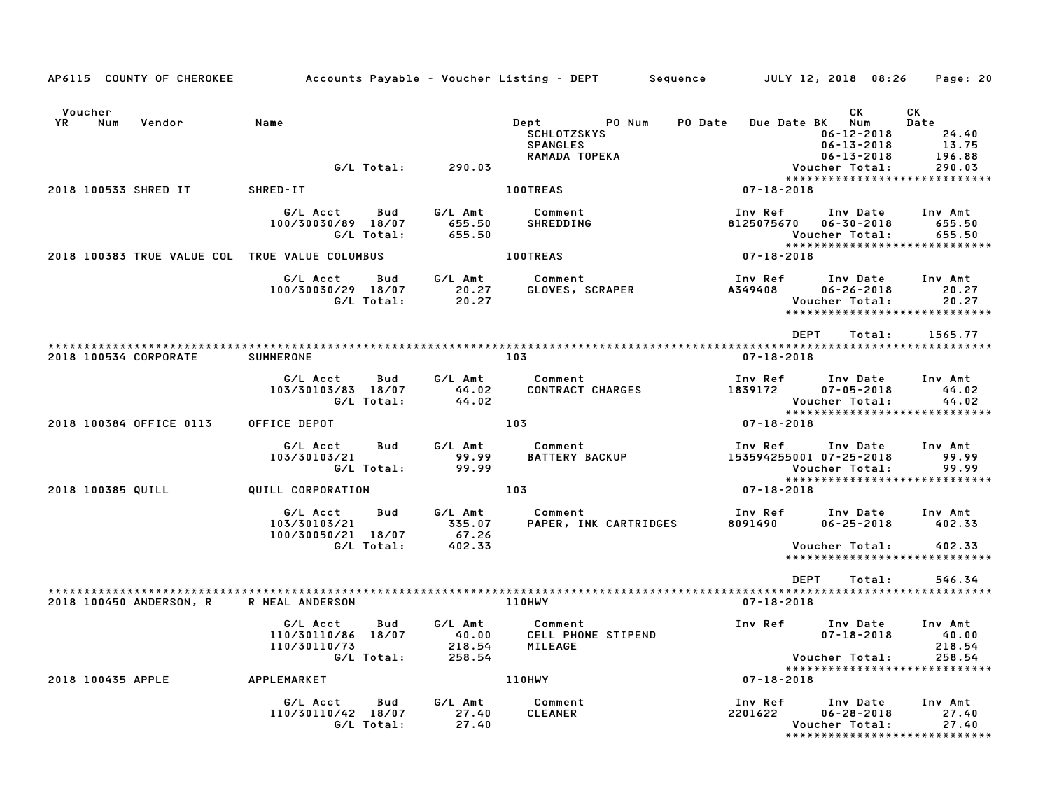| AP6115 COUNTY OF CHEROKEE                      | Accounts Payable – Voucher Listing – DEPT                           |                                      |                                                         | JULY 12, 2018 08:26<br>Sequence                                           | Page: 20                                                     |
|------------------------------------------------|---------------------------------------------------------------------|--------------------------------------|---------------------------------------------------------|---------------------------------------------------------------------------|--------------------------------------------------------------|
| Voucher<br>YR<br>Num<br>Vendor                 | Name                                                                |                                      | Dept<br>PO Num<br><b>SCHLOTZSKYS</b><br><b>SPANGLES</b> | CK.<br>Due Date BK Num<br>PO Date<br>$06 - 12 - 2018$<br>$06 - 13 - 2018$ | СK<br>Date<br>24.40<br>13.75<br>196.88                       |
|                                                | G/L Total:                                                          | 290.03                               | RAMADA TOPEKA                                           | $06 - 13 - 2018$<br>Voucher Total:                                        | 290.03                                                       |
| 2018 100533 SHRED IT                           | SHRED-IT                                                            |                                      | <b>100TREAS</b>                                         | 07-18-2018                                                                | ******************************                               |
|                                                | G/L Acct<br>Bud<br>100/30030/89 18/07<br>G/L Total:                 | G/L Amt<br>655.50<br>655.50          | Comment<br>SHREDDING                                    | Inv Ref<br>Inv Date<br>8125075670<br>$06 - 30 - 2018$<br>Voucher Total:   | Inv Amt<br>655.50<br>655.50<br>***************************** |
| 2018 100383 TRUE VALUE COL TRUE VALUE COLUMBUS |                                                                     |                                      | <b>100TREAS</b>                                         | 07-18-2018                                                                |                                                              |
|                                                | G/L Acct<br>Bud<br>100/30030/29 18/07<br>G/L Total:                 | G/L Amt<br>20.27<br>20.27            | Comment<br>GLOVES, SCRAPER                              | Inv Ref<br>Inv Date<br>A349408<br>$06 - 26 - 2018$<br>Voucher Total:      | Inv Amt<br>20.27<br>20.27<br>*****************************   |
|                                                |                                                                     |                                      |                                                         | <b>DEPT</b><br>Total:                                                     | 1565.77                                                      |
| 2018 100534 CORPORATE                          | <b>SUMNERONE</b>                                                    | 103                                  |                                                         | 07-18-2018                                                                |                                                              |
|                                                | Bud<br>G/L Acct<br>103/30103/83 18/07<br>G/L Total:                 | G/L Amt<br>44.02<br>44.02            | Comment<br><b>CONTRACT CHARGES</b>                      | Inv Ref<br>Inv Date<br>1839172<br>$07 - 05 - 2018$<br>Voucher Total:      | Inv Amt<br>44.02<br>44.02                                    |
| 2018 100384 OFFICE 0113                        | OFFICE DEPOT                                                        | 103                                  |                                                         | 07-18-2018                                                                | ******************************                               |
|                                                | G/L Acct<br>Bud<br>103/30103/21<br>G/L Total:                       | G/L Amt<br>99.99<br>99.99            | Comment<br><b>BATTERY BACKUP</b>                        | Inv Ref<br>Inv Date<br>153594255001 07-25-2018<br>Voucher Total:          | Inv Amt<br>99.99<br>99.99<br>*****************************   |
| 2018 100385 QUILL                              | QUILL CORPORATION                                                   | 103                                  |                                                         | 07-18-2018                                                                |                                                              |
|                                                | G/L Acct<br>Bud<br>103/30103/21<br>100/30050/21 18/07               | G/L Amt<br>335.07<br>67.26           | Comment<br>PAPER, INK CARTRIDGES                        | Inv Ref<br>Inv Date<br>8091490<br>$06 - 25 - 2018$                        | Inv Amt<br>402.33                                            |
|                                                | G/L Total:                                                          | 402.33                               |                                                         | Voucher Total:                                                            | 402.33<br>******************************                     |
|                                                |                                                                     |                                      |                                                         | <b>DEPT</b><br>Total:                                                     | 546.34                                                       |
| 2018 100450 ANDERSON, R                        | R NEAL ANDERSON                                                     |                                      | 110HWY                                                  | $07 - 18 - 2018$                                                          |                                                              |
|                                                | G/L Acct<br>Bud<br>110/30110/86 18/07<br>110/30110/73<br>G/L Total: | G/L Amt<br>40.00<br>218.54<br>258.54 | Comment<br>CELL PHONE STIPEND<br>MILEAGE                | Inv Ref<br>Inv Date<br>$07 - 18 - 2018$<br>Voucher Total:                 | Inv Amt<br>40.00<br>218.54<br>258.54                         |
| 2018 100435 APPLE                              | APPLEMARKET                                                         |                                      | 110HWY                                                  | $07 - 18 - 2018$                                                          | *****************************                                |
|                                                | G/L Acct<br>Bud<br>110/30110/42 18/07<br>G/L Total:                 | G/L Amt<br>27.40<br>27.40            | Comment<br><b>CLEANER</b>                               | Inv Ref<br>Inv Date<br>2201622<br>$06 - 28 - 2018$<br>Voucher Total:      | Inv Amt<br>27.40<br>27.40<br>*****************************   |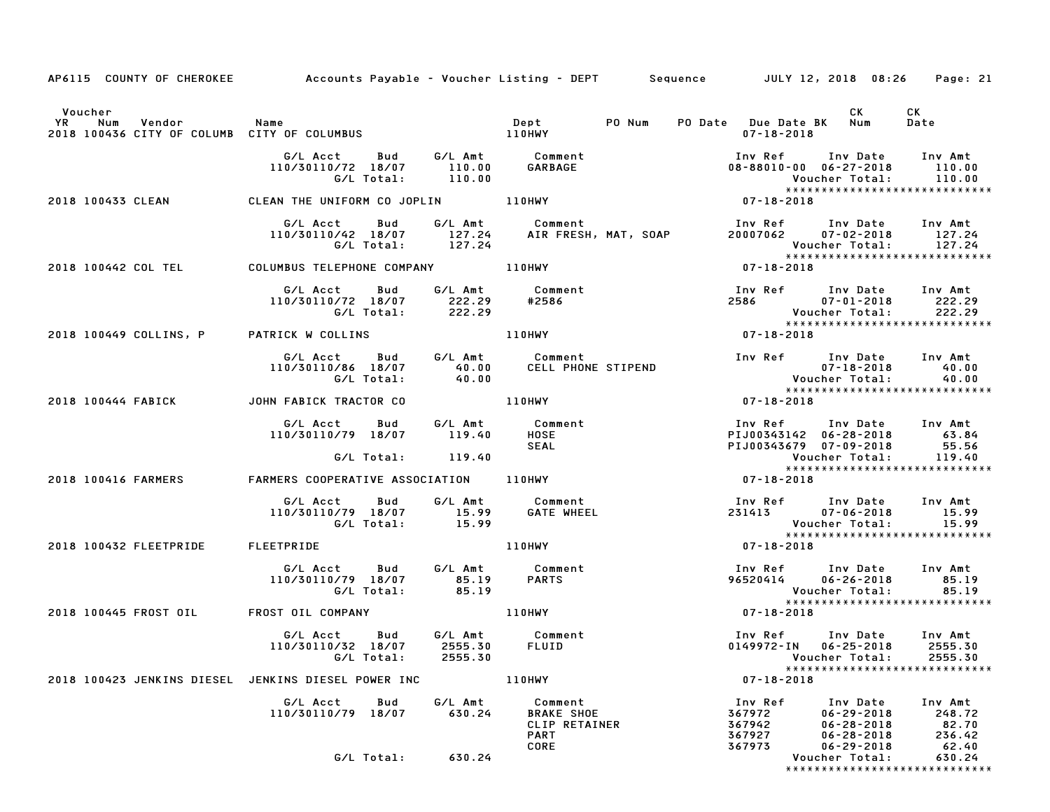| AP6115 COUNTY OF CHEROKEE Accounts Payable - Voucher Listing - DEPT Sequence JULY 12, 2018 08:26 Page: 21 |                                                                                                                |                   |                                                              |                                                                                     |                                                                                                                          |                                                   |
|-----------------------------------------------------------------------------------------------------------|----------------------------------------------------------------------------------------------------------------|-------------------|--------------------------------------------------------------|-------------------------------------------------------------------------------------|--------------------------------------------------------------------------------------------------------------------------|---------------------------------------------------|
| Voucher                                                                                                   |                                                                                                                |                   |                                                              |                                                                                     | CK.                                                                                                                      | CK                                                |
|                                                                                                           |                                                                                                                |                   |                                                              | PO Date Due Date BK Num<br>07-18-2018                                               |                                                                                                                          | Date                                              |
|                                                                                                           | G/L Acct      Bud      G/L Amt        Comment<br>110/30110/72 18/07<br>G/L Total:                              | 110.00            | 110.00 GARBAGE                                               |                                                                                     | Inv Ref Inv Date Inv Amt<br>08-88010-00 06-27-2018 110.00<br>Voucher Total: 110.00                                       |                                                   |
| 2018 100433 CLEAN                                                                                         | CLEAN THE UNIFORM CO JOPLIN 110HWY                                                                             |                   |                                                              |                                                                                     |                                                                                                                          |                                                   |
|                                                                                                           | G/L Acct<br>Bud<br>G/L Total: 127.24                                                                           |                   | G/L Amt Comment                                              |                                                                                     | Inv Ref Inv Date Inv Amt<br>20007062 07-02-2018 127.24<br>Voucher Total:         127.24<br>***************************** |                                                   |
| 2018 100442 COL TEL COLUMBUS TELEPHONE COMPANY 110HWY                                                     |                                                                                                                |                   |                                                              | $07 - 18 - 2018$                                                                    |                                                                                                                          |                                                   |
|                                                                                                           | G/L Acct<br>110/30110/72 18/07 222.29 #2586<br>G/L Total: 222.29                                               |                   | Bud G/L Amt Comment<br>2002.00 #2586                         | 2586 07-01-2018 222.29<br>2586 07-01-2018 222.29<br>******************************* | Inv Ref Inv Date Inv Amt                                                                                                 |                                                   |
| 2018 100449 COLLINS, P                                                                                    | PATRICK W COLLINS 110HWY                                                                                       |                   |                                                              | $07 - 18 - 2018$                                                                    |                                                                                                                          |                                                   |
|                                                                                                           | G/L Acct Bud G/L Amt Comment<br>110/30110/86 18/07 40.00 CELL PHONE STIPEND<br>G/L Total: 40.00                |                   |                                                              |                                                                                     | Inv Ref Inv Date Inv Amt                                                                                                 |                                                   |
| 2018 100444 FABICK                                                                                        | JOHN FABICK TRACTOR CO                                                                                         |                   | 110HWY                                                       | 07-18-2018                                                                          |                                                                                                                          |                                                   |
|                                                                                                           | G/L Acct Bud G/L Amt Comment<br>110/30110/79 18/07 119.40                                                      |                   | HOSE<br><b>SEAL</b>                                          |                                                                                     | 1nv Ref 1nv Date 1nv Amt<br>PIJ00343142 06–28–2018 63.84<br>PIJ00343679 07–09–2018 55.56                                 |                                                   |
|                                                                                                           | G/L Total: 119.40                                                                                              |                   |                                                              |                                                                                     | Voucher Total:<br>*****************************                                                                          | 119.40                                            |
| 2018 100416 FARMERS                                                                                       | FARMERS COOPERATIVE ASSOCIATION 110HWY                                                                         |                   |                                                              | $07 - 18 - 2018$                                                                    |                                                                                                                          |                                                   |
|                                                                                                           | G/L Acct Bud G/L Amt Comment<br>110/30110/79 18/07 15.99 GATE WHEEL<br>G/L Total: 15.99                        |                   |                                                              |                                                                                     | Inv Ref Inv Date Inv Amt<br>231413 07-06-2018 15.99<br>Voucher Total: 15.99<br>****************************              |                                                   |
| 2018 100432 FLEETPRIDE FLEETPRIDE                                                                         |                                                                                                                |                   | 110HWY                                                       | $07 - 18 - 2018$                                                                    |                                                                                                                          |                                                   |
|                                                                                                           | G/L Acct Bud G/L Amt Comment<br>110/30110/79 18/07 85.19<br>G/L Total: 85.19                                   |                   | PARTS                                                        |                                                                                     | Inv Ref Inv Date Inv Amt<br>96520414 06-26-2018 85.19<br>Voucher Total: 85.19<br>****************************            |                                                   |
| 2018 100445 FROST OIL                                                                                     | FROST OIL COMPANY THE RESERVE THROUGHT AND THE RESERVE THROUGHT THROUGHT THROUGHT THROUGHT THROUGHT THROUGHT T |                   |                                                              | $07 - 18 - 2018$                                                                    |                                                                                                                          |                                                   |
|                                                                                                           | G/L Acct Bud<br>110/30110/32 18/07 2555.30 FLUID<br>G/L Total:                                                 | 2555.30           | G/L Amt Comment                                              |                                                                                     | Inv Ref Inv Date Inv Amt<br>0149972-IN 06-25-2018 2555.30<br>Voucher Total:                                              | 2555.30                                           |
| 2018 100423 JENKINS DIESEL JENKINS DIESEL POWER INC                                                       |                                                                                                                |                   | 110HWY                                                       | $07 - 18 - 2018$                                                                    |                                                                                                                          | *****************************                     |
|                                                                                                           | G/L Acct<br>Bud<br>110/30110/79 18/07                                                                          | G/L Amt<br>630.24 | Comment<br><b>BRAKE SHOE</b><br>CLIP RETAINER<br><b>PART</b> | Inv Ref<br>367972<br>367942<br>367927                                               | Inv Date<br>$06 - 29 - 2018$<br>$06 - 28 - 2018$<br>$06 - 28 - 2018$                                                     | Inv Amt<br>248.72<br>82.70<br>236.42              |
|                                                                                                           | G/L Total:                                                                                                     | 630.24            | CORE                                                         | 367973                                                                              | $06 - 29 - 2018$<br>Voucher Total:                                                                                       | 62.40<br>630.24<br>****************************** |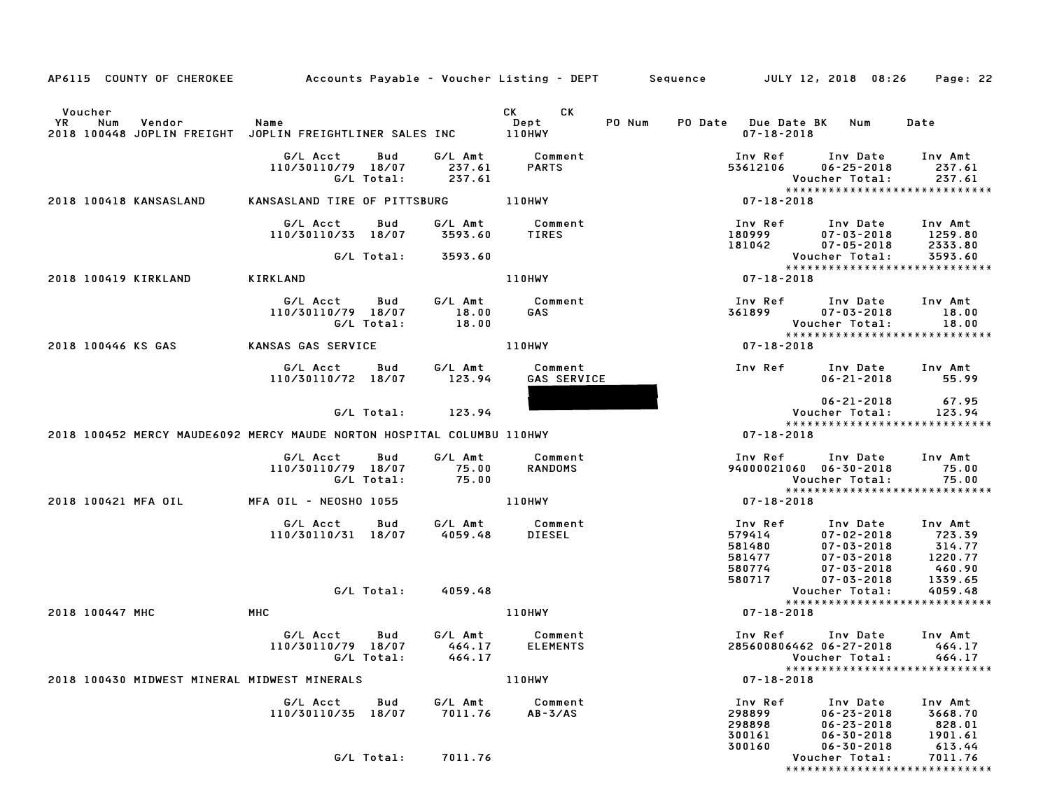| AP6115 COUNTY OF CHEROKEE Accounts Payable - Voucher Listing - DEPT Sequence JULY 12, 2018 08:26 Page: 22 |                                                    |                                                                   |                                       |        |                                                                                    |                                                                                                        |                                                                        |
|-----------------------------------------------------------------------------------------------------------|----------------------------------------------------|-------------------------------------------------------------------|---------------------------------------|--------|------------------------------------------------------------------------------------|--------------------------------------------------------------------------------------------------------|------------------------------------------------------------------------|
| Voucher<br><b>YR</b><br>Num<br>Vendor<br>2018 100448 JOPLIN FREIGHT JOPLIN FREIGHTLINER SALES INC 110HWY  | Name                                               |                                                                   | CK CK<br>Dept                         | PO Num | PO Date Due Date BK Num<br>$07 - 18 - 2018$                                        |                                                                                                        | Date                                                                   |
|                                                                                                           | G/L Acct   Bud<br>110/30110/79 18/07<br>G/L Total: | 237.61<br>237.61                                                  | G/L Amt Comment<br><b>PARTS</b>       |        | Inv Ref      Inv Date     Inv Amt<br>53612106                                      | $06 - 25 - 2018$<br>Voucher Total:                                                                     | 237.61<br>237.61<br>******************************                     |
| 2018 100418 KANSASLAND                                                                                    | KANSASLAND TIRE OF PITTSBURG 110HWY                |                                                                   |                                       |        | 07-18-2018                                                                         |                                                                                                        |                                                                        |
|                                                                                                           | G/L Acct                                           | Bud<br>110/30110/33 18/07 3593.60                                 | G/L Amt Comment<br>TIRES              |        | 100 Ref 100 Date 100 Amt<br>180999 17-03-2018 1259.80<br>181042 07-05-2018 2333.80 |                                                                                                        | 1259.80<br>2333.80                                                     |
|                                                                                                           | G/L Total:                                         | 3593.60                                                           |                                       |        |                                                                                    | Voucher Total:                                                                                         | 3593.60<br>*****************************                               |
| 2018 100419 KIRKLAND                                                                                      | KIRKLAND                                           |                                                                   | 110HWY                                |        | $07 - 18 - 2018$                                                                   |                                                                                                        |                                                                        |
|                                                                                                           | G/L Acct Bud<br>110/30110/79 18/07<br>G/L Total:   | 18.00<br>18.00                                                    | G/L Amt Comment<br>GAS                |        | Inv Ref      Inv Date<br>361899                                                    | $07 - 03 - 2018$<br>Voucher Total:                                                                     | Inv Amt<br>18.00<br>18.00<br>*****************************             |
| 2018 100446 KS GAS                                                                                        | KANSAS GAS SERVICE                                 |                                                                   | 110HWY                                |        | $07 - 18 - 2018$                                                                   |                                                                                                        |                                                                        |
|                                                                                                           | G/L Acct<br>110/30110/72 18/07                     | Bud<br>123.94                                                     | G/L Amt Comment<br><b>GAS SERVICE</b> |        |                                                                                    | Inv Ref Inv Date Inv Amt<br>$06 - 21 - 2018$                                                           | 55.99                                                                  |
|                                                                                                           | G/L Total:                                         | 123.94                                                            |                                       |        |                                                                                    | $06 - 21 - 2018$<br>Voucher Total:                                                                     | 67.95<br>123.94                                                        |
| 2018 100452 MERCY MAUDE6092 MERCY MAUDE NORTON HOSPITAL COLUMBU 110HWY                                    |                                                    |                                                                   |                                       |        | 07-18-2018                                                                         |                                                                                                        | *****************************                                          |
|                                                                                                           | G/L Acct Bud                                       |                                                                   | G/L Amt Comment                       |        | Inv Ref      Inv Date     Inv Amt                                                  |                                                                                                        |                                                                        |
|                                                                                                           | 110/30110/79 18/07<br>G/L Total:                   | 75.00<br>75.00                                                    | RANDOMS                               |        | 94000021060 06-30-2018                                                             | Voucher Total:                                                                                         | 75.00<br>75.00                                                         |
| 2018 100421 MFA OIL                                                                                       | MFA OIL – NEOSHO 1055                              |                                                                   | 110HWY                                |        | $07 - 18 - 2018$                                                                   |                                                                                                        | *****************************                                          |
|                                                                                                           | G/L Acct<br>110/30110/31 18/07                     | <b>Bud</b><br>G/L Amt           Comment<br>4059.48         DIESEL |                                       |        | Inv Ref<br>579414<br>581480<br>581477<br>580774<br>580717                          | Inv Date<br>$07 - 02 - 2018$<br>$07 - 03 - 2018$<br>$07 - 03 - 2018$<br>$07 - 03 - 2018$<br>07-03-2018 | Inv Amt<br>723.39<br>314.77<br>1220.77<br>460.90<br>1339.65<br>4059.48 |
|                                                                                                           |                                                    | G/L Total: 4059.48                                                |                                       |        |                                                                                    | Voucher Total:                                                                                         | 4059.48<br>*****************************                               |
| 2018 100447 MHC                                                                                           | MHC                                                |                                                                   | 110HWY                                |        | 07-18-2018                                                                         |                                                                                                        |                                                                        |
|                                                                                                           | G/L Acct<br>G/L Total:                             | Bud<br>464.17                                                     | G/L Amt Comment                       |        | Inv Ref<br>285600806462 06-27-2018 464.17                                          | Inv Date Inv Amt<br>Voucher Total:                                                                     | 464.17<br>*****************************                                |
| 2018 100430 MIDWEST MINERAL MIDWEST MINERALS                                                              |                                                    |                                                                   | 110HWY                                |        | $07 - 18 - 2018$                                                                   |                                                                                                        |                                                                        |
|                                                                                                           | G/L Acct<br>110/30110/35 18/07                     | G/L Amt<br>Bud<br>7011.76                                         | Comment<br>$AB - 3/AS$                |        | Inv Ref<br>298899<br>298898<br>300161<br>300160                                    | Inv Date<br>$06 - 23 - 2018$<br>$06 - 23 - 2018$<br>$06 - 30 - 2018$<br>$06 - 30 - 2018$               | Inv Amt<br>3668.70<br>828.01<br>1901.61<br>613.44                      |
|                                                                                                           | G/L Total:                                         | 7011.76                                                           |                                       |        |                                                                                    | Voucher Total:                                                                                         | 7011.76<br>*****************************                               |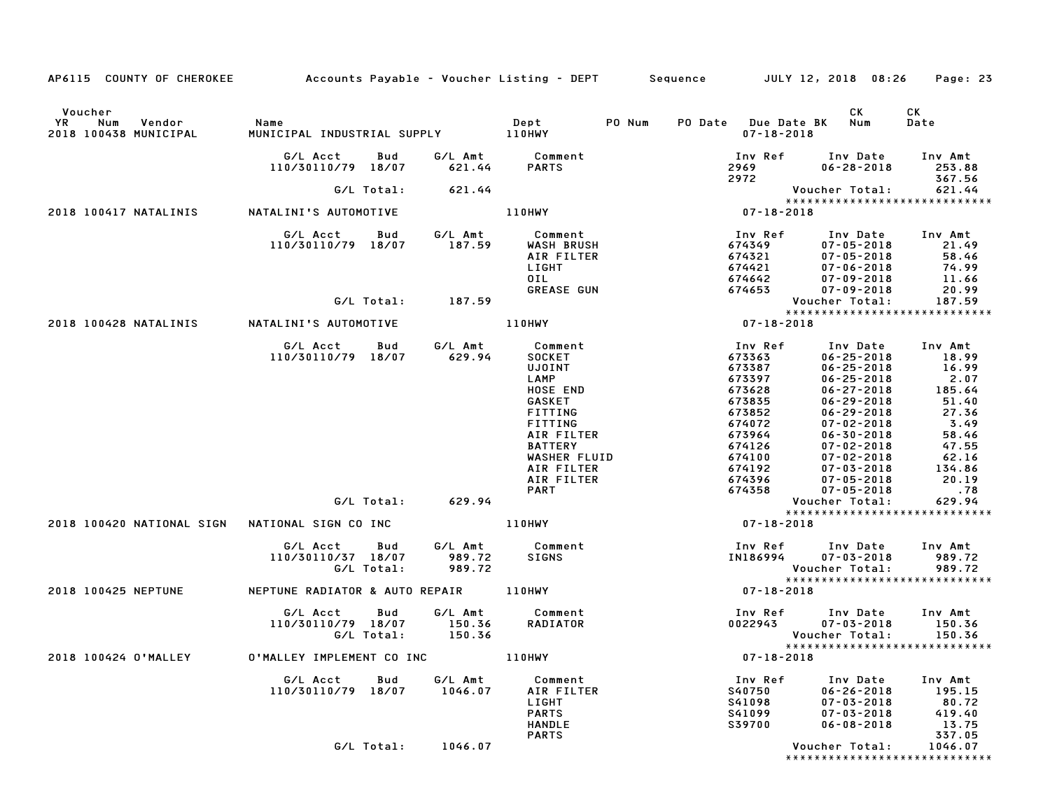| AP6115 COUNTY OF CHEROKEE Accounts Payable - Voucher Listing - DEPT Sequence JULY 12, 2018 08:26 |                                                           |                    |                                                                                                                                                                                                                   |                                                                                                                                                               |                                                                                                                                                                                                                                                                                                                                   | Page: 23                                                                                                                    |
|--------------------------------------------------------------------------------------------------|-----------------------------------------------------------|--------------------|-------------------------------------------------------------------------------------------------------------------------------------------------------------------------------------------------------------------|---------------------------------------------------------------------------------------------------------------------------------------------------------------|-----------------------------------------------------------------------------------------------------------------------------------------------------------------------------------------------------------------------------------------------------------------------------------------------------------------------------------|-----------------------------------------------------------------------------------------------------------------------------|
| Voucher<br>Num<br>Vendor<br>YR<br>2018 100438 MUNICIPAL                                          | Name<br>MUNICIPAL INDUSTRIAL SUPPLY 110HWY                |                    | Dept<br>PO Num                                                                                                                                                                                                    | PO Date Due Date BK Num<br>$07 - 18 - 2018$                                                                                                                   | CK                                                                                                                                                                                                                                                                                                                                | <b>CK</b><br>Date                                                                                                           |
|                                                                                                  | G/L Acct<br>Bud<br>110/30110/79 18/07                     | 621.44             | G/L Amt Comment<br><b>PARTS</b>                                                                                                                                                                                   | 2969 200<br>2972                                                                                                                                              | Inv Ref      Inv Date     Inv Amt<br>$06 - 28 - 2018$                                                                                                                                                                                                                                                                             | 253.88<br>367.56                                                                                                            |
|                                                                                                  | G/L Total:                                                | 621.44             |                                                                                                                                                                                                                   |                                                                                                                                                               | Voucher Total:                                                                                                                                                                                                                                                                                                                    | 621.44                                                                                                                      |
| 2018 100417 NATALINIS                                                                            | NATALINI'S AUTOMOTIVE                                     |                    | 110HWY                                                                                                                                                                                                            | $524$<br>$37 - 18 - 2018$                                                                                                                                     | *****************************                                                                                                                                                                                                                                                                                                     |                                                                                                                             |
|                                                                                                  | G/L Acct   Bud<br>110/30110/79 18/07                      |                    | G/L Amt         Comment<br>187.59       WASH BRUSH<br>WASH BRUSH<br>AIR FILTER<br>LIGHT<br>OIL<br><b>GREASE GUN</b>                                                                                               | Inv Ref<br>674349<br>674321<br>674421<br>674642<br>674653                                                                                                     | Inv Date Inv Amt<br>$07 - 05 - 2018$<br>$07 - 05 - 2018$<br>$07 - 06 - 2018$<br>$07 - 09 - 2018$<br>07-09-2018                                                                                                                                                                                                                    | 21.49<br>58.46<br>74.99<br>$\frac{11.66}{20.99}$                                                                            |
|                                                                                                  | G/L Total: 187.59                                         |                    |                                                                                                                                                                                                                   |                                                                                                                                                               | Voucher Total:                                                                                                                                                                                                                                                                                                                    | 187.59                                                                                                                      |
| 2018 100428 NATALINIS NATALINI'S AUTOMOTIVE                                                      |                                                           |                    | <b>110HWY</b>                                                                                                                                                                                                     | $07 - 18 - 2018$                                                                                                                                              | *****************************                                                                                                                                                                                                                                                                                                     |                                                                                                                             |
|                                                                                                  | G/L Acct   Bud<br>110/30110/79 18/07<br>G/L Total: 629.94 | 629.94             | G/L Amt Comment<br>629.94 SOCKET<br><b>SOCKET</b><br><b>UJOINT</b><br>LAMP<br>HOSE END<br>GASKET<br>FITTING<br>FITTING<br>AIR FILTER<br><b>BATTERY</b><br>WASHER FLUID<br>AIR FILTER<br>AIR FILTER<br><b>PART</b> | Inv Ref<br>673363<br>673387<br>673397<br>673628<br>673835<br>673852<br>674072<br>673964<br>674126<br>674100<br>674192<br>674396<br>674358<br>$07 - 18 - 2018$ | Inv Date Inv Amt<br>$06 - 25 - 2018$<br>$06 - 25 - 2018$<br>$06 - 25 - 2018$<br>$06 - 27 - 2018$<br>$06 - 29 - 2018$<br>$06 - 29 - 2018$<br>$07 - 02 - 2018$<br>$06 - 30 - 2018$<br>$07 - 02 - 2018$<br>$07 - 02 - 2018$<br>$07 - 03 - 2018$<br>07-05-2018<br>$07 - 05 - 2018$<br>Voucher Total:<br>***************************** | 18.99<br>$16.99$<br>2.07<br>185.64<br>51.40<br>27.36<br>3.49<br>58.46<br>47.55<br>62.16<br>134.86<br>20.19<br>.78<br>629.94 |
|                                                                                                  | G/L Acct<br>Bud<br>110/30110/37 18/07<br>G/L Total:       | 989.72<br>989.72   | <b>110HWY</b><br>G/L Amt Comment<br>SIGNS                                                                                                                                                                         | Inv Ref Inv Date Inv Amt<br><b>IN186994</b>                                                                                                                   | $07 - 03 - 2018$<br>Voucher Total:                                                                                                                                                                                                                                                                                                | 989.72<br>989.72                                                                                                            |
| 2018 100425 NEPTUNE                                                                              | NEPTUNE RADIATOR & AUTO REPAIR 110HWY                     |                    |                                                                                                                                                                                                                   | 07-18-2018                                                                                                                                                    | ******************************                                                                                                                                                                                                                                                                                                    |                                                                                                                             |
|                                                                                                  | G/L Acct Bud<br>110/30110/79 18/07<br>G/L Total:          | 150.36<br>150.36   | G/L Amt Comment<br>RADIATOR                                                                                                                                                                                       |                                                                                                                                                               | Inv Ref      Inv Date     Inv Amt<br>0022943 07-03-2018<br>Voucher Total:<br>******************************                                                                                                                                                                                                                       | 150.36<br>150.36                                                                                                            |
| 2018 100424 O'MALLEY                                                                             | 0'MALLEY IMPLEMENT CO INC 110HWY                          |                    |                                                                                                                                                                                                                   | 07-18-2018                                                                                                                                                    |                                                                                                                                                                                                                                                                                                                                   |                                                                                                                             |
|                                                                                                  | G/L Acct<br>Bud<br>110/30110/79 18/07                     | G/L Amt<br>1046.07 | Comment<br>AIR FILTER<br>LIGHT<br><b>PARTS</b><br><b>HANDLE</b><br><b>PARTS</b>                                                                                                                                   | Inv Ref<br>S40750<br>S41098<br>S41099<br>S39700                                                                                                               | Inv Date<br>$06 - 26 - 2018$<br>$07 - 03 - 2018$<br>$07 - 03 - 2018$<br>$06 - 08 - 2018$                                                                                                                                                                                                                                          | Inv Amt<br>195.15<br>80.72<br>419.40<br>13.75<br>337.05                                                                     |
|                                                                                                  | G/L Total:                                                | 1046.07            |                                                                                                                                                                                                                   |                                                                                                                                                               | Voucher Total:<br>*****************************                                                                                                                                                                                                                                                                                   | 1046.07                                                                                                                     |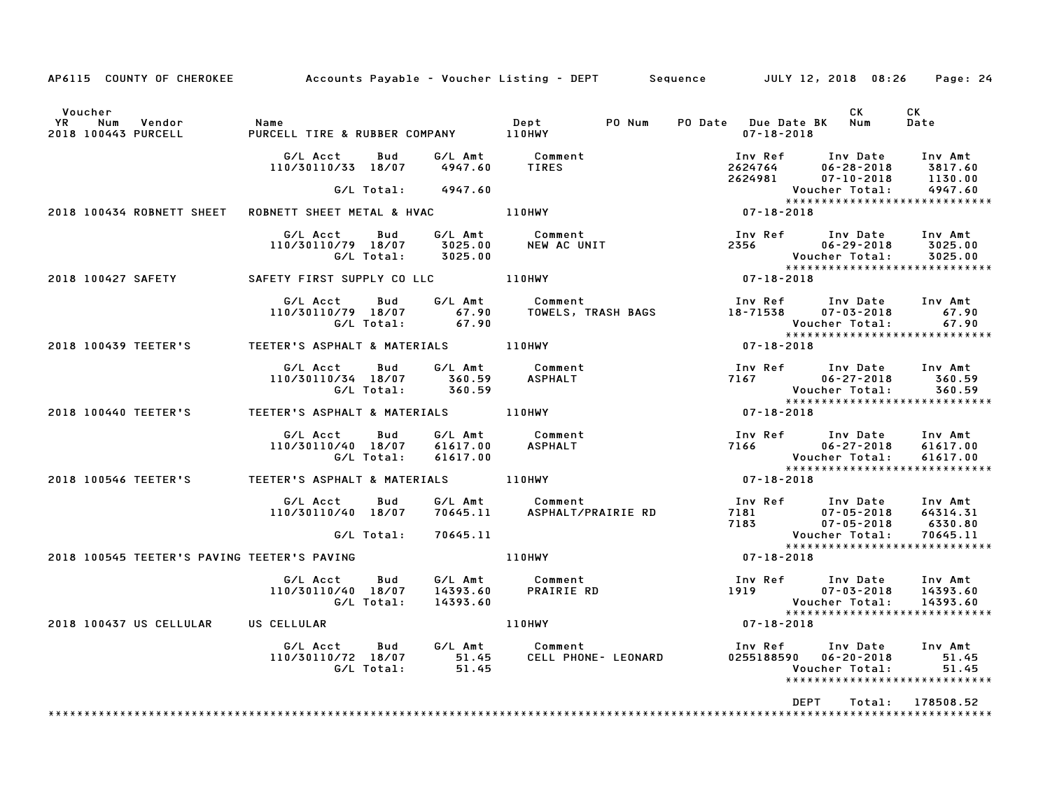| AP6115 COUNTY OF CHEROKEE Accounts Payable – Voucher Listing – DEPT Sequence JULY 12, 2018 08:26 |                                                                  |                           |                                                                                                                                                                                                              |                                                                                                                                              |                                                                                                                                                | Page: 24             |
|--------------------------------------------------------------------------------------------------|------------------------------------------------------------------|---------------------------|--------------------------------------------------------------------------------------------------------------------------------------------------------------------------------------------------------------|----------------------------------------------------------------------------------------------------------------------------------------------|------------------------------------------------------------------------------------------------------------------------------------------------|----------------------|
| Voucher<br><b>YR</b><br>Vendor<br>Num<br>2018 100443 PURCELL                                     | Name<br>PURCELL TIRE & RUBBER COMPANY 110HWY                     |                           | Dept                                                                                                                                                                                                         | PO Num PO Date Due Date BK Num<br>$07 - 18 - 2018$                                                                                           | CK                                                                                                                                             | CK<br>Date           |
|                                                                                                  | G/L Acct<br>110/30110/33 18/07 4947.60                           | Bud<br>G/L Total: 4947.60 | G/L Amt Comment<br>TIRES                                                                                                                                                                                     |                                                                                                                                              | 1nv Ref 1nv Date 1nv Amt<br>2624764 06-28-2018 3817.60<br>2624981 07-10-2018 1130.00<br>Voucher Total: 4947.60<br><b>Voucher Total:</b>        |                      |
| 2018 100434 ROBNETT SHEET                                                                        | ROBNETT SHEET METAL & HVAC 110HWY                                |                           |                                                                                                                                                                                                              |                                                                                                                                              | Voucher lotai: به ۷۵۰۰۱۰۰۰۰<br>*****************************<br>07-18-2018                                                                     |                      |
|                                                                                                  | G/L Acct Bud<br>110/30110/79 18/07 3025.00<br>G/L Total: 3025.00 |                           | G/L Amt Comment<br>NEW AC UNIT                                                                                                                                                                               |                                                                                                                                              | Inv Ref Inv Date Inv Amt<br>2356 06-29-2018 3025.00<br>Voucher Total:<br>**********************<br>07-18-2018<br>***************************** | 3025.00              |
| 2018 100427 SAFETY SAFETY FIRST SUPPLY CO LLC 110HWY                                             |                                                                  |                           |                                                                                                                                                                                                              |                                                                                                                                              |                                                                                                                                                |                      |
|                                                                                                  |                                                                  |                           | G/L Acct     Bud     G/L Amt        Comment                        Inv Ref     Inv Date    Inv Amt<br>110/30110/79 18/07       67.90     TOWELS, TRASH BAGS          18-71538     07-03-2018       67.90<br> |                                                                                                                                              | Voucher Total: 67.90<br>*****************************                                                                                          |                      |
| 2018 100439 TEETER'S TEETER'S ASPHALT & MATERIALS 110HWY                                         |                                                                  |                           |                                                                                                                                                                                                              | $07 - 18 - 2018$                                                                                                                             |                                                                                                                                                |                      |
|                                                                                                  | 110/30110/34 18/07 360.59 ASPHALT<br>G/L Total: 360.59 ASPHALT   |                           | G/L Acct Bud G/L Amt Comment                                                                                                                                                                                 |                                                                                                                                              | Inv Ref Inv Date Inv Amt                                                                                                                       |                      |
| 2018 100440 TEETER'S                                                                             | TEETER'S ASPHALT & MATERIALS 110HWY                              |                           |                                                                                                                                                                                                              | $07 - 18 - 2018$                                                                                                                             |                                                                                                                                                |                      |
|                                                                                                  | G/L Acct Bud<br>110/30110/40 18/07<br>G/L Total:                 | 61617.00<br>61617.00      | G/L Amt Comment<br>ASPHALT                                                                                                                                                                                   |                                                                                                                                              | Inv Ref      Inv Date     Inv Amt<br>7166                06–27–2018       61617.00<br>Voucher Total: 61617.00<br>***************************** | 61617.00             |
| 2018 100546 TEETER'S TEETER'S ASPHALT & MATERIALS 110HWY                                         |                                                                  |                           |                                                                                                                                                                                                              | $07 - 18 - 2018$                                                                                                                             |                                                                                                                                                |                      |
|                                                                                                  | G/L Acct<br>110/30110/40 18/07                                   | Bud                       | G/L Amt         Comment<br>70645.11      ASPHALT/PRAIRIE RD                                                                                                                                                  |                                                                                                                                              | 100 Ref 100 Date 100 Amt<br>181 07-05-2018 64314.31<br>183 07-05-2018 6330.80<br>Voucher Total: 70645.11<br>XXXXXXXXXXXXXXXXXXXXXXXXXXXX       |                      |
| 2018 100545 TEETER'S PAVING TEETER'S PAVING                                                      | G/L Total:                                                       | 70645.11                  | 110HWY                                                                                                                                                                                                       | $07 - 18 - 2018$                                                                                                                             |                                                                                                                                                |                      |
|                                                                                                  |                                                                  |                           |                                                                                                                                                                                                              |                                                                                                                                              |                                                                                                                                                |                      |
|                                                                                                  | G/L Acct   Bud<br>110/30110/40 18/07<br>G/L Total:               | 14393.60                  | G/L Amt Comment<br>14393.60 PRAIRIE RD<br>14393.60                                                                                                                                                           | Inv Ref      Inv Date    Inv Amt<br>1919               07-03-2018     14393.60<br>Voucher Total:     14393.60<br>*************************** | *****************************                                                                                                                  | 14393.60<br>14393.60 |
| 2018 100437 US CELLULAR US CELLULAR                                                              |                                                                  |                           | 110HWY                                                                                                                                                                                                       | $07 - 18 - 2018$                                                                                                                             |                                                                                                                                                |                      |
|                                                                                                  |                                                                  |                           |                                                                                                                                                                                                              |                                                                                                                                              | Inv Ref      Inv Date     Inv Amt<br>0255188590  06-20-2018<br>Voucher Total:<br>*****************************                                 | 51.45<br>51.45       |
|                                                                                                  |                                                                  |                           |                                                                                                                                                                                                              |                                                                                                                                              | <b>DEPT</b>                                                                                                                                    | Total: 178508.52     |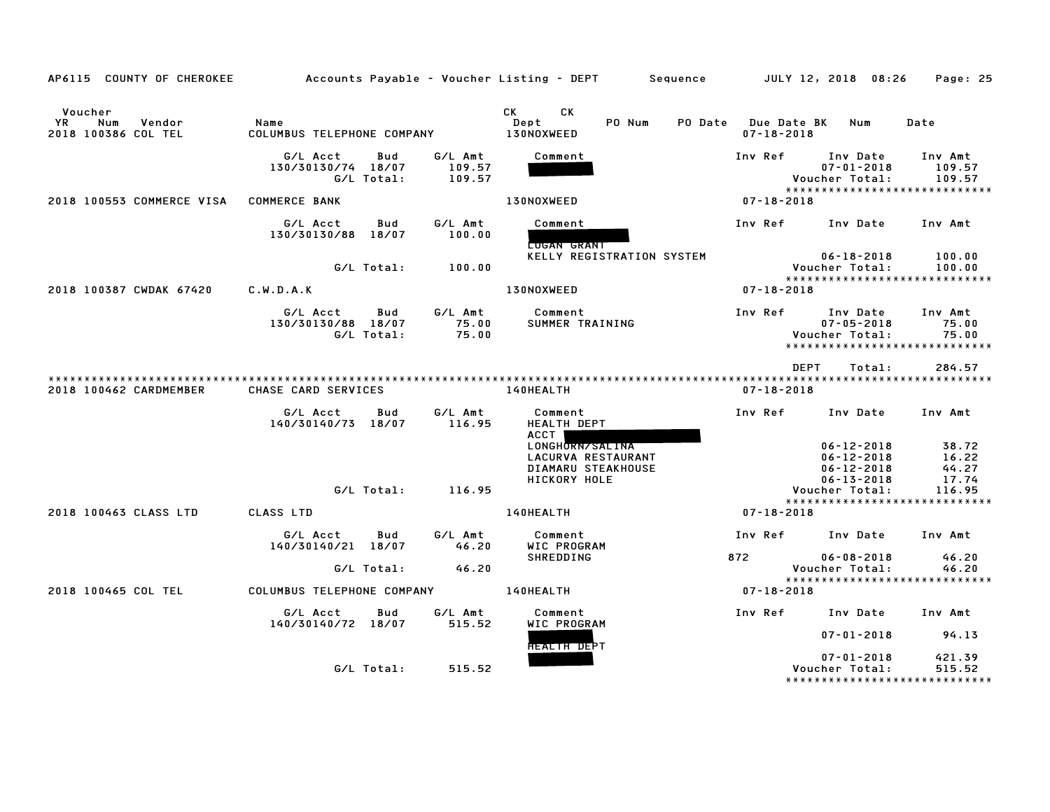| AP6115 COUNTY OF CHEROKEE                             |                                    |                   |                             | Accounts Payable – Voucher Listing – DEPT         Sequence  |                                        | JULY 12, 2018 08:26                                                             | Page: 25                    |
|-------------------------------------------------------|------------------------------------|-------------------|-----------------------------|-------------------------------------------------------------|----------------------------------------|---------------------------------------------------------------------------------|-----------------------------|
| Voucher<br>YR<br>Num<br>Vendor<br>2018 100386 COL TEL | Name<br>COLUMBUS TELEPHONE COMPANY |                   |                             | CK<br>CK.<br>PO Num<br>Dept<br><b>PO Date</b><br>130NOXWEED | <b>Due Date BK</b><br>$07 - 18 - 2018$ | Num                                                                             | Date                        |
|                                                       | G/L Acct<br>130/30130/74 18/07     | Bud<br>G/L Total: | G/L Amt<br>109.57<br>109.57 | Comment                                                     | Inv Ref                                | Inv Date<br>$07 - 01 - 2018$<br>Voucher Total:<br>***************************** | Inv Amt<br>109.57<br>109.57 |
| 2018 100553 COMMERCE VISA                             | <b>COMMERCE BANK</b>               |                   |                             | 130NOXWEED                                                  | $07 - 18 - 2018$                       |                                                                                 |                             |
|                                                       | G/L Acct<br>130/30130/88 18/07     | Bud               | G/L Amt<br>100.00           | Comment<br><b>CUGAN GRANT</b>                               | Inv Ref                                | Inv Date                                                                        | Inv Amt                     |
|                                                       |                                    | G/L Total:        | 100.00                      | KELLY REGISTRATION SYSTEM                                   |                                        | 06-18-2018<br>Voucher Total:<br>*****************************                   | 100.00<br>100.00            |
| 2018 100387 CWDAK 67420                               | C.W.D.A.K                          |                   |                             | 130NOXWEED                                                  | $07 - 18 - 2018$                       |                                                                                 |                             |
|                                                       | G/L Acct<br>130/30130/88 18/07     | Bud<br>G/L Total: | G/L Amt<br>75.00<br>75.00   | Comment<br>SUMMER TRAINING                                  | Inv Ref                                | Inv Date<br>$07 - 05 - 2018$<br>Voucher Total:<br>***************************** | Inv Amt<br>75.00<br>75.00   |
|                                                       |                                    |                   |                             |                                                             |                                        | <b>DEPT</b><br>Total:                                                           | 284.57                      |
| 2018 100462 CARDMEMBER                                | CHASE CARD SERVICES                |                   |                             | 140HEALTH                                                   | $07 - 18 - 2018$                       |                                                                                 |                             |
|                                                       | G/L Acct<br>140/30140/73 18/07     | Bud               | G/L Amt<br>116.95           | Comment<br>HEALTH DEPT<br>ACCT                              | Inv Ref                                | Inv Date                                                                        | Inv Amt                     |
|                                                       |                                    |                   |                             | LONGHORN/SALINA<br>LACURVA RESTAURANT<br>DIAMARU STEAKHOUSE |                                        | $06 - 12 - 2018$<br>$06 - 12 - 2018$<br>$06 - 12 - 2018$                        | 38.72<br>16.22<br>44.27     |
|                                                       |                                    | G/L Total:        | 116.95                      | <b>HICKORY HOLE</b>                                         |                                        | $06 - 13 - 2018$<br>Voucher Total:                                              | 17.74<br>116.95             |
|                                                       |                                    |                   |                             |                                                             |                                        | *****************************                                                   |                             |
| 2018 100463 CLASS LTD                                 | CLASS LTD                          |                   |                             | 140HEALTH                                                   | $07 - 18 - 2018$                       |                                                                                 |                             |
|                                                       | G/L Acct<br>140/30140/21 18/07     | Bud               | G/L Amt<br>46.20            | Comment<br>WIC PROGRAM                                      | Inv Ref                                | Inv Date                                                                        | Inv Amt                     |
|                                                       |                                    | G/L Total:        | 46.20                       | <b>SHREDDING</b>                                            | 872                                    | 06-08-2018<br>Voucher Total:                                                    | 46.20<br>46.20              |
|                                                       |                                    |                   |                             |                                                             |                                        | *****************************                                                   |                             |
| 2018 100465 COL TEL                                   | COLUMBUS TELEPHONE COMPANY         |                   |                             | <b>140HEALTH</b>                                            | 07-18-2018                             |                                                                                 |                             |
|                                                       | G/L Acct<br>140/30140/72 18/07     | Bud               | G/L Amt<br>515.52           | Comment<br>WIC PROGRAM                                      | Inv Ref                                | Inv Date                                                                        | Inv Amt                     |
|                                                       |                                    |                   |                             | FIEALTH DEPT                                                |                                        | $07 - 01 - 2018$                                                                | 94.13                       |
|                                                       |                                    | G/L Total:        | 515.52                      |                                                             |                                        | $07 - 01 - 2018$<br>Voucher Total:                                              | 421.39<br>515.52            |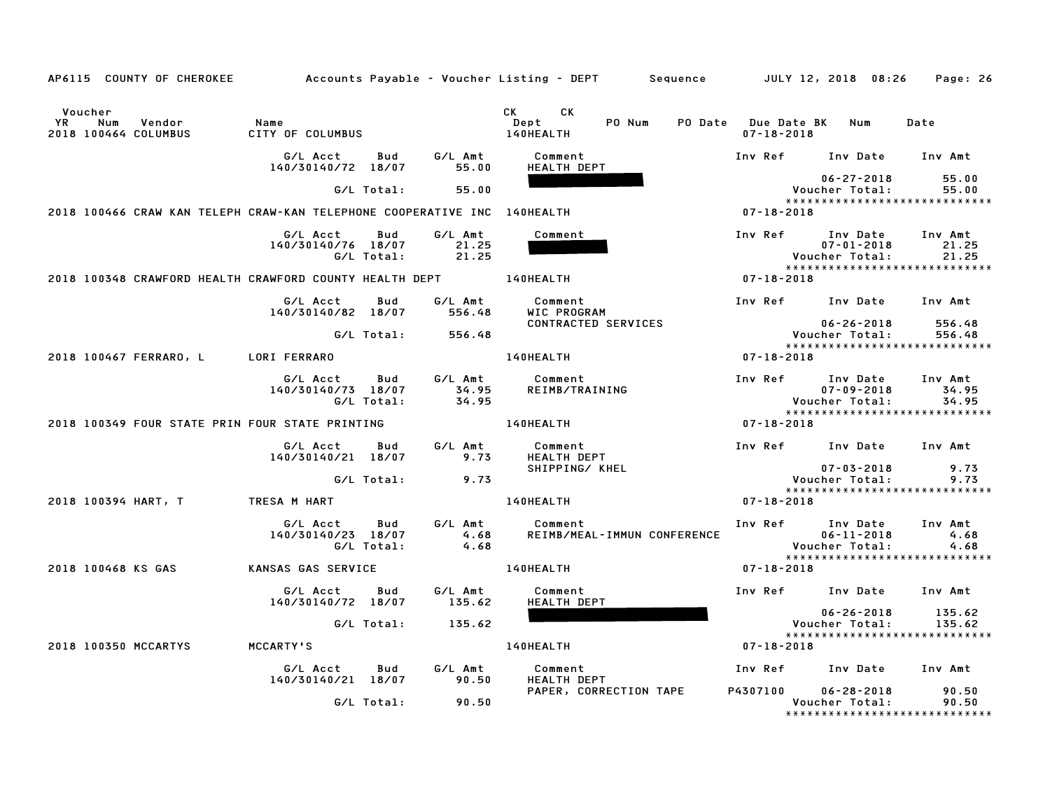| AP6115 COUNTY OF CHEROKEE                                                |                                |                   |                           | Accounts Payable – Voucher Listing – DEPT         Sequence |                                                | JULY 12, 2018 08:26                                                 | Page: 26                  |
|--------------------------------------------------------------------------|--------------------------------|-------------------|---------------------------|------------------------------------------------------------|------------------------------------------------|---------------------------------------------------------------------|---------------------------|
| Voucher<br>YR.<br>Num<br>Vendor<br>2018 100464 COLUMBUS                  | Name<br>CITY OF COLUMBUS       |                   |                           | <b>CK</b><br>CK.<br>Dept<br>PO Num<br>140HEALTH            | <b>PO Date</b> Due Date BK<br>$07 - 18 - 2018$ | Num                                                                 | Date                      |
|                                                                          | G/L Acct<br>140/30140/72 18/07 | Bud               | G/L Amt                   | Comment                                                    | Inv Ref                                        | Inv Date                                                            | Inv Amt                   |
|                                                                          |                                |                   | 55.00                     | HEALTH DEPT                                                |                                                | $06 - 27 - 2018$                                                    | 55.00                     |
|                                                                          |                                | G/L Total:        | 55.00                     |                                                            |                                                | Voucher Total:<br>*****************************                     | 55.00                     |
| 2018 100466 CRAW KAN TELEPH CRAW-KAN TELEPHONE COOPERATIVE INC 140HEALTH |                                |                   |                           |                                                            | $07 - 18 - 2018$                               |                                                                     |                           |
|                                                                          | G/L Acct<br>140/30140/76 18/07 | Bud<br>G/L Total: | G/L Amt<br>21.25<br>21.25 | Comment                                                    | Inv Ref                                        | Inv Date<br>$07 - 01 - 2018$<br>Voucher Total:                      | Inv Amt<br>21.25<br>21.25 |
| 2018 100348 CRAWFORD HEALTH CRAWFORD COUNTY HEALTH DEPT                  |                                |                   |                           | 140HEALTH                                                  | $07 - 18 - 2018$                               | *****************************                                       |                           |
|                                                                          | G/L Acct<br>140/30140/82 18/07 | Bud               | G/L Amt<br>556.48         | Comment<br>WIC PROGRAM                                     | Inv Ref                                        | Inv Date                                                            | Inv Amt                   |
|                                                                          |                                | G/L Total:        | 556.48                    | CONTRACTED SERVICES                                        |                                                | $06 - 26 - 2018$<br>Voucher Total:                                  | 556.48<br>556.48          |
| 2018 100467 FERRARO, L                                                   | LORI FERRARO                   |                   |                           | 140HEALTH                                                  | $07 - 18 - 2018$                               | *****************************                                       |                           |
|                                                                          |                                |                   |                           |                                                            |                                                |                                                                     |                           |
|                                                                          | G/L Acct<br>140/30140/73 18/07 | Bud<br>G/L Total: | G/L Amt<br>34.95<br>34.95 | Comment<br>REIMB/TRAINING                                  | Inv Ref                                        | Inv Date<br>$07 - 09 - 2018$<br>Voucher Total:                      | Inv Amt<br>34.95<br>34.95 |
| 2018 100349 FOUR STATE PRIN FOUR STATE PRINTING                          |                                |                   |                           | 140HEALTH                                                  | $07 - 18 - 2018$                               | *****************************                                       |                           |
|                                                                          | G/L Acct                       | Bud               | G/L Amt                   | Comment                                                    | Inv Ref                                        | Inv Date                                                            | Inv Amt                   |
|                                                                          | 140/30140/21 18/07             |                   | 9.73                      | <b>HEALTH DEPT</b>                                         |                                                |                                                                     |                           |
|                                                                          |                                | G/L Total:        | 9.73                      | SHIPPING/ KHEL                                             |                                                | $07 - 03 - 2018$<br>Voucher Total:                                  | 9.73<br>9.73              |
| 2018 100394 HART, T                                                      | TRESA M HART                   |                   |                           | 140HEALTH                                                  | $07 - 18 - 2018$                               | *****************************                                       |                           |
|                                                                          | G/L Acct<br>140/30140/23 18/07 | Bud<br>G/L Total: | G/L Amt<br>4.68<br>4.68   | Comment<br>REIMB/MEAL-IMMUN CONFERENCE                     | Inv Ref                                        | Inv Date<br>$06 - 11 - 2018$<br>Voucher Total:                      | Inv Amt<br>4.68<br>4.68   |
| 2018 100468 KS GAS                                                       | KANSAS GAS SERVICE             |                   |                           | 140HEALTH                                                  | $07 - 18 - 2018$                               | *****************************                                       |                           |
|                                                                          | G/L Acct<br>140/30140/72 18/07 | Bud               | G/L Amt<br>135.62         | Comment<br>HEALTH DEPT                                     | Inv Ref                                        | Inv Date                                                            | Inv Amt                   |
|                                                                          |                                | G/L Total:        | 135.62                    |                                                            |                                                | $06 - 26 - 2018$<br>Voucher Total:                                  | 135.62<br>135.62          |
|                                                                          |                                |                   |                           |                                                            |                                                | ****************************                                        |                           |
| 2018 100350 MCCARTYS                                                     | MCCARTY'S                      |                   |                           | 140HEALTH                                                  | $07 - 18 - 2018$                               |                                                                     |                           |
|                                                                          | G/L Acct<br>140/30140/21 18/07 | Bud               | G/L Amt<br>90.50          | Comment<br>HEALTH DEPT                                     | Inv Ref                                        | Inv Date                                                            | Inv Amt                   |
|                                                                          |                                | G/L Total:        | 90.50                     | PAPER, CORRECTION TAPE                                     | P4307100                                       | $06 - 28 - 2018$<br>Voucher Total:<br>***************************** | 90.50<br>90.50            |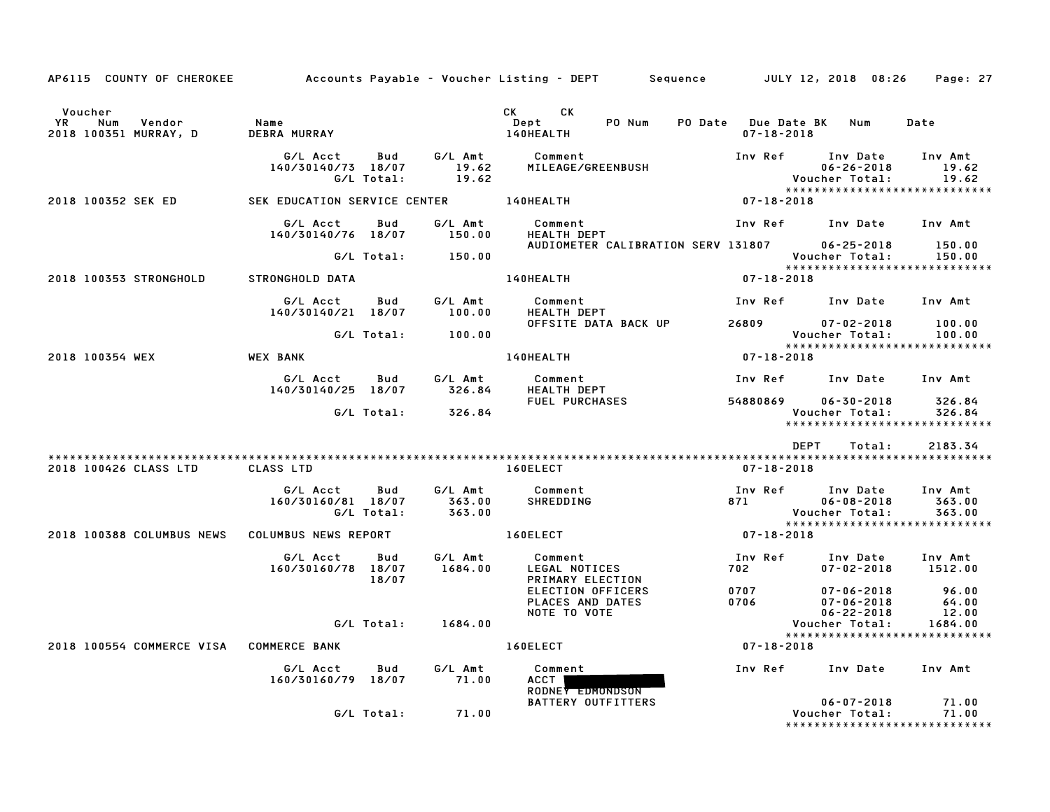| AP6115 COUNTY OF CHEROKEE                                      |                                                     |                             | Accounts Payable – Voucher Listing – DEPT         Sequence         JULY 12, 2018  08:26                                                                                                                                                                             |                                                                                                   | Page: 27                           |
|----------------------------------------------------------------|-----------------------------------------------------|-----------------------------|---------------------------------------------------------------------------------------------------------------------------------------------------------------------------------------------------------------------------------------------------------------------|---------------------------------------------------------------------------------------------------|------------------------------------|
| Voucher<br><b>YR</b><br>Num<br>Vendor<br>2018 100351 MURRAY, D | Name<br><b>DEBRA MURRAY</b>                         |                             | CK the control of the control of the control of the control of the control of the control of the control of the control of the control of the control of the control of the control of the control of the control of the contr<br>CK<br>PO Num<br>Dept<br>140HEALTH | PO Date Due Date BK<br>Num<br>$07 - 18 - 2018$                                                    | Date                               |
|                                                                | G/L Acct<br>Bud<br>140/30140/73 18/07<br>G/L Total: | G/L Amt<br>19.62<br>19.62   | Comment<br>MILEAGE/GREENBUSH                                                                                                                                                                                                                                        | Inv Ref<br>Inv Date<br>$06 - 26 - 2018$<br>Voucher Total:                                         | Inv Amt<br>19.62<br>19.62          |
| 2018 100352 SEK ED                                             | SEK EDUCATION SERVICE CENTER 140HEALTH              |                             |                                                                                                                                                                                                                                                                     | $07 - 18 - 2018$                                                                                  |                                    |
|                                                                | G/L Acct<br>Bud<br>140/30140/76 18/07               | G/L Amt<br>150.00           | Comment<br><b>HEALTH DEPT</b>                                                                                                                                                                                                                                       | Inv Ref Inv Date Inv Amt                                                                          |                                    |
|                                                                | G/L Total:                                          | 150.00                      | AUDIOMETER CALIBRATION SERV 131807                                                                                                                                                                                                                                  | $06 - 25 - 2018$<br>Voucher Total:<br>*****************************                               | 150.00<br>150.00                   |
| 2018 100353 STRONGHOLD                                         | STRONGHOLD DATA                                     |                             | 140HEALTH                                                                                                                                                                                                                                                           | 07-18-2018                                                                                        |                                    |
|                                                                | G/L Acct<br>Bud<br>140/30140/21 18/07               | G/L Amt<br>100.00           | Comment<br>HEALTH DEPT                                                                                                                                                                                                                                              | Inv Ref      Inv Date                                                                             | Inv Amt                            |
|                                                                | G/L Total:                                          | 100.00                      | OFFSITE DATA BACK UP                                                                                                                                                                                                                                                | 26809<br>$07 - 02 - 2018$<br>Voucher Total:<br>******************************                     | 100.00<br>100.00                   |
| 2018 100354 WEX                                                | <b>WEX BANK</b>                                     |                             | 140HEALTH                                                                                                                                                                                                                                                           | 07-18-2018                                                                                        |                                    |
|                                                                | G/L Acct<br>Bud<br>140/30140/25 18/07               | G/L Amt<br>326.84           | Comment<br>HEALTH DEPT                                                                                                                                                                                                                                              | Inv Ref      Inv Date     Inv Amt                                                                 |                                    |
|                                                                | G/L Total:                                          | 326.84                      | FUEL PURCHASES                                                                                                                                                                                                                                                      | 54880869<br>$06 - 30 - 2018$<br>Voucher Total:<br>*****************************                   | 326.84<br>326.84                   |
|                                                                |                                                     |                             |                                                                                                                                                                                                                                                                     | <b>DEPT</b><br>Total:                                                                             | 2183.34                            |
| 2018 100426 CLASS LTD                                          | <b>CLASS LTD</b>                                    |                             | 160ELECT                                                                                                                                                                                                                                                            | 07-18-2018                                                                                        |                                    |
|                                                                | G/L Acct<br>Bud<br>160/30160/81 18/07<br>G/L Total: | G/L Amt<br>363.00<br>363.00 | Comment<br>SHREDDING                                                                                                                                                                                                                                                | Inv Ref<br>Inv Date<br>871<br>$06 - 08 - 2018$<br>Voucher Total:<br>***************************** | Inv Amt<br>363.00<br>363.00        |
| 2018 100388 COLUMBUS NEWS                                      | COLUMBUS NEWS REPORT                                |                             | 160ELECT                                                                                                                                                                                                                                                            | $07 - 18 - 2018$                                                                                  |                                    |
|                                                                | G/L Acct<br>Bud<br>160/30160/78 18/07<br>18/07      | G/L Amt<br>1684.00          | Comment<br>LEGAL NOTICES<br>PRIMARY ELECTION                                                                                                                                                                                                                        | Inv Ref<br>Inv Date<br>702 — 102<br>$07 - 02 - 2018$                                              | Inv Amt<br>1512.00                 |
|                                                                | G/L Total:                                          | 1684.00                     | ELECTION OFFICERS<br>PLACES AND DATES<br>NOTE TO VOTE                                                                                                                                                                                                               | 0707<br>$07 - 06 - 2018$<br>0706<br>$07 - 06 - 2018$<br>$06 - 22 - 2018$<br>Voucher Total:        | 96.00<br>64.00<br>12.00<br>1684.00 |
| 2018 100554 COMMERCE VISA COMMERCE BANK                        |                                                     |                             | 160ELECT                                                                                                                                                                                                                                                            | *****************************<br>$07 - 18 - 2018$                                                 |                                    |
|                                                                |                                                     |                             |                                                                                                                                                                                                                                                                     |                                                                                                   |                                    |
|                                                                | G/L Acct<br>Bud<br>160/30160/79 18/07               | G/L Amt<br>71.00            | Comment<br>ACCT<br>RODNEY EDMONDSON                                                                                                                                                                                                                                 | Inv Ref<br>Inv Date                                                                               | Inv Amt                            |
|                                                                | G/L Total:                                          | 71.00                       | <b>BATTERY OUTFITTERS</b>                                                                                                                                                                                                                                           | $06 - 07 - 2018$<br>Voucher Total:<br>*****************************                               | 71.00<br>71.00                     |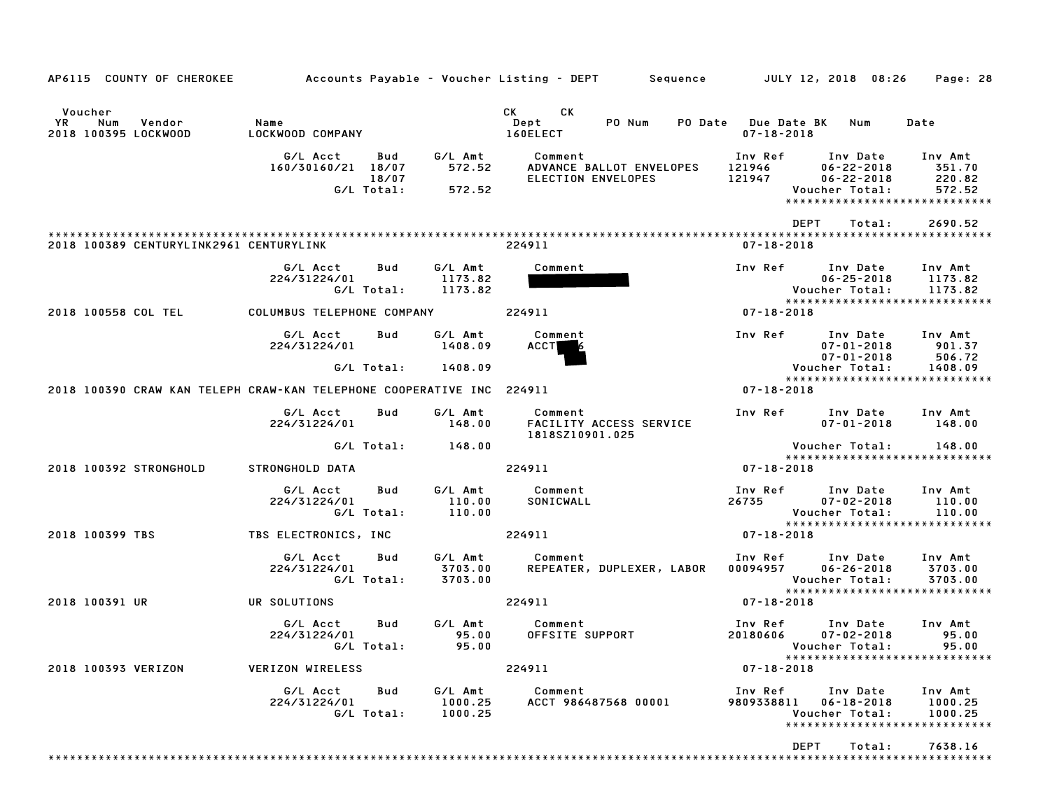| AP6115 COUNTY OF CHEROKEE                                             |                                                              |                               | Accounts Payable – Voucher Listing – DEPT – Sequence – JULY 12, 2018 08:26                                                                                                                                                                                          |                                                                                                                          | Page: 28                      |
|-----------------------------------------------------------------------|--------------------------------------------------------------|-------------------------------|---------------------------------------------------------------------------------------------------------------------------------------------------------------------------------------------------------------------------------------------------------------------|--------------------------------------------------------------------------------------------------------------------------|-------------------------------|
| Voucher<br>YR<br>Num<br>Vendor<br>2018 100395 LOCKWOOD                | Name<br>LOCKWOOD COMPANY                                     |                               | CK the control of the control of the control of the control of the control of the control of the control of the control of the control of the control of the control of the control of the control of the control of the contr<br>CK.<br>Dept<br>PO Num<br>160ELECT | PO Date Due Date BK Num<br>$07 - 18 - 2018$                                                                              | Date                          |
|                                                                       | G/L Acct<br>Bud<br>160/30160/21 18/07<br>18/07<br>G/L Total: | G/L Amt<br>572.52<br>572.52   | Comment<br>ADVANCE BALLOT ENVELOPES<br>ELECTION ENVELOPES                                                                                                                                                                                                           | Inv Ref Inv Date Inv Amt<br>121946 06-22-2018<br>121947<br>06-22-2018<br>Voucher Total:<br>***************************** | 351.70<br>220.82<br>572.52    |
| 2018 100389 CENTURYLINK2961 CENTURYLINK                               |                                                              |                               | 224911                                                                                                                                                                                                                                                              | DEPT<br>Total:<br>07-18-2018                                                                                             | 2690.52                       |
|                                                                       | G/L Acct<br>Bud<br>224/31224/01<br>G/L Total:                | G/L Amt<br>1173.82<br>1173.82 | Comment                                                                                                                                                                                                                                                             | Inv Ref Inv Date<br>$06 - 25 - 2018$<br>Voucher Total:<br>*****************************                                  | Inv Amt<br>1173.82<br>1173.82 |
| 2018 100558 COL TEL                                                   | COLUMBUS TELEPHONE COMPANY                                   |                               | 224911                                                                                                                                                                                                                                                              | $07 - 18 - 2018$                                                                                                         |                               |
|                                                                       | G/L Acct<br>Bud<br>224/31224/01                              | G/L Amt<br>1408.09            | Comment<br><b>ACCT</b>                                                                                                                                                                                                                                              | Inv Ref Inv Date<br>$07 - 01 - 2018$<br>07-01-2018                                                                       | Inv Amt<br>901.37<br>506.72   |
|                                                                       | G/L Total:                                                   | 1408.09                       |                                                                                                                                                                                                                                                                     | Voucher Total:<br>******************************                                                                         | 1408.09                       |
| 2018 100390 CRAW KAN TELEPH CRAW-KAN TELEPHONE COOPERATIVE INC 224911 |                                                              |                               |                                                                                                                                                                                                                                                                     | $07 - 18 - 2018$                                                                                                         |                               |
|                                                                       | G/L Acct<br>Bud<br>224/31224/01                              | G/L Amt<br>148.00             | Comment<br>FACILITY ACCESS SERVICE<br>1818SZ10901.025                                                                                                                                                                                                               | Inv Ref Inv Date<br>$07 - 01 - 2018$                                                                                     | Inv Amt<br>148.00             |
|                                                                       | G/L Total:                                                   | 148.00                        |                                                                                                                                                                                                                                                                     | Voucher Total:<br>*****************************                                                                          | 148.00                        |
| 2018 100392 STRONGHOLD                                                | STRONGHOLD DATA                                              |                               | 224911                                                                                                                                                                                                                                                              | $07 - 18 - 2018$                                                                                                         |                               |
|                                                                       | G/L Acct<br>Bud<br>224/31224/01<br>G/L Total:                | G/L Amt<br>110.00<br>110.00   | Comment<br>SONICWALL                                                                                                                                                                                                                                                | Inv Ref Inv Date Inv Amt<br>26735<br>$07 - 02 - 2018$<br>Voucher Total:<br>*****************************                 | 110.00<br>110.00              |
| 2018 100399 TBS                                                       | TBS ELECTRONICS, INC                                         |                               | 224911                                                                                                                                                                                                                                                              | 07-18-2018                                                                                                               |                               |
|                                                                       | G/L Acct<br>Bud<br>224/31224/01<br>G/L Total:                | 3703.00<br>3703.00            | G/L Amt Comment<br>REPEATER, DUPLEXER, LABOR                                                                                                                                                                                                                        | Inv Ref Inv Date<br>00094957<br>$06 - 26 - 2018$<br>Voucher Total:                                                       | Inv Amt<br>3703.00<br>3703.00 |
| 2018 100391 UR                                                        | UR SOLUTIONS                                                 |                               | 224911                                                                                                                                                                                                                                                              | ******************************<br>07-18-2018                                                                             |                               |
|                                                                       | G/L Acct<br>Bud<br>224/31224/01<br>G/L Total:                | G/L Amt<br>95.00<br>95.00     | Comment<br>OFFSITE SUPPORT                                                                                                                                                                                                                                          | Inv Ref Inv Date<br>20180606<br>$07 - 02 - 2018$<br>Voucher Total: 95.00                                                 | Inv Amt<br>95.00              |
| 2018 100393 VERIZON                                                   | VERIZON WIRELESS                                             |                               | 224911                                                                                                                                                                                                                                                              | *****************************<br>$07 - 18 - 2018$                                                                        |                               |
|                                                                       | G/L Acct<br>Bud<br>224/31224/01<br>G/L Total:                | G/L Amt<br>1000.25<br>1000.25 | Comment<br>ACCT 986487568 00001                                                                                                                                                                                                                                     | Inv Ref<br>Inv Date<br>9809338811  06-18-2018<br>Voucher Total:<br>*****************************                         | Inv Amt<br>1000.25<br>1000.25 |
|                                                                       |                                                              |                               |                                                                                                                                                                                                                                                                     | DEPT<br>Total:                                                                                                           | 7638.16                       |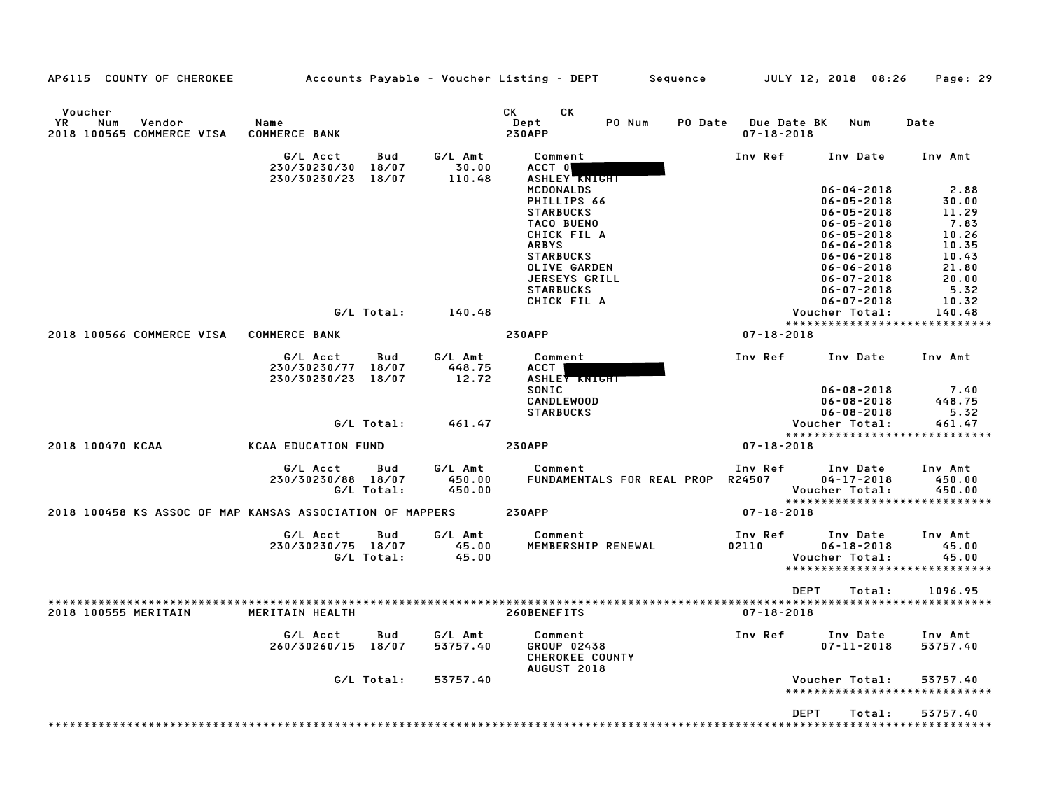| AP6115 COUNTY OF CHEROKEE                                   |                              |                     |                     | Accounts Payable – Voucher Listing – DEPT<br>Sequence    |                                        | JULY 12, 2018 08:26                  | Page: 29                      |
|-------------------------------------------------------------|------------------------------|---------------------|---------------------|----------------------------------------------------------|----------------------------------------|--------------------------------------|-------------------------------|
| Voucher<br>ΥR<br>Num<br>Vendor<br>2018 100565 COMMERCE VISA | Name<br><b>COMMERCE BANK</b> |                     |                     | СK<br>СK<br>Dept<br>PO Num<br>PO Date<br><b>230APP</b>   | <b>Due Date BK</b><br>$07 - 18 - 2018$ | Num                                  | Date                          |
|                                                             | G/L Acct<br>230/30230/30     | Bud<br>18/07        | G/L Amt<br>30.00    | Comment<br>ACCT 0                                        | Inv Ref                                | Inv Date                             | Inv Amt                       |
|                                                             | 230/30230/23                 | 18/07               | 110.48              | <b>ASHLEY KNIGHT</b><br>MCDONALDS                        |                                        | $06 - 04 - 2018$                     | 2.88                          |
|                                                             |                              |                     |                     | PHILLIPS 66<br><b>STARBUCKS</b>                          |                                        | $06 - 05 - 2018$<br>$06 - 05 - 2018$ | 30.00<br>11.29                |
|                                                             |                              |                     |                     | TACO BUENO                                               |                                        | $06 - 05 - 2018$                     | 7.83                          |
|                                                             |                              |                     |                     | CHICK FIL A                                              |                                        | $06 - 05 - 2018$                     | 10.26                         |
|                                                             |                              |                     |                     | <b>ARBYS</b>                                             |                                        | $06 - 06 - 2018$                     | 10.35                         |
|                                                             |                              |                     |                     | <b>STARBUCKS</b><br>OLIVE GARDEN                         |                                        | $06 - 06 - 2018$<br>$06 - 06 - 2018$ | 10.43<br>21.80                |
|                                                             |                              |                     |                     | <b>JERSEYS GRILL</b>                                     |                                        | $06 - 07 - 2018$                     | 20.00                         |
|                                                             |                              |                     |                     | <b>STARBUCKS</b>                                         |                                        | $06 - 07 - 2018$                     | 5.32                          |
|                                                             |                              |                     |                     | CHICK FIL A                                              |                                        | $06 - 07 - 2018$                     | 10.32                         |
|                                                             |                              | G/L Total:          | 140.48              |                                                          |                                        | Voucher Total:                       | 140.48                        |
|                                                             |                              |                     |                     |                                                          |                                        |                                      | ***************************** |
| 2018 100566 COMMERCE VISA                                   | <b>COMMERCE BANK</b>         |                     |                     | <b>230APP</b>                                            | $07 - 18 - 2018$                       |                                      |                               |
|                                                             | G/L Acct<br>230/30230/77     | <b>Bud</b><br>18/07 | G/L Amt<br>448.75   | Comment<br>ACCT                                          | Inv Ref                                | Inv Date                             | Inv Amt                       |
|                                                             | 230/30230/23                 | 18/07               | 12.72               | <b>ASHLEY KNIGHT</b>                                     |                                        |                                      |                               |
|                                                             |                              |                     |                     | SONIC<br><b>CANDLEWOOD</b>                               |                                        | $06 - 08 - 2018$<br>$06 - 08 - 2018$ | 7.40<br>448.75                |
|                                                             |                              |                     |                     | <b>STARBUCKS</b>                                         |                                        | $06 - 08 - 2018$                     | 5.32                          |
|                                                             |                              | G/L Total:          | 461.47              |                                                          |                                        | Voucher Total:                       | 461.47                        |
|                                                             |                              |                     |                     |                                                          |                                        |                                      | ***************************** |
| 2018 100470 KCAA                                            | <b>KCAA EDUCATION FUND</b>   |                     |                     | <b>230APP</b>                                            | $07 - 18 - 2018$                       |                                      |                               |
|                                                             | G/L Acct                     | Bud                 | G/L Amt             | Comment                                                  | Inv Ref                                | Inv Date                             | Inv Amt                       |
|                                                             | 230/30230/88 18/07           |                     | 450.00              | FUNDAMENTALS FOR REAL PROP                               | R24507                                 | $04 - 17 - 2018$                     | 450.00                        |
|                                                             |                              | G/L Total:          | 450.00              |                                                          |                                        | Voucher Total:                       | 450.00                        |
|                                                             |                              |                     |                     |                                                          |                                        |                                      | ***************************** |
| 2018 100458 KS ASSOC OF MAP KANSAS ASSOCIATION OF MAPPERS   |                              |                     |                     | <b>230APP</b>                                            | $07 - 18 - 2018$                       |                                      |                               |
|                                                             | G/L Acct                     | Bud                 | G/L Amt             | Comment                                                  | Inv Ref                                | Inv Date                             | Inv Amt                       |
|                                                             | 230/30230/75 18/07           |                     | 45.00               | MEMBERSHIP RENEWAL                                       | 02110                                  | $06 - 18 - 2018$                     | 45.00                         |
|                                                             |                              | G/L Total:          | 45.00               |                                                          |                                        | Voucher Total:                       | 45.00                         |
|                                                             |                              |                     |                     |                                                          |                                        |                                      | ***************************** |
|                                                             |                              |                     |                     |                                                          | <b>DEPT</b>                            | Total:                               | 1096.95                       |
| 2018 100555 MERITAIN                                        | MERITAIN HEALTH              |                     |                     | 260BENEFITS                                              | $07 - 18 - 2018$                       |                                      |                               |
|                                                             | G/L Acct<br>260/30260/15     | Bud<br>18/07        | G/L Amt<br>53757.40 | Comment<br>GROUP 02438<br>CHEROKEE COUNTY<br>AUGUST 2018 | Inv Ref                                | Inv Date<br>$07 - 11 - 2018$         | Inv Amt<br>53757.40           |
|                                                             |                              | G/L Total:          | 53757.40            |                                                          |                                        | Voucher Total:                       | 53757.40                      |
|                                                             |                              |                     |                     |                                                          |                                        | ******************                   | ************                  |
|                                                             |                              |                     |                     |                                                          | <b>DEPT</b>                            | Total:                               | 53757.40                      |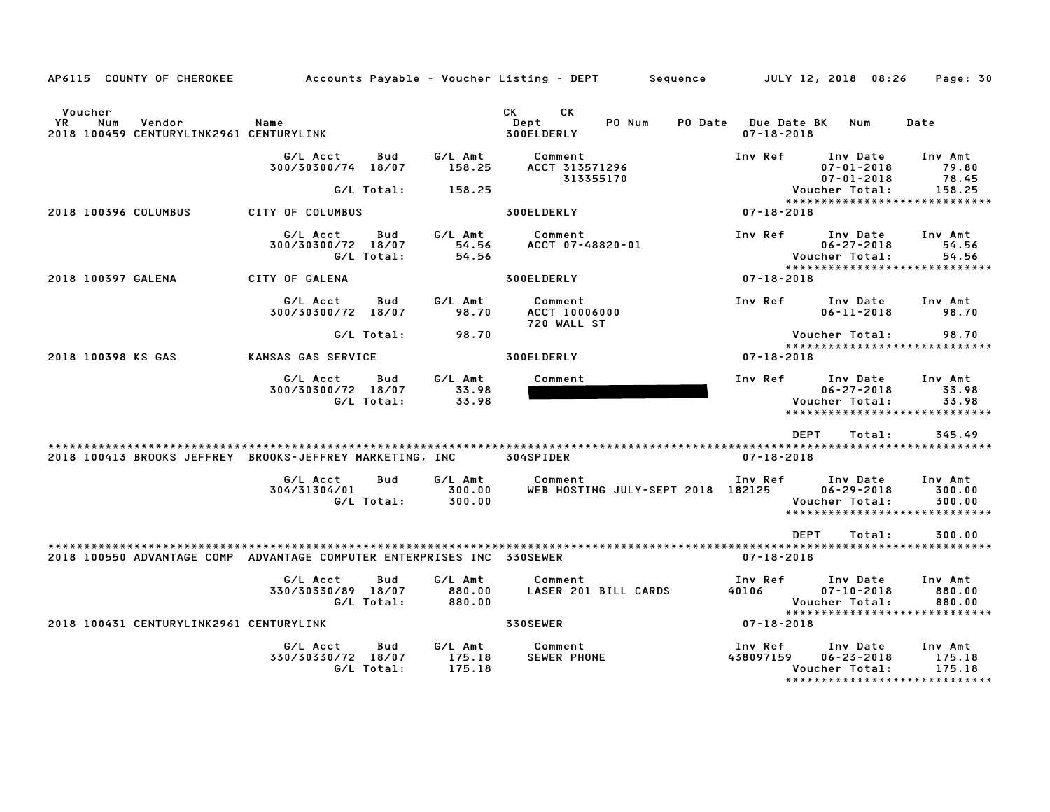| AP6115 COUNTY OF CHEROKEE                                                  |                                |                          |                             | Accounts Payable – Voucher Listing – DEPT<br>Sequence |                      | JULY 12, 2018 08:26                                                             | Page: 30                    |
|----------------------------------------------------------------------------|--------------------------------|--------------------------|-----------------------------|-------------------------------------------------------|----------------------|---------------------------------------------------------------------------------|-----------------------------|
| Voucher<br>YR.<br>Num<br>Vendor<br>2018 100459 CENTURYLINK2961 CENTURYLINK | Name                           |                          |                             | CK<br>CK.<br>Dept<br>PO Num<br>PO Date<br>300ELDERLY  | $07 - 18 - 2018$     | <b>Due Date BK</b><br>Num                                                       | Date                        |
|                                                                            | G/L Acct<br>300/30300/74 18/07 | Bud                      | G/L Amt<br>158.25           | Comment<br>ACCT 313571296<br>313355170                | Inv Ref              | Inv Date<br>$07 - 01 - 2018$                                                    | Inv Amt<br>79.80<br>78.45   |
|                                                                            |                                | G/L Total:               | 158.25                      |                                                       |                      | $07 - 01 - 2018$<br>Voucher Total:                                              | 158.25                      |
| 2018 100396 COLUMBUS                                                       | CITY OF COLUMBUS               |                          |                             | 300ELDERLY                                            | $07 - 18 - 2018$     | ******************************                                                  |                             |
|                                                                            | G/L Acct<br>300/30300/72 18/07 | Bud<br>G/L Total:        | G/L Amt<br>54.56<br>54.56   | Comment<br>ACCT 07-48820-01                           | Inv Ref              | Inv Date<br>$06 - 27 - 2018$<br>Voucher Total:<br>***************************** | Inv Amt<br>54.56<br>54.56   |
| 2018 100397 GALENA                                                         | CITY OF GALENA                 |                          |                             | 300ELDERLY                                            | 07-18-2018           |                                                                                 |                             |
|                                                                            | G/L Acct<br>300/30300/72 18/07 | Bud                      | G/L Amt<br>98.70            | Comment<br><b>ACCT 10006000</b><br>720 WALL ST        | Inv Ref              | Inv Date<br>$06 - 11 - 2018$                                                    | Inv Amt<br>98.70            |
|                                                                            |                                | G/L Total:               | 98.70                       |                                                       |                      | Voucher Total:                                                                  | 98.70                       |
| 2018 100398 KS GAS                                                         | KANSAS GAS SERVICE             |                          |                             | 300ELDERLY                                            | $07 - 18 - 2018$     | *****************************                                                   |                             |
|                                                                            | G/L Acct<br>300/30300/72 18/07 | Bud<br>G/L Total:        | G/L Amt<br>33.98<br>33.98   | Comment                                               | Inv Ref              | Inv Date<br>$06 - 27 - 2018$<br>Voucher Total:<br>***************************** | Inv Amt<br>33.98<br>33.98   |
|                                                                            |                                |                          |                             |                                                       |                      | <b>DEPT</b><br>Total:                                                           | 345.49                      |
| 2018 100413 BROOKS JEFFREY BROOKS-JEFFREY MARKETING, INC                   |                                |                          |                             | 304SPIDER                                             | $07 - 18 - 2018$     |                                                                                 |                             |
|                                                                            | G/L Acct<br>304/31304/01       | <b>Bud</b><br>G/L Total: | G/L Amt<br>300.00<br>300.00 | Comment<br>WEB HOSTING JULY-SEPT 2018 182125          | Inv Ref              | Inv Date<br>$06 - 29 - 2018$<br>Voucher Total:<br>***************************** | Inv Amt<br>300.00<br>300.00 |
|                                                                            |                                |                          |                             |                                                       |                      | <b>DEPT</b><br>Total:                                                           | 300.00                      |
| 2018 100550 ADVANTAGE COMP ADVANTAGE COMPUTER ENTERPRISES INC 330SEWER     |                                |                          |                             |                                                       | $07 - 18 - 2018$     |                                                                                 |                             |
|                                                                            | G/L Acct<br>330/30330/89 18/07 | Bud<br>G/L Total:        | G/L Amt<br>880.00<br>880.00 | Comment<br>LASER 201 BILL CARDS                       | Inv Ref<br>40106     | Inv Date<br>$07 - 10 - 2018$<br>Voucher Total:<br>***************************** | Inv Amt<br>880.00<br>880.00 |
| 2018 100431 CENTURYLINK2961 CENTURYLINK                                    |                                |                          |                             | 330SEWER                                              | 07-18-2018           |                                                                                 |                             |
|                                                                            | G/L Acct<br>330/30330/72 18/07 | Bud<br>G/L Total:        | G/L Amt<br>175.18<br>175.18 | Comment<br><b>SEWER PHONE</b>                         | Inv Ref<br>438097159 | Inv Date<br>$06 - 23 - 2018$<br>Voucher Total:<br>***************************** | Inv Amt<br>175.18<br>175.18 |